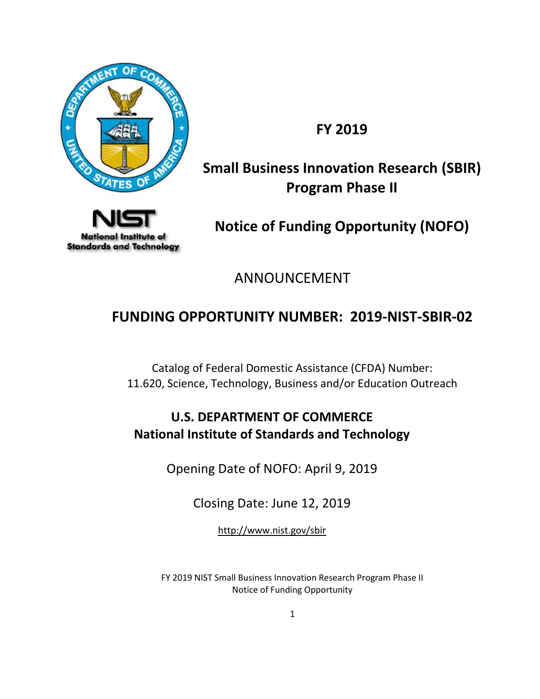

**FY 2019**

# **Small Business Innovation Research (SBIR) Program Phase II**



# **Notice of Funding Opportunity (NOFO)**

ANNOUNCEMENT

# **FUNDING OPPORTUNITY NUMBER: 2019-NIST-SBIR-02**

Catalog of Federal Domestic Assistance (CFDA) Number: 11.620, Science, Technology, Business and/or Education Outreach

# **U.S. DEPARTMENT OF COMMERCE National Institute of Standards and Technology**

Opening Date of NOFO: April 9, 2019

Closing Date: June 12, 2019

<http://www.nist.gov/sbir>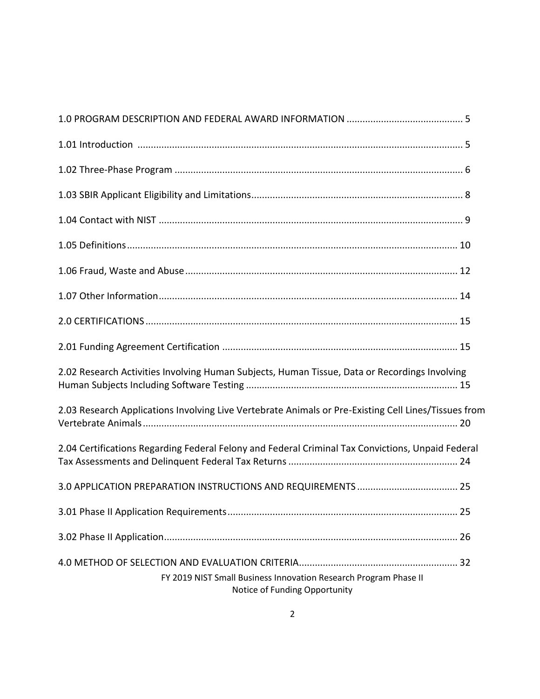| 2.02 Research Activities Involving Human Subjects, Human Tissue, Data or Recordings Involving        |
|------------------------------------------------------------------------------------------------------|
| 2.03 Research Applications Involving Live Vertebrate Animals or Pre-Existing Cell Lines/Tissues from |
| 2.04 Certifications Regarding Federal Felony and Federal Criminal Tax Convictions, Unpaid Federal    |
|                                                                                                      |
|                                                                                                      |
|                                                                                                      |
| FY 2019 NIST Small Business Innovation Research Program Phase II<br>Notice of Funding Opportunity    |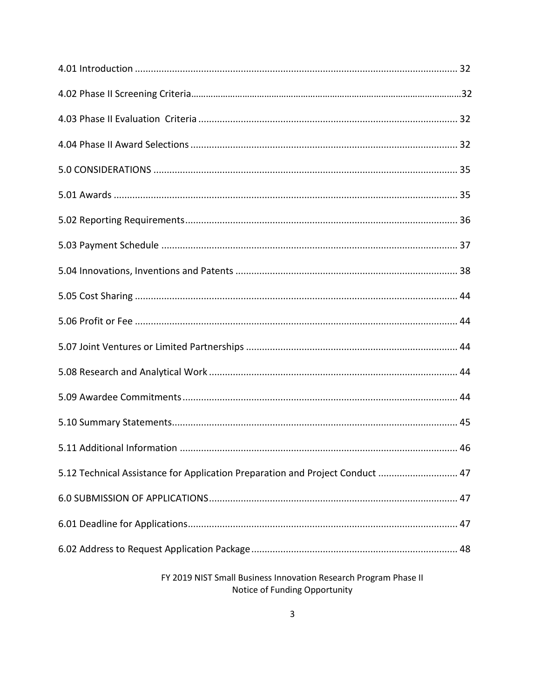| 5.12 Technical Assistance for Application Preparation and Project Conduct  47 |  |
|-------------------------------------------------------------------------------|--|
|                                                                               |  |
|                                                                               |  |
|                                                                               |  |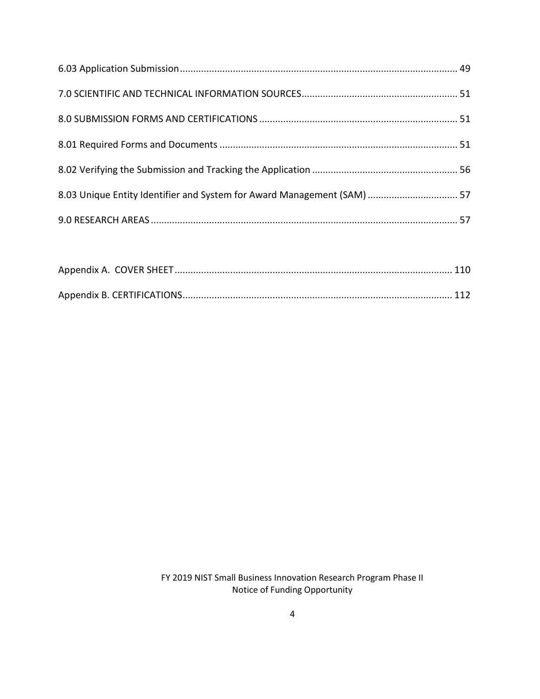| 8.03 Unique Entity Identifier and System for Award Management (SAM)  57 |  |
|-------------------------------------------------------------------------|--|
|                                                                         |  |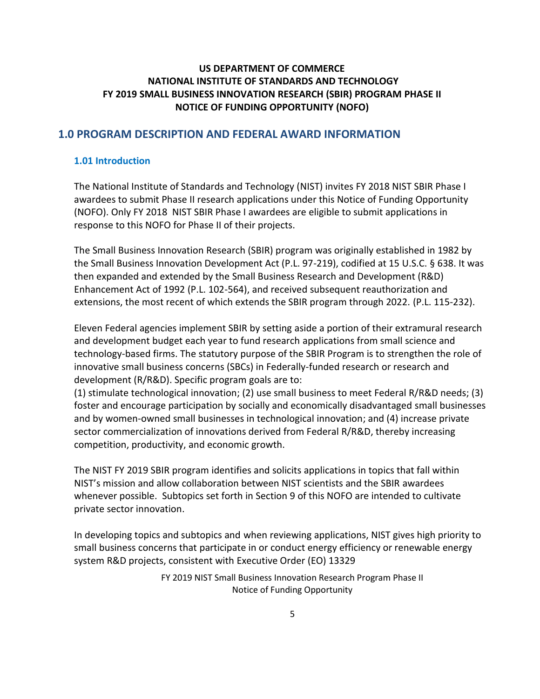# **US DEPARTMENT OF COMMERCE NATIONAL INSTITUTE OF STANDARDS AND TECHNOLOGY FY 2019 SMALL BUSINESS INNOVATION RESEARCH (SBIR) PROGRAM PHASE II NOTICE OF FUNDING OPPORTUNITY (NOFO)**

## <span id="page-4-0"></span>**1.0 PROGRAM DESCRIPTION AND FEDERAL AWARD INFORMATION**

#### <span id="page-4-1"></span>**1.01 Introduction**

The National Institute of Standards and Technology (NIST) invites FY 2018 NIST SBIR Phase I awardees to submit Phase II research applications under this Notice of Funding Opportunity (NOFO). Only FY 2018 NIST SBIR Phase I awardees are eligible to submit applications in response to this NOFO for Phase II of their projects.

The Small Business Innovation Research (SBIR) program was originally established in 1982 by the Small Business Innovation Development Act (P.L. 97-219), codified at 15 U.S.C. § 638. It was then expanded and extended by the Small Business Research and Development (R&D) Enhancement Act of 1992 (P.L. 102-564), and received subsequent reauthorization and extensions, the most recent of which extends the SBIR program through 2022. (P.L. 115-232).

Eleven Federal agencies implement SBIR by setting aside a portion of their extramural research and development budget each year to fund research applications from small science and technology-based firms. The statutory purpose of the SBIR Program is to strengthen the role of innovative small business concerns (SBCs) in Federally-funded research or research and development (R/R&D). Specific program goals are to:

(1) stimulate technological innovation; (2) use small business to meet Federal R/R&D needs; (3) foster and encourage participation by socially and economically disadvantaged small businesses and by women-owned small businesses in technological innovation; and (4) increase private sector commercialization of innovations derived from Federal R/R&D, thereby increasing competition, productivity, and economic growth.

The NIST FY 2019 SBIR program identifies and solicits applications in topics that fall within NIST's mission and allow collaboration between NIST scientists and the SBIR awardees whenever possible. Subtopics set forth in Section 9 of this NOFO are intended to cultivate private sector innovation.

In developing topics and subtopics and when reviewing applications, NIST gives high priority to small business concerns that participate in or conduct energy efficiency or renewable energy system R&D projects, consistent with Executive Order (EO) 13329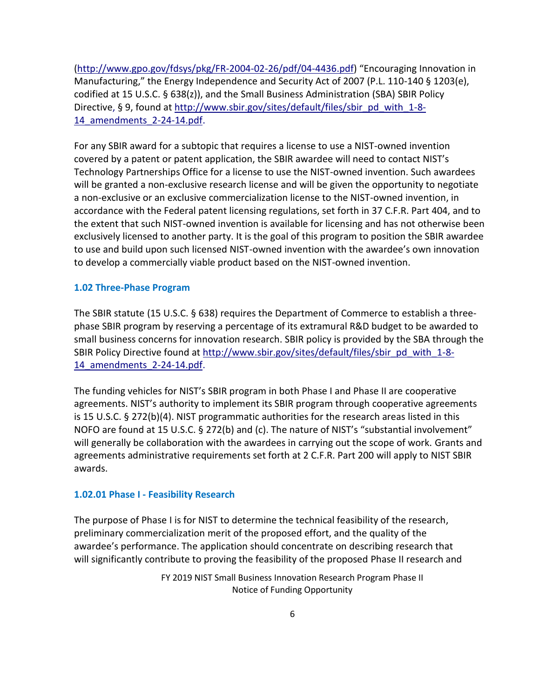[\(http://www.gpo.gov/fdsys/pkg/FR-2004-02-26/pdf/04-4436.pdf](http://www.gpo.gov/fdsys/pkg/FR-2004-02-26/pdf/04-4436.pdf)) "Encouraging Innovation in Manufacturing," the Energy Independence and Security Act of 2007 (P.L. 110-140 § 1203(e), codified at 15 U.S.C. § 638(z)), and the Small Business Administration (SBA) SBIR Policy Directive, § 9, found at [http://www.sbir.gov/sites/default/files/sbir\\_pd\\_with\\_1-8-](http://www.sbir.gov/sites/default/files/sbir_pd_with_1-8-14_amendments_2-24-14.pdf) 14 amendments 2-24-14.pdf.

For any SBIR award for a subtopic that requires a license to use a NIST-owned invention covered by a patent or patent application, the SBIR awardee will need to contact NIST's Technology Partnerships Office for a license to use the NIST-owned invention. Such awardees will be granted a non-exclusive research license and will be given the opportunity to negotiate a non-exclusive or an exclusive commercialization license to the NIST-owned invention, in accordance with the Federal patent licensing regulations, set forth in 37 C.F.R. Part 404, and to the extent that such NIST-owned invention is available for licensing and has not otherwise been exclusively licensed to another party. It is the goal of this program to position the SBIR awardee to use and build upon such licensed NIST-owned invention with the awardee's own innovation to develop a commercially viable product based on the NIST-owned invention.

## <span id="page-5-0"></span>**1.02 Three-Phase Program**

The SBIR statute (15 U.S.C. § 638) requires the Department of Commerce to establish a threephase SBIR program by reserving a percentage of its extramural R&D budget to be awarded to small business concerns for innovation research. SBIR policy is provided by the SBA through the SBIR Policy Directive found at [http://www.sbir.gov/sites/default/files/sbir\\_pd\\_with\\_1-8-](http://www.sbir.gov/sites/default/files/sbir_pd_with_1-8-14_amendments_2-24-14.pdf) [14\\_amendments\\_2-24-14.pdf.](http://www.sbir.gov/sites/default/files/sbir_pd_with_1-8-14_amendments_2-24-14.pdf)

The funding vehicles for NIST's SBIR program in both Phase I and Phase II are cooperative agreements. NIST's authority to implement its SBIR program through cooperative agreements is 15 U.S.C. § 272(b)(4). NIST programmatic authorities for the research areas listed in this NOFO are found at 15 U.S.C. § 272(b) and (c). The nature of NIST's "substantial involvement" will generally be collaboration with the awardees in carrying out the scope of work. Grants and agreements administrative requirements set forth at 2 C.F.R. Part 200 will apply to NIST SBIR awards.

## **1.02.01 Phase I - Feasibility Research**

The purpose of Phase I is for NIST to determine the technical feasibility of the research, preliminary commercialization merit of the proposed effort, and the quality of the awardee's performance. The application should concentrate on describing research that will significantly contribute to proving the feasibility of the proposed Phase II research and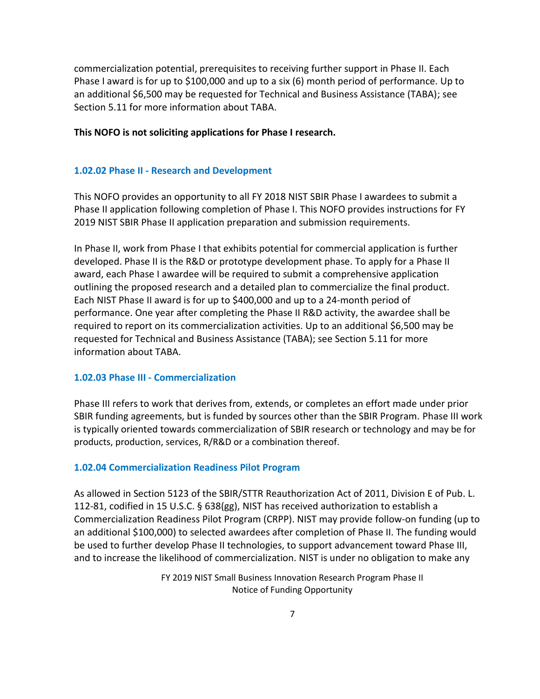commercialization potential, prerequisites to receiving further support in Phase II. Each Phase I award is for up to \$100,000 and up to a six (6) month period of performance. Up to an additional \$6,500 may be requested for Technical and Business Assistance (TABA); see Section 5.11 for more information about TABA.

### **This NOFO is not soliciting applications for Phase I research.**

#### **1.02.02 Phase II - Research and Development**

This NOFO provides an opportunity to all FY 2018 NIST SBIR Phase I awardees to submit a Phase II application following completion of Phase I. This NOFO provides instructions for FY 2019 NIST SBIR Phase II application preparation and submission requirements.

In Phase II, work from Phase I that exhibits potential for commercial application is further developed. Phase II is the R&D or prototype development phase. To apply for a Phase II award, each Phase I awardee will be required to submit a comprehensive application outlining the proposed research and a detailed plan to commercialize the final product. Each NIST Phase II award is for up to \$400,000 and up to a 24-month period of performance. One year after completing the Phase II R&D activity, the awardee shall be required to report on its commercialization activities. Up to an additional \$6,500 may be requested for Technical and Business Assistance (TABA); see Section 5.11 for more information about TABA.

#### **1.02.03 Phase III - Commercialization**

Phase III refers to work that derives from, extends, or completes an effort made under prior SBIR funding agreements, but is funded by sources other than the SBIR Program. Phase III work is typically oriented towards commercialization of SBIR research or technology and may be for products, production, services, R/R&D or a combination thereof.

## **1.02.04 Commercialization Readiness Pilot Program**

As allowed in Section 5123 of the SBIR/STTR Reauthorization Act of 2011, Division E of Pub. L. 112-81, codified in 15 U.S.C. § 638(gg), NIST has received authorization to establish a Commercialization Readiness Pilot Program (CRPP). NIST may provide follow-on funding (up to an additional \$100,000) to selected awardees after completion of Phase II. The funding would be used to further develop Phase II technologies, to support advancement toward Phase III, and to increase the likelihood of commercialization. NIST is under no obligation to make any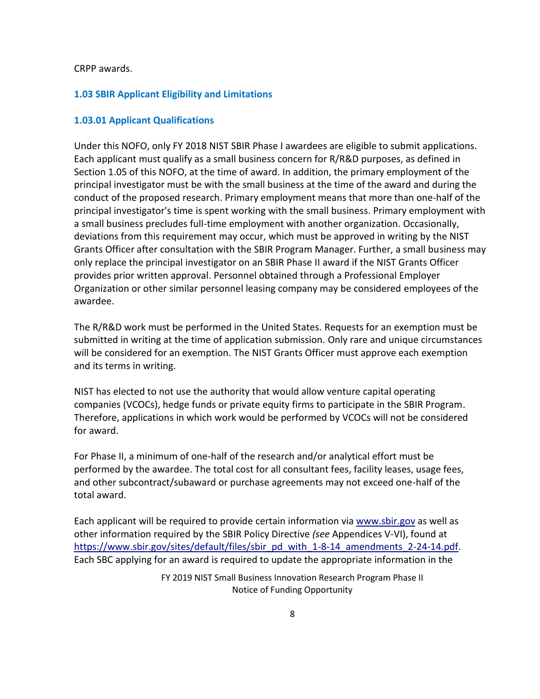#### CRPP awards.

#### <span id="page-7-0"></span>**1.03 SBIR Applicant Eligibility and Limitations**

#### **1.03.01 Applicant Qualifications**

Under this NOFO, only FY 2018 NIST SBIR Phase I awardees are eligible to submit applications. Each applicant must qualify as a small business concern for R/R&D purposes, as defined in Section 1.05 of this NOFO, at the time of award. In addition, the primary employment of the principal investigator must be with the small business at the time of the award and during the conduct of the proposed research. Primary employment means that more than one-half of the principal investigator's time is spent working with the small business. Primary employment with a small business precludes full-time employment with another organization. Occasionally, deviations from this requirement may occur, which must be approved in writing by the NIST Grants Officer after consultation with the SBIR Program Manager. Further, a small business may only replace the principal investigator on an SBIR Phase II award if the NIST Grants Officer provides prior written approval. Personnel obtained through a Professional Employer Organization or other similar personnel leasing company may be considered employees of the awardee.

The R/R&D work must be performed in the United States. Requests for an exemption must be submitted in writing at the time of application submission. Only rare and unique circumstances will be considered for an exemption. The NIST Grants Officer must approve each exemption and its terms in writing.

NIST has elected to not use the authority that would allow venture capital operating companies (VCOCs), hedge funds or private equity firms to participate in the SBIR Program. Therefore, applications in which work would be performed by VCOCs will not be considered for award.

For Phase II, a minimum of one-half of the research and/or analytical effort must be performed by the awardee. The total cost for all consultant fees, facility leases, usage fees, and other subcontract/subaward or purchase agreements may not exceed one-half of the total award.

Each applicant will be required to provide certain information via [www.sbir.gov](http://www.sbir.gov/) as well as other information required by the SBIR Policy Directive *(see* Appendices V-VI), found at [https://www.sbir.gov/sites/default/files/sbir\\_pd\\_with\\_1-8-14\\_amendments\\_2-24-14.pdf.](https://www.sbir.gov/sites/default/files/sbir_pd_with_1-8-14_amendments_2-24-14.pdf) Each SBC applying for an award is required to update the appropriate information in the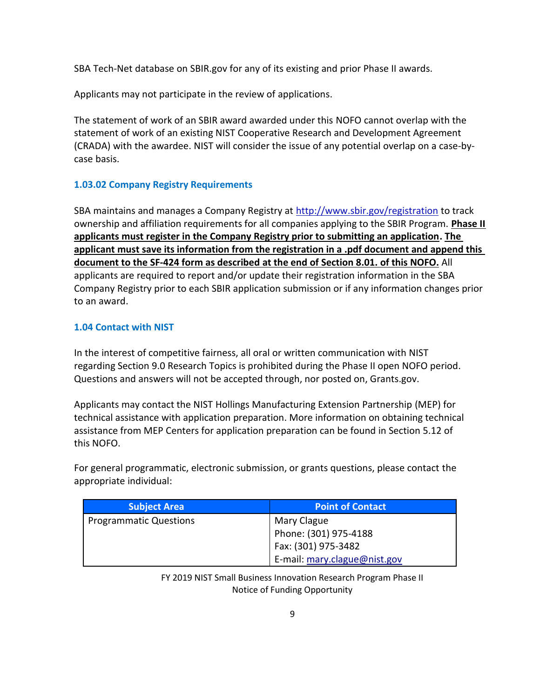SBA Tech-Net database on SBIR.gov for any of its existing and prior Phase II awards.

Applicants may not participate in the review of applications.

The statement of work of an SBIR award awarded under this NOFO cannot overlap with the statement of work of an existing NIST Cooperative Research and Development Agreement (CRADA) with the awardee. NIST will consider the issue of any potential overlap on a case-bycase basis.

# **1.03.02 Company Registry Requirements**

SBA maintains and manages a Company Registry at<http://www.sbir.gov/registration> to track ownership and affiliation requirements for all companies applying to the SBIR Program. **Phase II applicants must register in the Company Registry prior to submitting an application. The applicant must save its information from the registration in a .pdf document and append this document to the SF-424 form as described at the end of Section 8.01. of this NOFO.** All applicants are required to report and/or update their registration information in the SBA Company Registry prior to each SBIR application submission or if any information changes prior to an award.

# <span id="page-8-0"></span>**1.04 Contact with NIST**

In the interest of competitive fairness, all oral or written communication with NIST regarding Section 9.0 Research Topics is prohibited during the Phase II open NOFO period. Questions and answers will not be accepted through, nor posted on, Grants.gov.

Applicants may contact the NIST Hollings Manufacturing Extension Partnership (MEP) for technical assistance with application preparation. More information on obtaining technical assistance from MEP Centers for application preparation can be found in Section 5.12 of this NOFO.

For general programmatic, electronic submission, or grants questions, please contact the appropriate individual:

| <b>Subject Area</b>           | <b>Point of Contact</b>      |
|-------------------------------|------------------------------|
| <b>Programmatic Questions</b> | Mary Clague                  |
|                               | Phone: (301) 975-4188        |
|                               | Fax: (301) 975-3482          |
|                               | E-mail: mary.clague@nist.gov |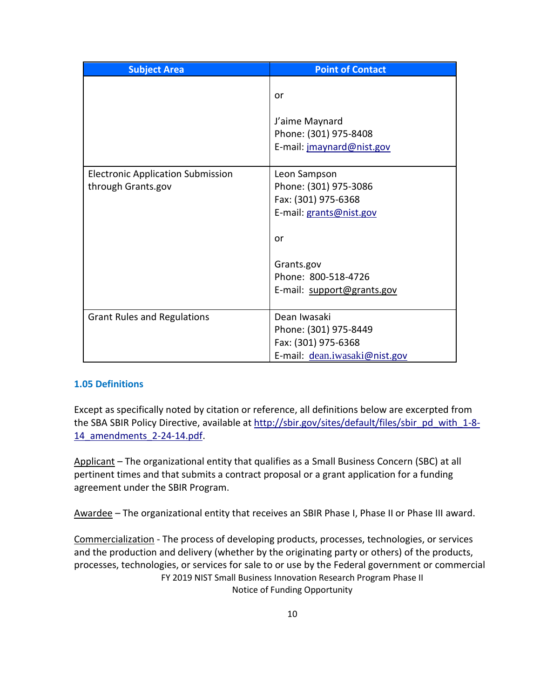| <b>Subject Area</b>                                            | <b>Point of Contact</b>                                                                                                                                          |
|----------------------------------------------------------------|------------------------------------------------------------------------------------------------------------------------------------------------------------------|
|                                                                | or<br>J'aime Maynard<br>Phone: (301) 975-8408<br>E-mail: jmaynard@nist.gov                                                                                       |
| <b>Electronic Application Submission</b><br>through Grants.gov | Leon Sampson<br>Phone: (301) 975-3086<br>Fax: (301) 975-6368<br>E-mail: grants@nist.gov<br>or<br>Grants.gov<br>Phone: 800-518-4726<br>E-mail: support@grants.gov |
| <b>Grant Rules and Regulations</b>                             | Dean Iwasaki<br>Phone: (301) 975-8449<br>Fax: (301) 975-6368<br>E-mail: dean.iwasaki@nist.gov                                                                    |

# <span id="page-9-0"></span>**1.05 Definitions**

Except as specifically noted by citation or reference, all definitions below are excerpted from the SBA SBIR Policy Directive, available at [http://sbir.gov/sites/default/files/sbir\\_pd\\_with\\_1-8-](http://sbir.gov/sites/default/files/sbir_pd_with_1-8-14_amendments_2-24-14.pdf) [14\\_amendments\\_2-24-14.pdf.](http://sbir.gov/sites/default/files/sbir_pd_with_1-8-14_amendments_2-24-14.pdf)

Applicant – The organizational entity that qualifies as a Small Business Concern (SBC) at all pertinent times and that submits a contract proposal or a grant application for a funding agreement under the SBIR Program.

Awardee - The organizational entity that receives an SBIR Phase I, Phase II or Phase III award.

FY 2019 NIST Small Business Innovation Research Program Phase II Notice of Funding Opportunity Commercialization - The process of developing products, processes, technologies, or services and the production and delivery (whether by the originating party or others) of the products, processes, technologies, or services for sale to or use by the Federal government or commercial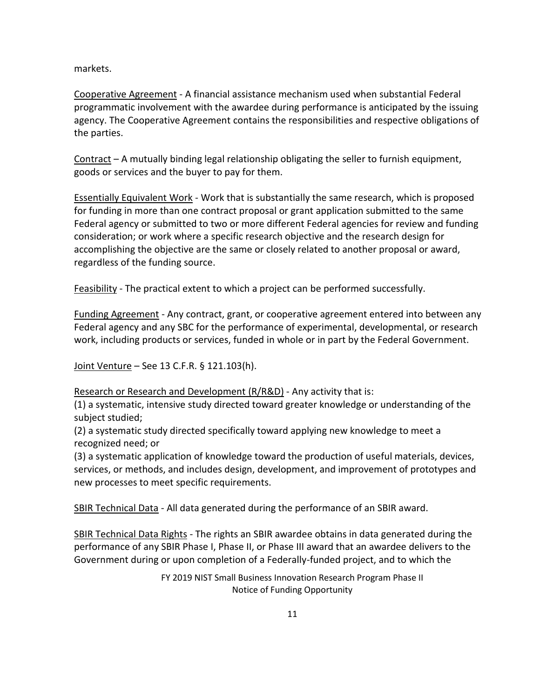markets.

Cooperative Agreement - A financial assistance mechanism used when substantial Federal programmatic involvement with the awardee during performance is anticipated by the issuing agency. The Cooperative Agreement contains the responsibilities and respective obligations of the parties.

Contract – A mutually binding legal relationship obligating the seller to furnish equipment, goods or services and the buyer to pay for them.

Essentially Equivalent Work - Work that is substantially the same research, which is proposed for funding in more than one contract proposal or grant application submitted to the same Federal agency or submitted to two or more different Federal agencies for review and funding consideration; or work where a specific research objective and the research design for accomplishing the objective are the same or closely related to another proposal or award, regardless of the funding source.

Feasibility - The practical extent to which a project can be performed successfully.

Funding Agreement - Any contract, grant, or cooperative agreement entered into between any Federal agency and any SBC for the performance of experimental, developmental, or research work, including products or services, funded in whole or in part by the Federal Government.

Joint Venture – [See 13 C.F.R.](http://www.law.cornell.edu/cfr/text/13/121.103) § 121.103(h).

Research or Research and Development (R/R&D) - Any activity that is:

(1) a systematic, intensive study directed toward greater knowledge or understanding of the subject studied;

(2) a systematic study directed specifically toward applying new knowledge to meet a recognized need; or

(3) a systematic application of knowledge toward the production of useful materials, devices, services, or methods, and includes design, development, and improvement of prototypes and new processes to meet specific requirements.

SBIR Technical Data - All data generated during the performance of an SBIR award.

SBIR Technical Data Rights - The rights an SBIR awardee obtains in data generated during the performance of any SBIR Phase I, Phase II, or Phase III award that an awardee delivers to the Government during or upon completion of a Federally-funded project, and to which the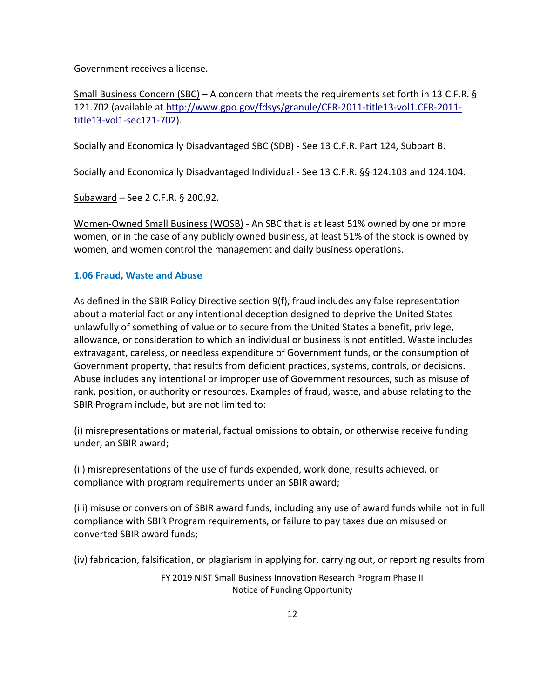Government receives a license.

Small Business Concern (SBC) – A concern that meets the requirements set forth in 13 C.F.R. § 121.702 (available at [http://www.gpo.gov/fdsys/granule/CFR-2011-title13-vol1.CFR-2011](http://www.gpo.gov/fdsys/pkg/CFR-2011-title13-vol1/pdf/CFR-2011-title13-vol1-sec121-801.pdf) [title13-vol1-sec121-702\)](http://www.gpo.gov/fdsys/pkg/CFR-2011-title13-vol1/pdf/CFR-2011-title13-vol1-sec121-801.pdf).

Socially and Economically Disadvantaged SBC (SDB) - Se[e 13 C.F.R.](https://www.federalregister.gov/select-citation/2012/08/06/13-CFR-124) Part 124, Subpart B.

Socially and Economically Disadvantaged Individual - See 13 C.F.R. [§§ 124.103](https://www.federalregister.gov/select-citation/2012/08/06/13-CFR-124.103) and 124.104.

Subaward – See 2 C.F.R. § 200.92.

Women-Owned Small Business (WOSB) - An SBC that is at least 51% owned by one or more women, or in the case of any publicly owned business, at least 51% of the stock is owned by women, and women control the management and daily business operations.

## <span id="page-11-0"></span>**1.06 Fraud, Waste and Abuse**

As defined in the SBIR Policy Directive section 9(f), fraud includes any false representation about a material fact or any intentional deception designed to deprive the United States unlawfully of something of value or to secure from the United States a benefit, privilege, allowance, or consideration to which an individual or business is not entitled. Waste includes extravagant, careless, or needless expenditure of Government funds, or the consumption of Government property, that results from deficient practices, systems, controls, or decisions. Abuse includes any intentional or improper use of Government resources, such as misuse of rank, position, or authority or resources. Examples of fraud, waste, and abuse relating to the SBIR Program include, but are not limited to:

(i) misrepresentations or material, factual omissions to obtain, or otherwise receive funding under, an SBIR award;

(ii) misrepresentations of the use of funds expended, work done, results achieved, or compliance with program requirements under an SBIR award;

(iii) misuse or conversion of SBIR award funds, including any use of award funds while not in full compliance with SBIR Program requirements, or failure to pay taxes due on misused or converted SBIR award funds;

(iv) fabrication, falsification, or plagiarism in applying for, carrying out, or reporting results from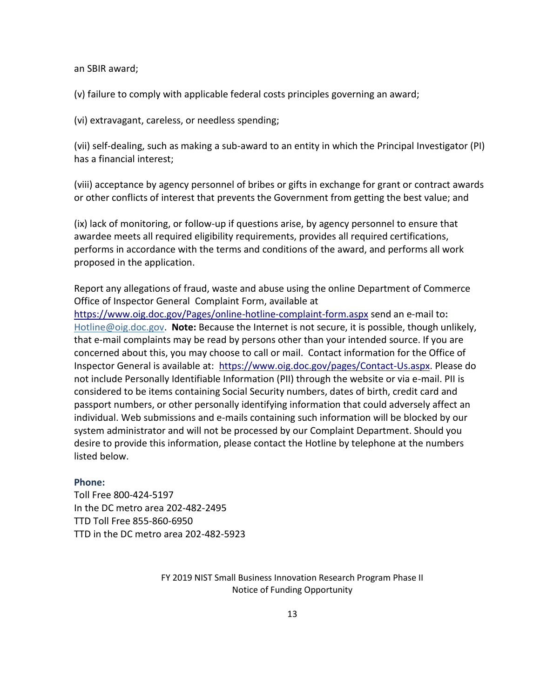an SBIR award;

(v) failure to comply with applicable federal costs principles governing an award;

(vi) extravagant, careless, or needless spending;

(vii) self-dealing, such as making a sub-award to an entity in which the Principal Investigator (PI) has a financial interest;

(viii) acceptance by agency personnel of bribes or gifts in exchange for grant or contract awards or other conflicts of interest that prevents the Government from getting the best value; and

(ix) lack of monitoring, or follow-up if questions arise, by agency personnel to ensure that awardee meets all required eligibility requirements, provides all required certifications, performs in accordance with the terms and conditions of the award, and performs all work proposed in the application.

Report any allegations of fraud, waste and abuse using the online Department of Commerce Office of Inspector General [Complaint Form,](https://www.oig.doc.gov/Pages/online-hotline-complaint-form.aspx) available at

<https://www.oig.doc.gov/Pages/online-hotline-complaint-form.aspx> send an e-mail to**:**  [Hotline@oig.doc.gov.](mailto:Hotline@oig.doc.gov) **Note:** Because the Internet is not secure, it is possible, though unlikely, that e-mail complaints may be read by persons other than your intended source. If you are concerned about this, you may choose to call or mail. Contact information for the Office of Inspector General is available at: [https://www.oig.doc.gov/pages/Contact-Us.aspx.](https://www.oig.doc.gov/pages/Contact-Us.aspx) Please do not include Personally Identifiable Information (PII) through the website or via e-mail. PII is considered to be items containing Social Security numbers, dates of birth, credit card and passport numbers, or other personally identifying information that could adversely affect an individual. Web submissions and e-mails containing such information will be blocked by our system administrator and will not be processed by our Complaint Department. Should you desire to provide this information, please contact the Hotline by telephone at the numbers listed below.

#### **Phone:**

Toll Free 800-424-5197 In the DC metro area 202-482-2495 TTD Toll Free 855-860-6950 TTD in the DC metro area 202-482-5923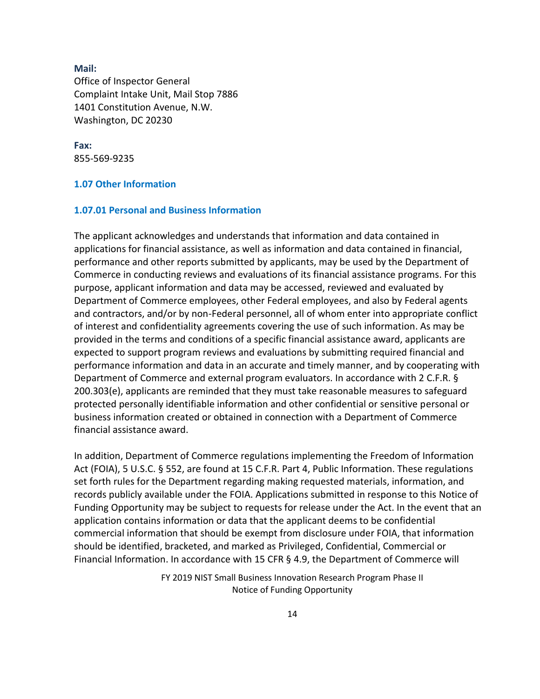#### **Mail:**

Office of Inspector General Complaint Intake Unit, Mail Stop 7886 1401 Constitution Avenue, N.W. Washington, DC 20230

**Fax:** 855-569-9235

#### <span id="page-13-0"></span>**1.07 Other Information**

#### **1.07.01 Personal and Business Information**

The applicant acknowledges and understands that information and data contained in applications for financial assistance, as well as information and data contained in financial, performance and other reports submitted by applicants, may be used by the Department of Commerce in conducting reviews and evaluations of its financial assistance programs. For this purpose, applicant information and data may be accessed, reviewed and evaluated by Department of Commerce employees, other Federal employees, and also by Federal agents and contractors, and/or by non-Federal personnel, all of whom enter into appropriate conflict of interest and confidentiality agreements covering the use of such information. As may be provided in the terms and conditions of a specific financial assistance award, applicants are expected to support program reviews and evaluations by submitting required financial and performance information and data in an accurate and timely manner, and by cooperating with Department of Commerce and external program evaluators. In accordance with 2 C.F.R. § 200.303(e), applicants are reminded that they must take reasonable measures to safeguard protected personally identifiable information and other confidential or sensitive personal or business information created or obtained in connection with a Department of Commerce financial assistance award.

In addition, Department of Commerce regulations implementing the Freedom of Information Act (FOIA), 5 U.S.C. § 552, are found at 15 C.F.R. Part 4, Public Information. These regulations set forth rules for the Department regarding making requested materials, information, and records publicly available under the FOIA. Applications submitted in response to this Notice of Funding Opportunity may be subject to requests for release under the Act. In the event that an application contains information or data that the applicant deems to be confidential commercial information that should be exempt from disclosure under FOIA, that information should be identified, bracketed, and marked as Privileged, Confidential, Commercial or Financial Information. In accordance with 15 CFR § 4.9, the Department of Commerce will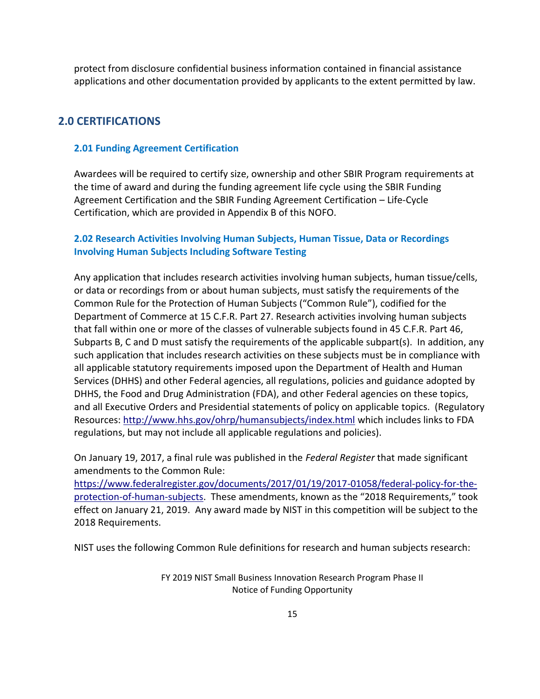protect from disclosure confidential business information contained in financial assistance applications and other documentation provided by applicants to the extent permitted by law.

# <span id="page-14-0"></span>**2.0 CERTIFICATIONS**

## <span id="page-14-1"></span>**2.01 Funding Agreement Certification**

Awardees will be required to certify size, ownership and other SBIR Program requirements at the time of award and during the funding agreement life cycle using the SBIR Funding Agreement Certification and the SBIR Funding Agreement Certification – Life-Cycle Certification, which are provided in Appendix B of this NOFO.

## <span id="page-14-2"></span>**2.02 Research Activities Involving Human Subjects, Human Tissue, Data or Recordings Involving Human Subjects Including Software Testing**

Any application that includes research activities involving human subjects, human tissue/cells, or data or recordings from or about human subjects, must satisfy the requirements of the Common Rule for the Protection of Human Subjects ("Common Rule"), codified for the Department of Commerce at 15 C.F.R. Part 27. Research activities involving human subjects that fall within one or more of the classes of vulnerable subjects found in 45 C.F.R. Part 46, Subparts B, C and D must satisfy the requirements of the applicable subpart(s). In addition, any such application that includes research activities on these subjects must be in compliance with all applicable statutory requirements imposed upon the Department of Health and Human Services (DHHS) and other Federal agencies, all regulations, policies and guidance adopted by DHHS, the Food and Drug Administration (FDA), and other Federal agencies on these topics, and all Executive Orders and Presidential statements of policy on applicable topics. (Regulatory Resources[: http://www.hhs.gov/ohrp/humansubjects/index.html](http://www.hhs.gov/ohrp/humansubjects/index.html) which includes links to FDA regulations, but may not include all applicable regulations and policies).

On January 19, 2017, a final rule was published in the *Federal Register* that made significant amendments to the Common Rule:

[https://www.federalregister.gov/documents/2017/01/19/2017-01058/federal-policy-for-the](https://www.federalregister.gov/documents/2017/01/19/2017-01058/federal-policy-for-the-protection-of-human-subjects)[protection-of-human-subjects](https://www.federalregister.gov/documents/2017/01/19/2017-01058/federal-policy-for-the-protection-of-human-subjects). These amendments, known as the "2018 Requirements," took effect on January 21, 2019. Any award made by NIST in this competition will be subject to the 2018 Requirements.

NIST uses the following Common Rule definitions for research and human subjects research: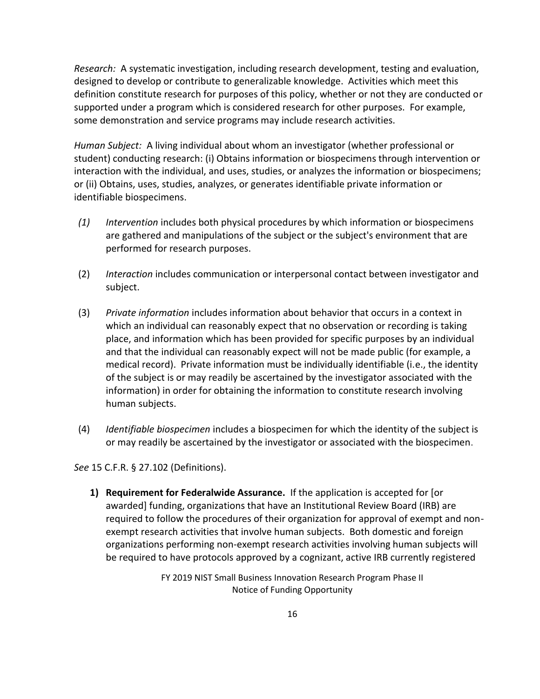*Research:* A systematic investigation, including research development, testing and evaluation, designed to develop or contribute to generalizable knowledge. Activities which meet this definition constitute research for purposes of this policy, whether or not they are conducted or supported under a program which is considered research for other purposes. For example, some demonstration and service programs may include research activities.

*Human Subject:* A living individual about whom an investigator (whether professional or student) conducting research: (i) Obtains information or biospecimens through intervention or interaction with the individual, and uses, studies, or analyzes the information or biospecimens; or (ii) Obtains, uses, studies, analyzes, or generates identifiable private information or identifiable biospecimens.

- *(1) Intervention* includes both physical procedures by which information or biospecimens are gathered and manipulations of the subject or the subject's environment that are performed for research purposes.
- (2) *Interaction* includes communication or interpersonal contact between investigator and subject.
- (3) *Private information* includes information about behavior that occurs in a context in which an individual can reasonably expect that no observation or recording is taking place, and information which has been provided for specific purposes by an individual and that the individual can reasonably expect will not be made public (for example, a medical record). Private information must be individually identifiable (i.e., the identity of the subject is or may readily be ascertained by the investigator associated with the information) in order for obtaining the information to constitute research involving human subjects.
- (4) *Identifiable biospecimen* includes a biospecimen for which the identity of the subject is or may readily be ascertained by the investigator or associated with the biospecimen.

*See* 15 C.F.R. § 27.102 (Definitions).

**1) Requirement for Federalwide Assurance.** If the application is accepted for [or awarded] funding, organizations that have an Institutional Review Board (IRB) are required to follow the procedures of their organization for approval of exempt and nonexempt research activities that involve human subjects. Both domestic and foreign organizations performing non-exempt research activities involving human subjects will be required to have protocols approved by a cognizant, active IRB currently registered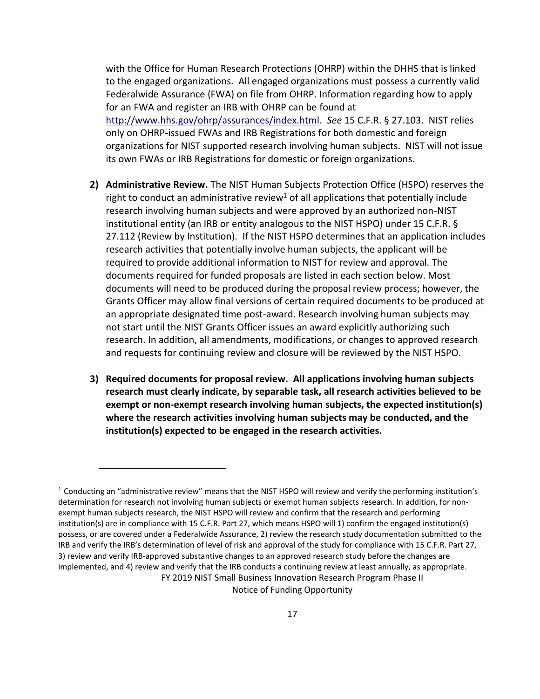with the Office for Human Research Protections (OHRP) within the DHHS that is linked to the engaged organizations. All engaged organizations must possess a currently valid Federalwide Assurance (FWA) on file from OHRP. Information regarding how to apply for an FWA and register an IRB with OHRP can be found at [http://www.hhs.gov/ohrp/assurances/index.html.](http://www.hhs.gov/ohrp/assurances/index.html) *See* 15 C.F.R. § 27.103. NIST relies only on OHRP-issued FWAs and IRB Registrations for both domestic and foreign organizations for NIST supported research involving human subjects. NIST will not issue its own FWAs or IRB Registrations for domestic or foreign organizations.

- **2) Administrative Review.** The NIST Human Subjects Protection Office (HSPO) reserves the right to conduct an administrative review<sup>1</sup> of all applications that potentially include research involving human subjects and were approved by an authorized non-NIST institutional entity (an IRB or entity analogous to the NIST HSPO) under 15 C.F.R. § 27.112 (Review by Institution). If the NIST HSPO determines that an application includes research activities that potentially involve human subjects, the applicant will be required to provide additional information to NIST for review and approval. The documents required for funded proposals are listed in each section below. Most documents will need to be produced during the proposal review process; however, the Grants Officer may allow final versions of certain required documents to be produced at an appropriate designated time post-award. Research involving human subjects may not start until the NIST Grants Officer issues an award explicitly authorizing such research. In addition, all amendments, modifications, or changes to approved research and requests for continuing review and closure will be reviewed by the NIST HSPO.
- **3) Required documents for proposal review. All applications involving human subjects research must clearly indicate, by separable task, all research activities believed to be exempt or non-exempt research involving human subjects, the expected institution(s) where the research activities involving human subjects may be conducted, and the institution(s) expected to be engaged in the research activities.**

 $\overline{a}$ 

Notice of Funding Opportunity

FY 2019 NIST Small Business Innovation Research Program Phase II <sup>1</sup> Conducting an "administrative review" means that the NIST HSPO will review and verify the performing institution's determination for research not involving human subjects or exempt human subjects research. In addition, for nonexempt human subjects research, the NIST HSPO will review and confirm that the research and performing institution(s) are in compliance with 15 C.F.R. Part 27, which means HSPO will 1) confirm the engaged institution(s) possess, or are covered under a Federalwide Assurance, 2) review the research study documentation submitted to the IRB and verify the IRB's determination of level of risk and approval of the study for compliance with 15 C.F.R. Part 27, 3) review and verify IRB-approved substantive changes to an approved research study before the changes are implemented, and 4) review and verify that the IRB conducts a continuing review at least annually, as appropriate.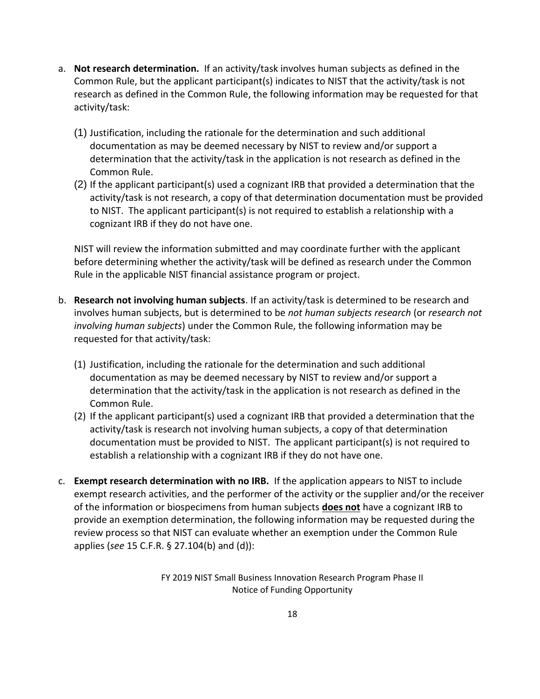- a. **Not research determination.** If an activity/task involves human subjects as defined in the Common Rule, but the applicant participant(s) indicates to NIST that the activity/task is not research as defined in the Common Rule, the following information may be requested for that activity/task:
	- (1) Justification, including the rationale for the determination and such additional documentation as may be deemed necessary by NIST to review and/or support a determination that the activity/task in the application is not research as defined in the Common Rule.
	- (2) If the applicant participant(s) used a cognizant IRB that provided a determination that the activity/task is not research, a copy of that determination documentation must be provided to NIST. The applicant participant(s) is not required to establish a relationship with a cognizant IRB if they do not have one.

NIST will review the information submitted and may coordinate further with the applicant before determining whether the activity/task will be defined as research under the Common Rule in the applicable NIST financial assistance program or project.

- b. **Research not involving human subjects**. If an activity/task is determined to be research and involves human subjects, but is determined to be *not human subjects research* (or *research not involving human subjects*) under the Common Rule, the following information may be requested for that activity/task:
	- (1) Justification, including the rationale for the determination and such additional documentation as may be deemed necessary by NIST to review and/or support a determination that the activity/task in the application is not research as defined in the Common Rule.
	- (2) If the applicant participant(s) used a cognizant IRB that provided a determination that the activity/task is research not involving human subjects, a copy of that determination documentation must be provided to NIST. The applicant participant(s) is not required to establish a relationship with a cognizant IRB if they do not have one.
- c. **Exempt research determination with no IRB.** If the application appears to NIST to include exempt research activities, and the performer of the activity or the supplier and/or the receiver of the information or biospecimens from human subjects **does not** have a cognizant IRB to provide an exemption determination, the following information may be requested during the review process so that NIST can evaluate whether an exemption under the Common Rule applies (*see* 15 C.F.R. § 27.104(b) and (d)):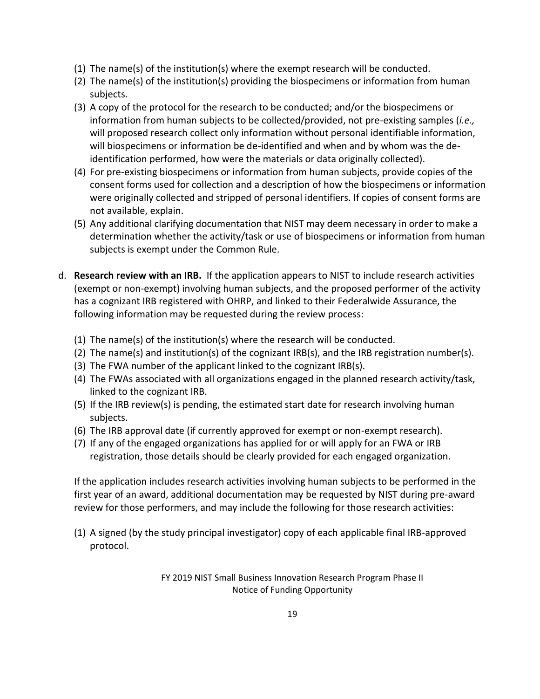- (1) The name(s) of the institution(s) where the exempt research will be conducted.
- (2) The name(s) of the institution(s) providing the biospecimens or information from human subjects.
- (3) A copy of the protocol for the research to be conducted; and/or the biospecimens or information from human subjects to be collected/provided, not pre-existing samples (*i.e.,* will proposed research collect only information without personal identifiable information, will biospecimens or information be de-identified and when and by whom was the deidentification performed, how were the materials or data originally collected).
- (4) For pre-existing biospecimens or information from human subjects, provide copies of the consent forms used for collection and a description of how the biospecimens or information were originally collected and stripped of personal identifiers. If copies of consent forms are not available, explain.
- (5) Any additional clarifying documentation that NIST may deem necessary in order to make a determination whether the activity/task or use of biospecimens or information from human subjects is exempt under the Common Rule.
- d. **Research review with an IRB.** If the application appears to NIST to include research activities (exempt or non-exempt) involving human subjects, and the proposed performer of the activity has a cognizant IRB registered with OHRP, and linked to their Federalwide Assurance, the following information may be requested during the review process:
	- (1) The name(s) of the institution(s) where the research will be conducted.
	- (2) The name(s) and institution(s) of the cognizant IRB(s), and the IRB registration number(s).
	- (3) The FWA number of the applicant linked to the cognizant IRB(s).
	- (4) The FWAs associated with all organizations engaged in the planned research activity/task, linked to the cognizant IRB.
	- (5) If the IRB review(s) is pending, the estimated start date for research involving human subjects.
	- (6) The IRB approval date (if currently approved for exempt or non-exempt research).
	- (7) If any of the engaged organizations has applied for or will apply for an FWA or IRB registration, those details should be clearly provided for each engaged organization.

If the application includes research activities involving human subjects to be performed in the first year of an award, additional documentation may be requested by NIST during pre-award review for those performers, and may include the following for those research activities:

(1) A signed (by the study principal investigator) copy of each applicable final IRB-approved protocol.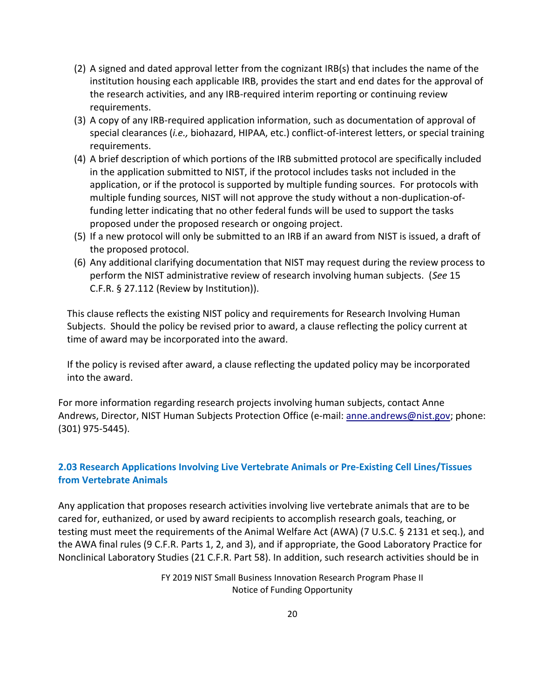- (2) A signed and dated approval letter from the cognizant IRB(s) that includes the name of the institution housing each applicable IRB, provides the start and end dates for the approval of the research activities, and any IRB-required interim reporting or continuing review requirements.
- (3) A copy of any IRB-required application information, such as documentation of approval of special clearances (*i.e.,* biohazard, HIPAA, etc.) conflict-of-interest letters, or special training requirements.
- (4) A brief description of which portions of the IRB submitted protocol are specifically included in the application submitted to NIST, if the protocol includes tasks not included in the application, or if the protocol is supported by multiple funding sources. For protocols with multiple funding sources, NIST will not approve the study without a non-duplication-offunding letter indicating that no other federal funds will be used to support the tasks proposed under the proposed research or ongoing project.
- (5) If a new protocol will only be submitted to an IRB if an award from NIST is issued, a draft of the proposed protocol.
- (6) Any additional clarifying documentation that NIST may request during the review process to perform the NIST administrative review of research involving human subjects. (*See* 15 C.F.R. § 27.112 (Review by Institution)).

This clause reflects the existing NIST policy and requirements for Research Involving Human Subjects. Should the policy be revised prior to award, a clause reflecting the policy current at time of award may be incorporated into the award.

If the policy is revised after award, a clause reflecting the updated policy may be incorporated into the award.

For more information regarding research projects involving human subjects, contact Anne Andrews, Director, NIST Human Subjects Protection Office (e-mail: [anne.andrews@nist.gov;](mailto:anne.andrews@nist.gov) phone: (301) 975-5445).

# <span id="page-19-0"></span>**2.03 Research Applications Involving Live Vertebrate Animals or Pre-Existing Cell Lines/Tissues from Vertebrate Animals**

Any application that proposes research activities involving live vertebrate animals that are to be cared for, euthanized, or used by award recipients to accomplish research goals, teaching, or testing must meet the requirements of the Animal Welfare Act (AWA) (7 U.S.C. § 2131 et seq.), and the AWA final rules (9 C.F.R. Parts 1, 2, and 3), and if appropriate, the Good Laboratory Practice for Nonclinical Laboratory Studies (21 C.F.R. Part 58). In addition, such research activities should be in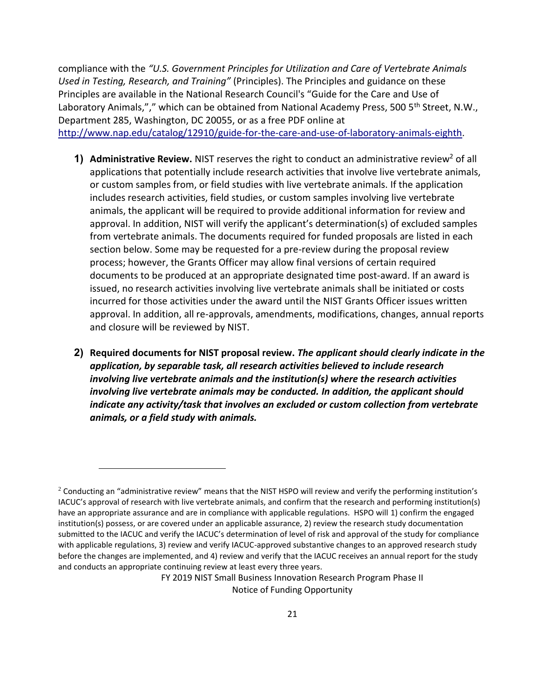compliance with the *"U.S. Government Principles for Utilization and Care of Vertebrate Animals Used in Testing, Research, and Training"* (Principles). The Principles and guidance on these Principles are available in the National Research Council's "Guide for the Care and Use of Laboratory Animals,"," which can be obtained from National Academy Press, 500 5<sup>th</sup> Street, N.W., Department 285, Washington, DC 20055, or as a free PDF online at [http://www.nap.edu/catalog/12910/guide-for-the-care-and-use-of-laboratory-animals-eighth.](http://www.nap.edu/catalog/12910/guide-for-the-care-and-use-of-laboratory-animals-eighth)

- **1) Administrative Review.** NIST reserves the right to conduct an administrative review<sup>2</sup> of all applications that potentially include research activities that involve live vertebrate animals, or custom samples from, or field studies with live vertebrate animals. If the application includes research activities, field studies, or custom samples involving live vertebrate animals, the applicant will be required to provide additional information for review and approval. In addition, NIST will verify the applicant's determination(s) of excluded samples from vertebrate animals. The documents required for funded proposals are listed in each section below. Some may be requested for a pre-review during the proposal review process; however, the Grants Officer may allow final versions of certain required documents to be produced at an appropriate designated time post-award. If an award is issued, no research activities involving live vertebrate animals shall be initiated or costs incurred for those activities under the award until the NIST Grants Officer issues written approval. In addition, all re-approvals, amendments, modifications, changes, annual reports and closure will be reviewed by NIST.
- **2) Required documents for NIST proposal review.** *The applicant should clearly indicate in the application, by separable task, all research activities believed to include research involving live vertebrate animals and the institution(s) where the research activities involving live vertebrate animals may be conducted. In addition, the applicant should indicate any activity/task that involves an excluded or custom collection from vertebrate animals, or a field study with animals.*

 $\overline{a}$ 

<sup>&</sup>lt;sup>2</sup> Conducting an "administrative review" means that the NIST HSPO will review and verify the performing institution's IACUC's approval of research with live vertebrate animals, and confirm that the research and performing institution(s) have an appropriate assurance and are in compliance with applicable regulations. HSPO will 1) confirm the engaged institution(s) possess, or are covered under an applicable assurance, 2) review the research study documentation submitted to the IACUC and verify the IACUC's determination of level of risk and approval of the study for compliance with applicable regulations, 3) review and verify IACUC-approved substantive changes to an approved research study before the changes are implemented, and 4) review and verify that the IACUC receives an annual report for the study and conducts an appropriate continuing review at least every three years.

FY 2019 NIST Small Business Innovation Research Program Phase II Notice of Funding Opportunity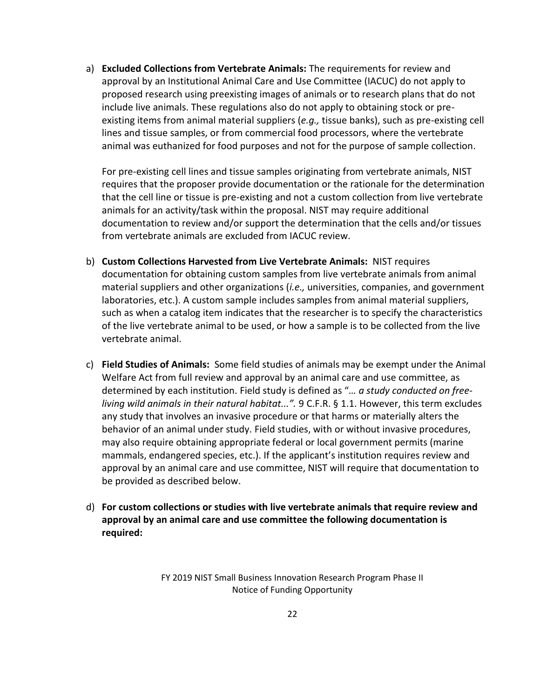a) **Excluded Collections from Vertebrate Animals:** The requirements for review and approval by an Institutional Animal Care and Use Committee (IACUC) do not apply to proposed research using preexisting images of animals or to research plans that do not include live animals. These regulations also do not apply to obtaining stock or preexisting items from animal material suppliers (*e.g.,* tissue banks), such as pre-existing cell lines and tissue samples, or from commercial food processors, where the vertebrate animal was euthanized for food purposes and not for the purpose of sample collection.

For pre-existing cell lines and tissue samples originating from vertebrate animals, NIST requires that the proposer provide documentation or the rationale for the determination that the cell line or tissue is pre-existing and not a custom collection from live vertebrate animals for an activity/task within the proposal. NIST may require additional documentation to review and/or support the determination that the cells and/or tissues from vertebrate animals are excluded from IACUC review.

- b) **Custom Collections Harvested from Live Vertebrate Animals:** NIST requires documentation for obtaining custom samples from live vertebrate animals from animal material suppliers and other organizations (*i.e.,* universities, companies, and government laboratories, etc.). A custom sample includes samples from animal material suppliers, such as when a catalog item indicates that the researcher is to specify the characteristics of the live vertebrate animal to be used, or how a sample is to be collected from the live vertebrate animal.
- c) **Field Studies of Animals:** Some field studies of animals may be exempt under the Animal Welfare Act from full review and approval by an animal care and use committee, as determined by each institution. Field study is defined as "*… a study conducted on freeliving wild animals in their natural habitat...".* 9 C.F.R. § 1.1. However, this term excludes any study that involves an invasive procedure or that harms or materially alters the behavior of an animal under study. Field studies, with or without invasive procedures, may also require obtaining appropriate federal or local government permits (marine mammals, endangered species, etc.). If the applicant's institution requires review and approval by an animal care and use committee, NIST will require that documentation to be provided as described below.
- d) **For custom collections or studies with live vertebrate animals that require review and approval by an animal care and use committee the following documentation is required:**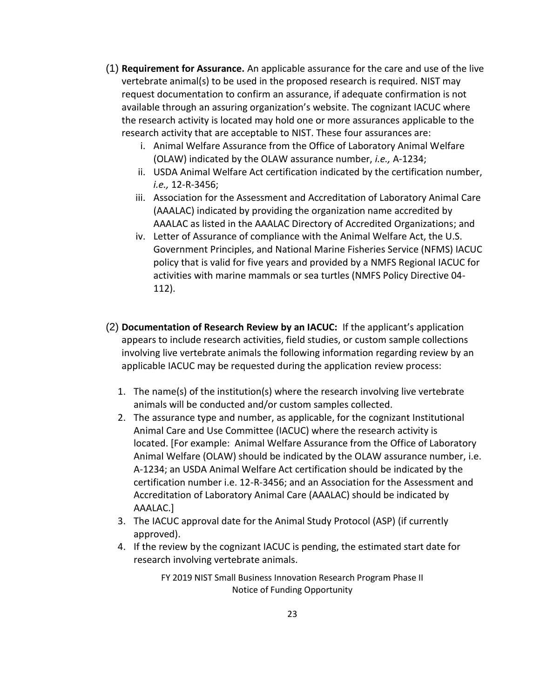- (1) **Requirement for Assurance.** An applicable assurance for the care and use of the live vertebrate animal(s) to be used in the proposed research is required. NIST may request documentation to confirm an assurance, if adequate confirmation is not available through an assuring organization's website. The cognizant IACUC where the research activity is located may hold one or more assurances applicable to the research activity that are acceptable to NIST. These four assurances are:
	- i. Animal Welfare Assurance from the Office of Laboratory Animal Welfare (OLAW) indicated by the OLAW assurance number, *i.e.,* A-1234;
	- ii. USDA Animal Welfare Act certification indicated by the certification number, *i.e.,* 12-R-3456;
	- iii. Association for the Assessment and Accreditation of Laboratory Animal Care (AAALAC) indicated by providing the organization name accredited by AAALAC as listed in the AAALAC Directory of Accredited Organizations; and
	- iv. Letter of Assurance of compliance with the Animal Welfare Act, the U.S. Government Principles, and National Marine Fisheries Service (NFMS) IACUC policy that is valid for five years and provided by a NMFS Regional IACUC for activities with marine mammals or sea turtles (NMFS Policy Directive 04- 112).
- (2) **Documentation of Research Review by an IACUC:** If the applicant's application appears to include research activities, field studies, or custom sample collections involving live vertebrate animals the following information regarding review by an applicable IACUC may be requested during the application review process:
	- 1. The name(s) of the institution(s) where the research involving live vertebrate animals will be conducted and/or custom samples collected.
	- 2. The assurance type and number, as applicable, for the cognizant Institutional Animal Care and Use Committee (IACUC) where the research activity is located. [For example: Animal Welfare Assurance from the Office of Laboratory Animal Welfare (OLAW) should be indicated by the OLAW assurance number, i.e. A-1234; an USDA Animal Welfare Act certification should be indicated by the certification number i.e. 12-R-3456; and an Association for the Assessment and Accreditation of Laboratory Animal Care (AAALAC) should be indicated by AAALAC.]
	- 3. The IACUC approval date for the Animal Study Protocol (ASP) (if currently approved).
	- 4. If the review by the cognizant IACUC is pending, the estimated start date for research involving vertebrate animals.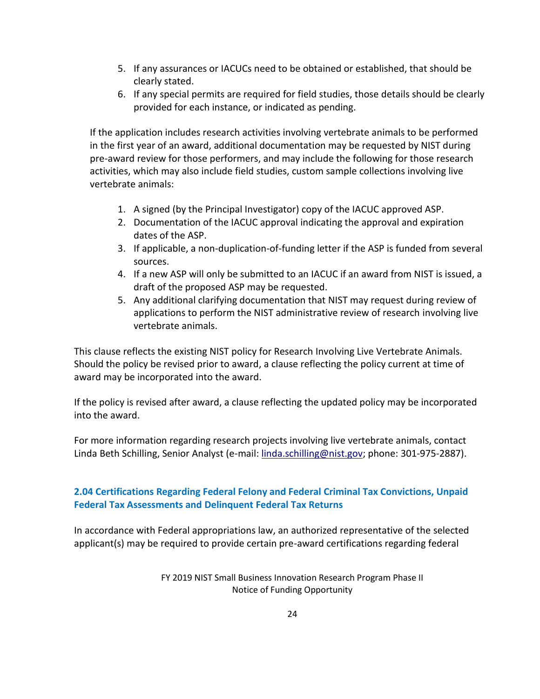- 5. If any assurances or IACUCs need to be obtained or established, that should be clearly stated.
- 6. If any special permits are required for field studies, those details should be clearly provided for each instance, or indicated as pending.

If the application includes research activities involving vertebrate animals to be performed in the first year of an award, additional documentation may be requested by NIST during pre-award review for those performers, and may include the following for those research activities, which may also include field studies, custom sample collections involving live vertebrate animals:

- 1. A signed (by the Principal Investigator) copy of the IACUC approved ASP.
- 2. Documentation of the IACUC approval indicating the approval and expiration dates of the ASP.
- 3. If applicable, a non-duplication-of-funding letter if the ASP is funded from several sources.
- 4. If a new ASP will only be submitted to an IACUC if an award from NIST is issued, a draft of the proposed ASP may be requested.
- 5. Any additional clarifying documentation that NIST may request during review of applications to perform the NIST administrative review of research involving live vertebrate animals.

This clause reflects the existing NIST policy for Research Involving Live Vertebrate Animals. Should the policy be revised prior to award, a clause reflecting the policy current at time of award may be incorporated into the award.

If the policy is revised after award, a clause reflecting the updated policy may be incorporated into the award.

For more information regarding research projects involving live vertebrate animals, contact Linda Beth Schilling, Senior Analyst (e-mail: [linda.schilling@nist.gov;](mailto:linda.schilling@nist.gov) phone: 301-975-2887).

# <span id="page-23-0"></span>**2.04 Certifications Regarding Federal Felony and Federal Criminal Tax Convictions, Unpaid Federal Tax Assessments and Delinquent Federal Tax Returns**

In accordance with Federal appropriations law, an authorized representative of the selected applicant(s) may be required to provide certain pre-award certifications regarding federal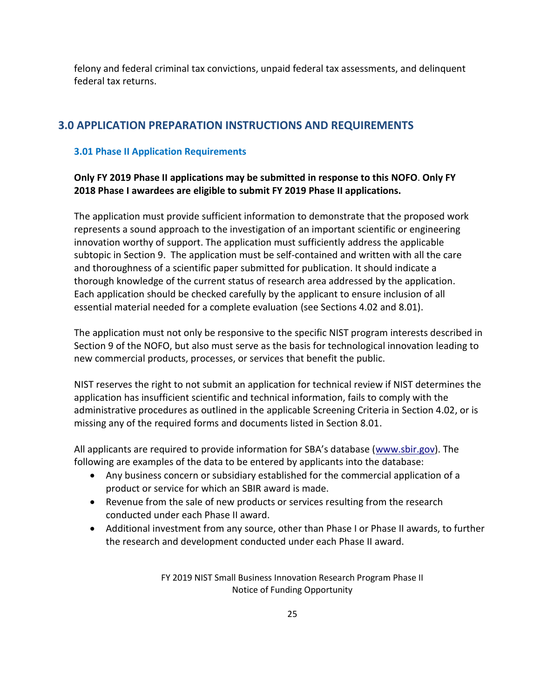felony and federal criminal tax convictions, unpaid federal tax assessments, and delinquent federal tax returns.

# <span id="page-24-0"></span>**3.0 APPLICATION PREPARATION INSTRUCTIONS AND REQUIREMENTS**

## <span id="page-24-1"></span>**3.01 Phase II Application Requirements**

# **Only FY 2019 Phase II applications may be submitted in response to this NOFO**. **Only FY 2018 Phase I awardees are eligible to submit FY 2019 Phase II applications.**

The application must provide sufficient information to demonstrate that the proposed work represents a sound approach to the investigation of an important scientific or engineering innovation worthy of support. The application must sufficiently address the applicable subtopic in Section 9. The application must be self-contained and written with all the care and thoroughness of a scientific paper submitted for publication. It should indicate a thorough knowledge of the current status of research area addressed by the application. Each application should be checked carefully by the applicant to ensure inclusion of all essential material needed for a complete evaluation (see Sections 4.02 and 8.01).

The application must not only be responsive to the specific NIST program interests described in Section 9 of the NOFO, but also must serve as the basis for technological innovation leading to new commercial products, processes, or services that benefit the public.

NIST reserves the right to not submit an application for technical review if NIST determines the application has insufficient scientific and technical information, fails to comply with the administrative procedures as outlined in the applicable Screening Criteria in Section 4.02, or is missing any of the required forms and documents listed in Section 8.01.

All applicants are required to provide information for SBA's database ([www.sbir.gov\)](http://www.sbir.gov/). The following are examples of the data to be entered by applicants into the database:

- Any business concern or subsidiary established for the commercial application of a product or service for which an SBIR award is made.
- Revenue from the sale of new products or services resulting from the research conducted under each Phase II award.
- Additional investment from any source, other than Phase I or Phase II awards, to further the research and development conducted under each Phase II award.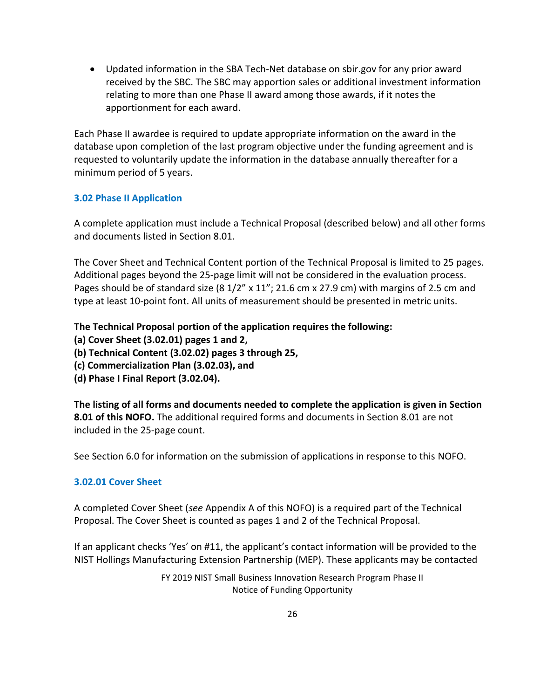• Updated information in the SBA Tech-Net database on sbir.gov for any prior award received by the SBC. The SBC may apportion sales or additional investment information relating to more than one Phase II award among those awards, if it notes the apportionment for each award.

Each Phase II awardee is required to update appropriate information on the award in the database upon completion of the last program objective under the funding agreement and is requested to voluntarily update the information in the database annually thereafter for a minimum period of 5 years.

# <span id="page-25-0"></span>**3.02 Phase II Application**

A complete application must include a Technical Proposal (described below) and all other forms and documents listed in Section 8.01.

The Cover Sheet and Technical Content portion of the Technical Proposal is limited to 25 pages. Additional pages beyond the 25-page limit will not be considered in the evaluation process. Pages should be of standard size (8 1/2" x 11"; 21.6 cm x 27.9 cm) with margins of 2.5 cm and type at least 10-point font. All units of measurement should be presented in metric units.

**The Technical Proposal portion of the application requires the following:**

- **(a) Cover Sheet (3.02.01) pages 1 and 2,**
- **(b) Technical Content (3.02.02) pages 3 through 25,**
- **(c) Commercialization Plan (3.02.03), and**
- **(d) Phase I Final Report (3.02.04).**

**The listing of all forms and documents needed to complete the application is given in Section 8.01 of this NOFO.** The additional required forms and documents in Section 8.01 are not included in the 25-page count.

See Section 6.0 for information on the submission of applications in response to this NOFO.

## **3.02.01 Cover Sheet**

A completed Cover Sheet (*see* Appendix A of this NOFO) is a required part of the Technical Proposal. The Cover Sheet is counted as pages 1 and 2 of the Technical Proposal.

If an applicant checks 'Yes' on #11, the applicant's contact information will be provided to the NIST Hollings Manufacturing Extension Partnership (MEP). These applicants may be contacted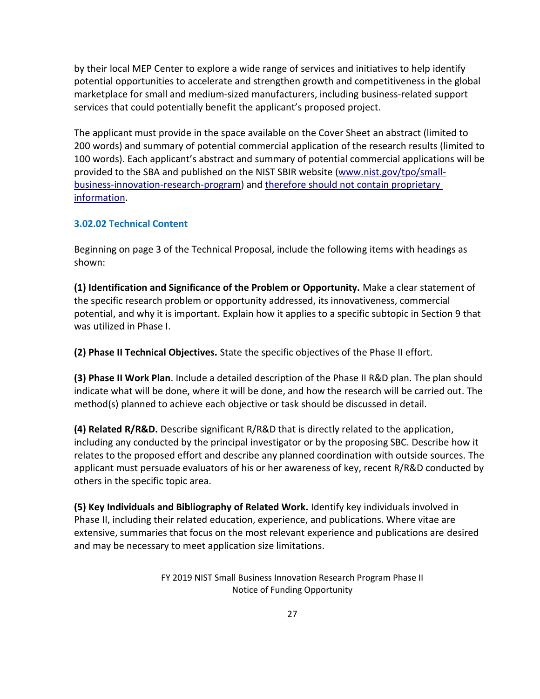by their local MEP Center to explore a wide range of services and initiatives to help identify potential opportunities to accelerate and strengthen growth and competitiveness in the global marketplace for small and medium-sized manufacturers, including business-related support services that could potentially benefit the applicant's proposed project.

The applicant must provide in the space available on the Cover Sheet an abstract (limited to 200 words) and summary of potential commercial application of the research results (limited to 100 words). Each applicant's abstract and summary of potential commercial applications will be provided to the SBA and published on the NIST SBIR website [\(www.nist.gov/tpo/small](http://www.nist.gov/tpo/small-business-innovation-research-program)[business-innovation-research-program\)](http://www.nist.gov/tpo/small-business-innovation-research-program) and [therefore](http://www.sbir.gov/) should not contain proprietary information.

## **3.02.02 Technical Content**

Beginning on page 3 of the Technical Proposal, include the following items with headings as shown:

**(1) Identification and Significance of the Problem or Opportunity.** Make a clear statement of the specific research problem or opportunity addressed, its innovativeness, commercial potential, and why it is important. Explain how it applies to a specific subtopic in Section 9 that was utilized in Phase I.

**(2) Phase II Technical Objectives.** State the specific objectives of the Phase II effort.

**(3) Phase II Work Plan**. Include a detailed description of the Phase II R&D plan. The plan should indicate what will be done, where it will be done, and how the research will be carried out. The method(s) planned to achieve each objective or task should be discussed in detail.

**(4) Related R/R&D.** Describe significant R/R&D that is directly related to the application, including any conducted by the principal investigator or by the proposing SBC. Describe how it relates to the proposed effort and describe any planned coordination with outside sources. The applicant must persuade evaluators of his or her awareness of key, recent R/R&D conducted by others in the specific topic area.

**(5) Key Individuals and Bibliography of Related Work.** Identify key individuals involved in Phase II, including their related education, experience, and publications. Where vitae are extensive, summaries that focus on the most relevant experience and publications are desired and may be necessary to meet application size limitations.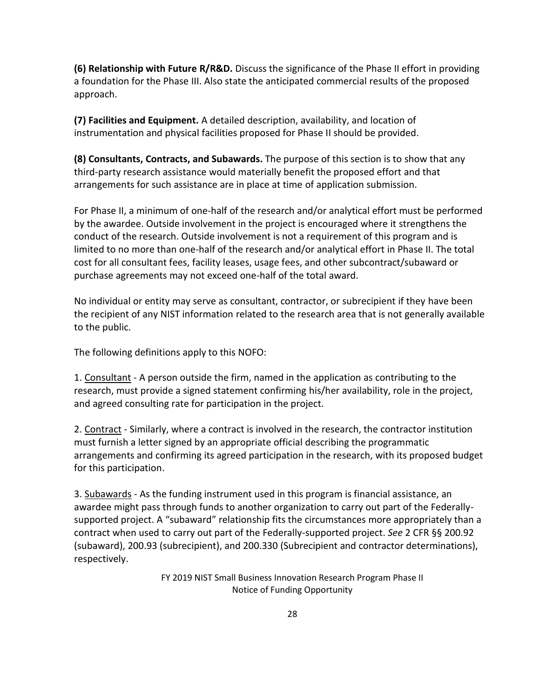**(6) Relationship with Future R/R&D.** Discuss the significance of the Phase II effort in providing a foundation for the Phase III. Also state the anticipated commercial results of the proposed approach.

**(7) Facilities and Equipment.** A detailed description, availability, and location of instrumentation and physical facilities proposed for Phase II should be provided.

**(8) Consultants, Contracts, and Subawards.** The purpose of this section is to show that any third-party research assistance would materially benefit the proposed effort and that arrangements for such assistance are in place at time of application submission.

For Phase II, a minimum of one-half of the research and/or analytical effort must be performed by the awardee. Outside involvement in the project is encouraged where it strengthens the conduct of the research. Outside involvement is not a requirement of this program and is limited to no more than one-half of the research and/or analytical effort in Phase II. The total cost for all consultant fees, facility leases, usage fees, and other subcontract/subaward or purchase agreements may not exceed one-half of the total award.

No individual or entity may serve as consultant, contractor, or subrecipient if they have been the recipient of any NIST information related to the research area that is not generally available to the public.

The following definitions apply to this NOFO:

1. Consultant - A person outside the firm, named in the application as contributing to the research, must provide a signed statement confirming his/her availability, role in the project, and agreed consulting rate for participation in the project.

2. Contract - Similarly, where a contract is involved in the research, the contractor institution must furnish a letter signed by an appropriate official describing the programmatic arrangements and confirming its agreed participation in the research, with its proposed budget for this participation.

3. Subawards - As the funding instrument used in this program is financial assistance, an awardee might pass through funds to another organization to carry out part of the Federallysupported project. A "subaward" relationship fits the circumstances more appropriately than a contract when used to carry out part of the Federally-supported project. *See* 2 CFR §§ 200.92 (subaward), 200.93 (subrecipient), and 200.330 (Subrecipient and contractor determinations), respectively.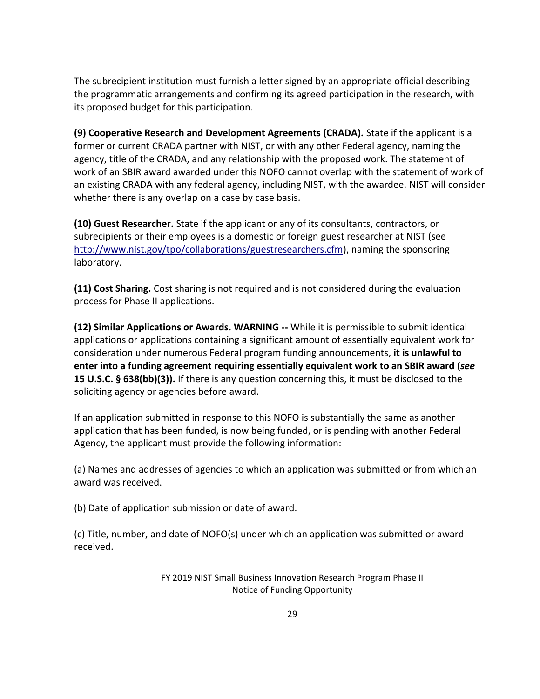The subrecipient institution must furnish a letter signed by an appropriate official describing the programmatic arrangements and confirming its agreed participation in the research, with its proposed budget for this participation.

**(9) Cooperative Research and Development Agreements (CRADA).** State if the applicant is a former or current CRADA partner with NIST, or with any other Federal agency, naming the agency, title of the CRADA, and any relationship with the proposed work. The statement of work of an SBIR award awarded under this NOFO cannot overlap with the statement of work of an existing CRADA with any federal agency, including NIST, with the awardee. NIST will consider whether there is any overlap on a case by case basis.

**(10) Guest Researcher.** State if the applicant or any of its consultants, contractors, or subrecipients or their employees is a domestic or foreign guest researcher at NIST (see [http://www.nist.gov/tpo/collaborations/guestresearchers.cfm\)](http://www.nist.gov/tpo/collaborations/guestresearchers.cfm), naming the sponsoring laboratory.

**(11) Cost Sharing.** Cost sharing is not required and is not considered during the evaluation process for Phase II applications.

**(12) Similar Applications or Awards. WARNING --** While it is permissible to submit identical applications or applications containing a significant amount of essentially equivalent work for consideration under numerous Federal program funding announcements, **it is unlawful to enter into a funding agreement requiring essentially equivalent work to an SBIR award (***see* **15 U.S.C. § 638(bb)(3)).** If there is any question concerning this, it must be disclosed to the soliciting agency or agencies before award.

If an application submitted in response to this NOFO is substantially the same as another application that has been funded, is now being funded, or is pending with another Federal Agency, the applicant must provide the following information:

(a) Names and addresses of agencies to which an application was submitted or from which an award was received.

(b) Date of application submission or date of award.

(c) Title, number, and date of NOFO(s) under which an application was submitted or award received.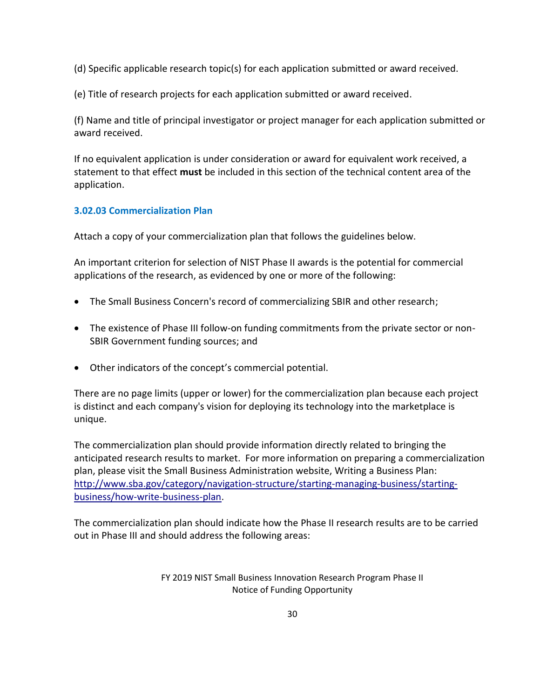(d) Specific applicable research topic(s) for each application submitted or award received.

(e) Title of research projects for each application submitted or award received.

(f) Name and title of principal investigator or project manager for each application submitted or award received.

If no equivalent application is under consideration or award for equivalent work received, a statement to that effect **must** be included in this section of the technical content area of the application.

## **3.02.03 Commercialization Plan**

Attach a copy of your commercialization plan that follows the guidelines below.

An important criterion for selection of NIST Phase II awards is the potential for commercial applications of the research, as evidenced by one or more of the following:

- The Small Business Concern's record of commercializing SBIR and other research;
- The existence of Phase III follow-on funding commitments from the private sector or non-SBIR Government funding sources; and
- Other indicators of the concept's commercial potential.

There are no page limits (upper or lower) for the commercialization plan because each project is distinct and each company's vision for deploying its technology into the marketplace is unique.

The commercialization plan should provide information directly related to bringing the anticipated research results to market. For more information on preparing a commercialization plan, please visit the Small Business Administration website, Writing a Business Plan: [http://www.sba.gov/category/navigation-structure/starting-managing-business/starting](http://www.sba.gov/category/navigation-structure/starting-managing-business/starting-business/how-write-business-plan)[business/how-write-business-plan.](http://www.sba.gov/category/navigation-structure/starting-managing-business/starting-business/how-write-business-plan)

The commercialization plan should indicate how the Phase II research results are to be carried out in Phase III and should address the following areas: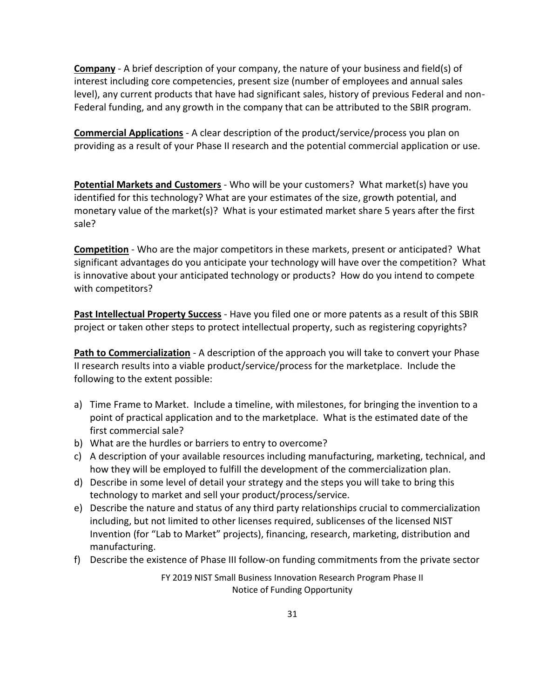**Company** - A brief description of your company, the nature of your business and field(s) of interest including core competencies, present size (number of employees and annual sales level), any current products that have had significant sales, history of previous Federal and non-Federal funding, and any growth in the company that can be attributed to the SBIR program.

**Commercial Applications** - A clear description of the product/service/process you plan on providing as a result of your Phase II research and the potential commercial application or use.

**Potential Markets and Customers** - Who will be your customers? What market(s) have you identified for this technology? What are your estimates of the size, growth potential, and monetary value of the market(s)? What is your estimated market share 5 years after the first sale?

**Competition** - Who are the major competitors in these markets, present or anticipated? What significant advantages do you anticipate your technology will have over the competition? What is innovative about your anticipated technology or products? How do you intend to compete with competitors?

**Past Intellectual Property Success** - Have you filed one or more patents as a result of this SBIR project or taken other steps to protect intellectual property, such as registering copyrights?

**Path to Commercialization** - A description of the approach you will take to convert your Phase II research results into a viable product/service/process for the marketplace. Include the following to the extent possible:

- a) Time Frame to Market. Include a timeline, with milestones, for bringing the invention to a point of practical application and to the marketplace. What is the estimated date of the first commercial sale?
- b) What are the hurdles or barriers to entry to overcome?
- c) A description of your available resources including manufacturing, marketing, technical, and how they will be employed to fulfill the development of the commercialization plan.
- d) Describe in some level of detail your strategy and the steps you will take to bring this technology to market and sell your product/process/service.
- e) Describe the nature and status of any third party relationships crucial to commercialization including, but not limited to other licenses required, sublicenses of the licensed NIST Invention (for "Lab to Market" projects), financing, research, marketing, distribution and manufacturing.
- f) Describe the existence of Phase III follow-on funding commitments from the private sector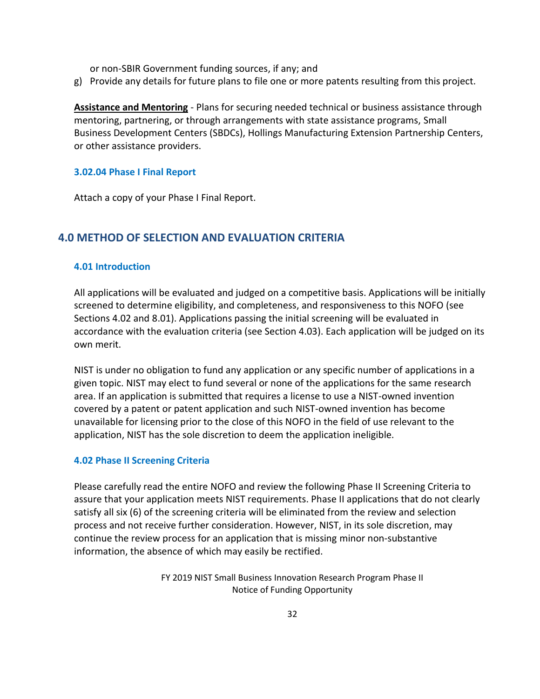or non-SBIR Government funding sources, if any; and

g) Provide any details for future plans to file one or more patents resulting from this project.

**Assistance and Mentoring** - Plans for securing needed technical or business assistance through mentoring, partnering, or through arrangements with state assistance programs, Small Business Development Centers (SBDCs), Hollings Manufacturing Extension Partnership Centers, or other assistance providers.

#### **3.02.04 Phase I Final Report**

Attach a copy of your Phase I Final Report.

# <span id="page-31-0"></span>**4.0 METHOD OF SELECTION AND EVALUATION CRITERIA**

#### <span id="page-31-1"></span>**4.01 Introduction**

All applications will be evaluated and judged on a competitive basis. Applications will be initially screened to determine eligibility, and completeness, and responsiveness to this NOFO (see Sections 4.02 and 8.01). Applications passing the initial screening will be evaluated in accordance with the evaluation criteria (see Section 4.03). Each application will be judged on its own merit.

NIST is under no obligation to fund any application or any specific number of applications in a given topic. NIST may elect to fund several or none of the applications for the same research area. If an application is submitted that requires a license to use a NIST-owned invention covered by a patent or patent application and such NIST-owned invention has become unavailable for licensing prior to the close of this NOFO in the field of use relevant to the application, NIST has the sole discretion to deem the application ineligible.

## <span id="page-31-2"></span>**4.02 Phase II Screening Criteria**

Please carefully read the entire NOFO and review the following Phase II Screening Criteria to assure that your application meets NIST requirements. Phase II applications that do not clearly satisfy all six (6) of the screening criteria will be eliminated from the review and selection process and not receive further consideration. However, NIST, in its sole discretion, may continue the review process for an application that is missing minor non-substantive information, the absence of which may easily be rectified.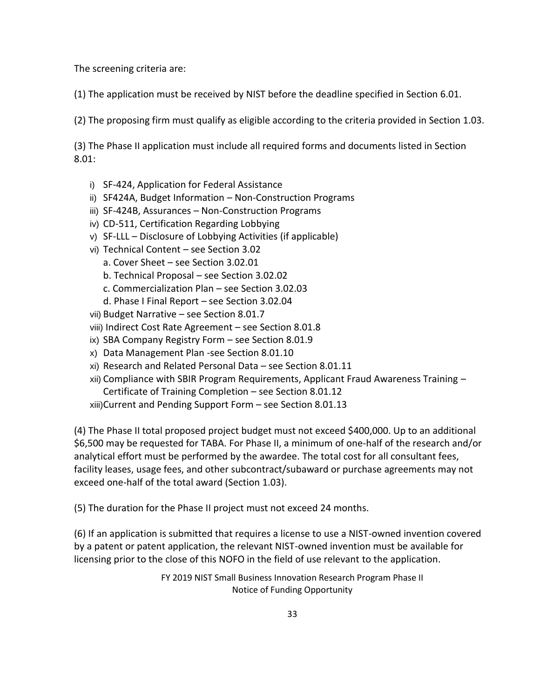The screening criteria are:

(1) The application must be received by NIST before the deadline specified in Section 6.01.

(2) The proposing firm must qualify as eligible according to the criteria provided in Section 1.03.

(3) The Phase II application must include all required forms and documents listed in Section 8.01:

- i) SF-424, Application for Federal Assistance
- ii) SF424A, Budget Information Non-Construction Programs
- iii) SF-424B, Assurances Non-Construction Programs
- iv) CD-511, Certification Regarding Lobbying
- v) SF-LLL Disclosure of Lobbying Activities (if applicable)
- vi) Technical Content see Section 3.02
	- a. Cover Sheet see Section 3.02.01
	- b. Technical Proposal see Section 3.02.02
	- c. Commercialization Plan see Section 3.02.03
	- d. Phase I Final Report see Section 3.02.04
- vii) Budget Narrative see Section 8.01.7
- viii) Indirect Cost Rate Agreement see Section 8.01.8
- ix) SBA Company Registry Form see Section 8.01.9
- x) Data Management Plan -see Section 8.01.10
- xi) Research and Related Personal Data see Section 8.01.11
- xii) Compliance with SBIR Program Requirements, Applicant Fraud Awareness Training Certificate of Training Completion – see Section 8.01.12

xiii)Current and Pending Support Form – see Section 8.01.13

(4) The Phase II total proposed project budget must not exceed \$400,000. Up to an additional \$6,500 may be requested for TABA. For Phase II, a minimum of one-half of the research and/or analytical effort must be performed by the awardee. The total cost for all consultant fees, facility leases, usage fees, and other subcontract/subaward or purchase agreements may not exceed one-half of the total award (Section 1.03).

(5) The duration for the Phase II project must not exceed 24 months.

(6) If an application is submitted that requires a license to use a NIST-owned invention covered by a patent or patent application, the relevant NIST-owned invention must be available for licensing prior to the close of this NOFO in the field of use relevant to the application.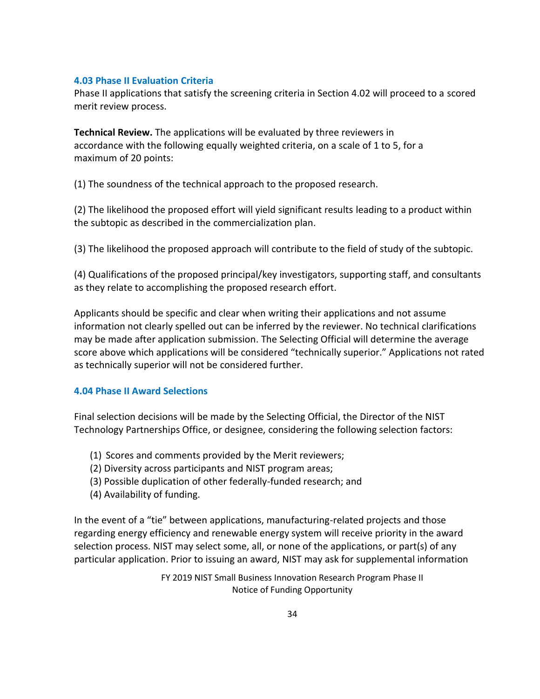## <span id="page-33-0"></span>**4.03 Phase II Evaluation Criteria**

Phase II applications that satisfy the screening criteria in Section 4.02 will proceed to a scored merit review process.

**Technical Review.** The applications will be evaluated by three reviewers in accordance with the following equally weighted criteria, on a scale of 1 to 5, for a maximum of 20 points:

(1) The soundness of the technical approach to the proposed research.

(2) The likelihood the proposed effort will yield significant results leading to a product within the subtopic as described in the commercialization plan.

(3) The likelihood the proposed approach will contribute to the field of study of the subtopic.

(4) Qualifications of the proposed principal/key investigators, supporting staff, and consultants as they relate to accomplishing the proposed research effort.

Applicants should be specific and clear when writing their applications and not assume information not clearly spelled out can be inferred by the reviewer. No technical clarifications may be made after application submission. The Selecting Official will determine the average score above which applications will be considered "technically superior." Applications not rated as technically superior will not be considered further.

## <span id="page-33-1"></span>**4.04 Phase II Award Selections**

Final selection decisions will be made by the Selecting Official, the Director of the NIST Technology Partnerships Office, or designee, considering the following selection factors:

- (1) Scores and comments provided by the Merit reviewers;
- (2) Diversity across participants and NIST program areas;
- (3) Possible duplication of other federally-funded research; and
- (4) Availability of funding.

In the event of a "tie" between applications, manufacturing-related projects and those regarding energy efficiency and renewable energy system will receive priority in the award selection process. NIST may select some, all, or none of the applications, or part(s) of any particular application. Prior to issuing an award, NIST may ask for supplemental information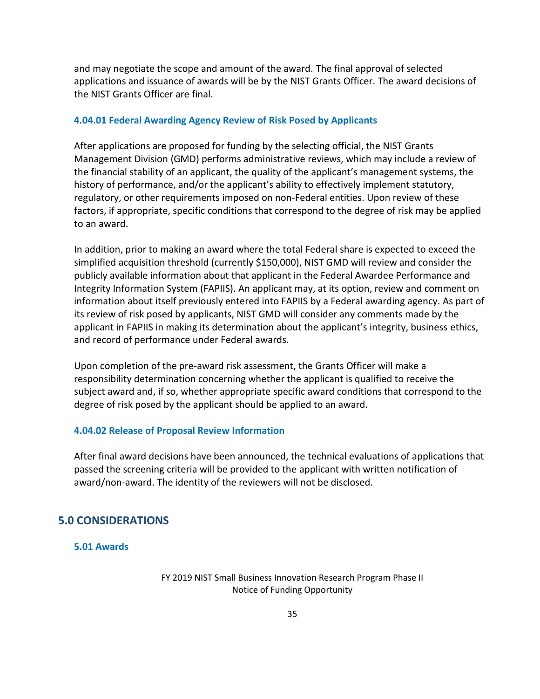and may negotiate the scope and amount of the award. The final approval of selected applications and issuance of awards will be by the NIST Grants Officer. The award decisions of the NIST Grants Officer are final.

#### **4.04.01 Federal Awarding Agency Review of Risk Posed by Applicants**

After applications are proposed for funding by the selecting official, the NIST Grants Management Division (GMD) performs administrative reviews, which may include a review of the financial stability of an applicant, the quality of the applicant's management systems, the history of performance, and/or the applicant's ability to effectively implement statutory, regulatory, or other requirements imposed on non-Federal entities. Upon review of these factors, if appropriate, specific conditions that correspond to the degree of risk may be applied to an award.

In addition, prior to making an award where the total Federal share is expected to exceed the simplified acquisition threshold (currently \$150,000), NIST GMD will review and consider the publicly available information about that applicant in the Federal Awardee Performance and Integrity Information System (FAPIIS). An applicant may, at its option, review and comment on information about itself previously entered into FAPIIS by a Federal awarding agency. As part of its review of risk posed by applicants, NIST GMD will consider any comments made by the applicant in FAPIIS in making its determination about the applicant's integrity, business ethics, and record of performance under Federal awards.

Upon completion of the pre-award risk assessment, the Grants Officer will make a responsibility determination concerning whether the applicant is qualified to receive the subject award and, if so, whether appropriate specific award conditions that correspond to the degree of risk posed by the applicant should be applied to an award.

#### **4.04.02 Release of Proposal Review Information**

After final award decisions have been announced, the technical evaluations of applications that passed the screening criteria will be provided to the applicant with written notification of award/non-award. The identity of the reviewers will not be disclosed.

# <span id="page-34-0"></span>**5.0 CONSIDERATIONS**

#### <span id="page-34-1"></span>**5.01 Awards**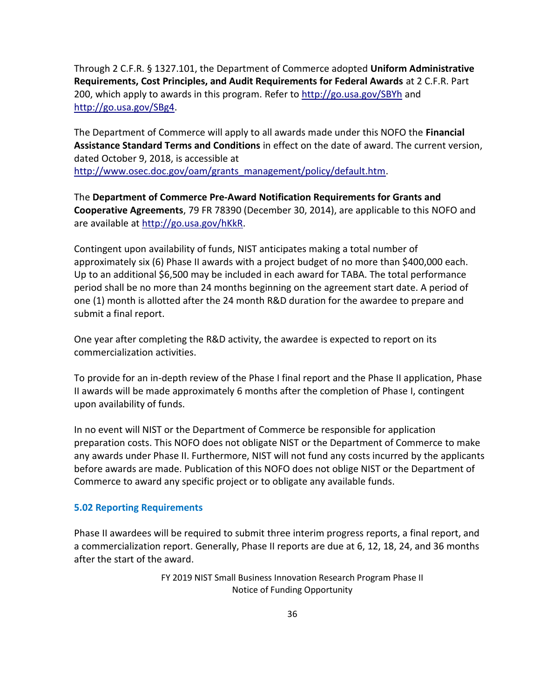Through 2 C.F.R. § 1327.101, the Department of Commerce adopted **Uniform Administrative Requirements, Cost Principles, and Audit Requirements for Federal Awards** at 2 C.F.R. Part 200, which apply to awards in this program. Refer to<http://go.usa.gov/SBYh> and <http://go.usa.gov/SBg4>.

The Department of Commerce will apply to all awards made under this NOFO the **Financial Assistance Standard Terms and Conditions** in effect on the date of award. The current version, dated October 9, 2018, is accessible at

[http://www.osec.doc.gov/oam/grants\\_management/policy/default.htm.](http://www.osec.doc.gov/oam/grants_management/policy/default.htm)

The **Department of Commerce Pre-Award Notification Requirements for Grants and Cooperative Agreements**, 79 FR 78390 (December 30, 2014), are applicable to this NOFO and are available at [http://go.usa.gov/hKkR.](http://go.usa.gov/hKkR)

Contingent upon availability of funds, NIST anticipates making a total number of approximately six (6) Phase II awards with a project budget of no more than \$400,000 each. Up to an additional \$6,500 may be included in each award for TABA. The total performance period shall be no more than 24 months beginning on the agreement start date. A period of one (1) month is allotted after the 24 month R&D duration for the awardee to prepare and submit a final report.

One year after completing the R&D activity, the awardee is expected to report on its commercialization activities.

To provide for an in-depth review of the Phase I final report and the Phase II application, Phase II awards will be made approximately 6 months after the completion of Phase I, contingent upon availability of funds.

In no event will NIST or the Department of Commerce be responsible for application preparation costs. This NOFO does not obligate NIST or the Department of Commerce to make any awards under Phase II. Furthermore, NIST will not fund any costs incurred by the applicants before awards are made. Publication of this NOFO does not oblige NIST or the Department of Commerce to award any specific project or to obligate any available funds.

# <span id="page-35-0"></span>**5.02 Reporting Requirements**

Phase II awardees will be required to submit three interim progress reports, a final report, and a commercialization report. Generally, Phase II reports are due at 6, 12, 18, 24, and 36 months after the start of the award.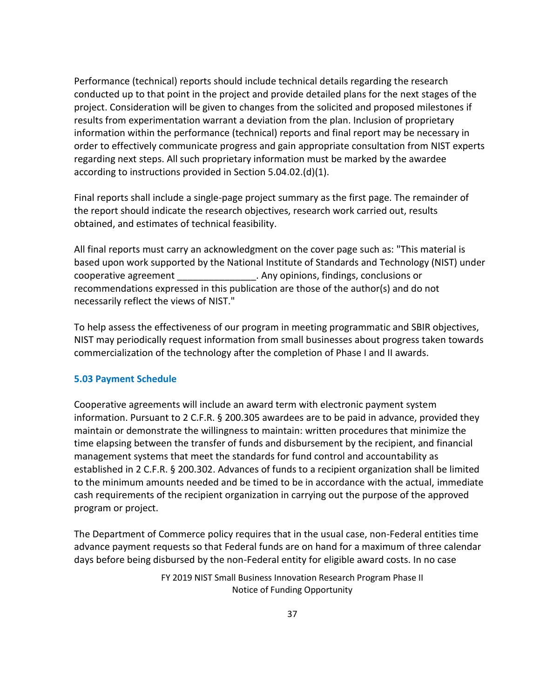Performance (technical) reports should include technical details regarding the research conducted up to that point in the project and provide detailed plans for the next stages of the project. Consideration will be given to changes from the solicited and proposed milestones if results from experimentation warrant a deviation from the plan. Inclusion of proprietary information within the performance (technical) reports and final report may be necessary in order to effectively communicate progress and gain appropriate consultation from NIST experts regarding next steps. All such proprietary information must be marked by the awardee according to instructions provided in Section 5.04.02.(d)(1).

Final reports shall include a single-page project summary as the first page. The remainder of the report should indicate the research objectives, research work carried out, results obtained, and estimates of technical feasibility.

All final reports must carry an acknowledgment on the cover page such as: "This material is based upon work supported by the National Institute of Standards and Technology (NIST) under cooperative agreement \_\_\_\_\_\_\_\_\_\_\_\_\_\_\_. Any opinions, findings, conclusions or recommendations expressed in this publication are those of the author(s) and do not necessarily reflect the views of NIST."

To help assess the effectiveness of our program in meeting programmatic and SBIR objectives, NIST may periodically request information from small businesses about progress taken towards commercialization of the technology after the completion of Phase I and II awards.

## **5.03 Payment Schedule**

Cooperative agreements will include an award term with electronic payment system information. Pursuant to 2 C.F.R. § 200.305 awardees are to be paid in advance, provided they maintain or demonstrate the willingness to maintain: written procedures that minimize the time elapsing between the transfer of funds and disbursement by the recipient, and financial management systems that meet the standards for fund control and accountability as established in 2 C.F.R. § 200.302. Advances of funds to a recipient organization shall be limited to the minimum amounts needed and be timed to be in accordance with the actual, immediate cash requirements of the recipient organization in carrying out the purpose of the approved program or project.

The Department of Commerce policy requires that in the usual case, non-Federal entities time advance payment requests so that Federal funds are on hand for a maximum of three calendar days before being disbursed by the non-Federal entity for eligible award costs. In no case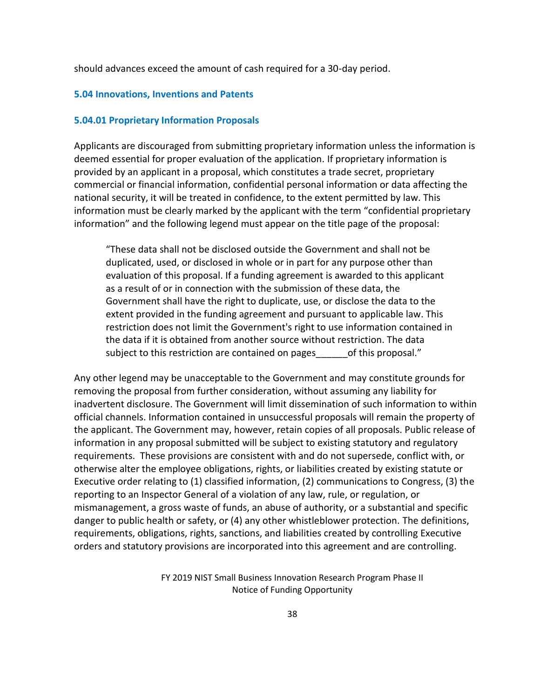should advances exceed the amount of cash required for a 30-day period.

#### **5.04 Innovations, Inventions and Patents**

#### **5.04.01 Proprietary Information Proposals**

Applicants are discouraged from submitting proprietary information unless the information is deemed essential for proper evaluation of the application. If proprietary information is provided by an applicant in a proposal, which constitutes a trade secret, proprietary commercial or financial information, confidential personal information or data affecting the national security, it will be treated in confidence, to the extent permitted by law. This information must be clearly marked by the applicant with the term "confidential proprietary information" and the following legend must appear on the title page of the proposal:

"These data shall not be disclosed outside the Government and shall not be duplicated, used, or disclosed in whole or in part for any purpose other than evaluation of this proposal. If a funding agreement is awarded to this applicant as a result of or in connection with the submission of these data, the Government shall have the right to duplicate, use, or disclose the data to the extent provided in the funding agreement and pursuant to applicable law. This restriction does not limit the Government's right to use information contained in the data if it is obtained from another source without restriction. The data subject to this restriction are contained on pages of this proposal."

Any other legend may be unacceptable to the Government and may constitute grounds for removing the proposal from further consideration, without assuming any liability for inadvertent disclosure. The Government will limit dissemination of such information to within official channels. Information contained in unsuccessful proposals will remain the property of the applicant. The Government may, however, retain copies of all proposals. Public release of information in any proposal submitted will be subject to existing statutory and regulatory requirements. These provisions are consistent with and do not supersede, conflict with, or otherwise alter the employee obligations, rights, or liabilities created by existing statute or Executive order relating to (1) classified information, (2) communications to Congress, (3) the reporting to an Inspector General of a violation of any law, rule, or regulation, or mismanagement, a gross waste of funds, an abuse of authority, or a substantial and specific danger to public health or safety, or (4) any other whistleblower protection. The definitions, requirements, obligations, rights, sanctions, and liabilities created by controlling Executive orders and statutory provisions are incorporated into this agreement and are controlling.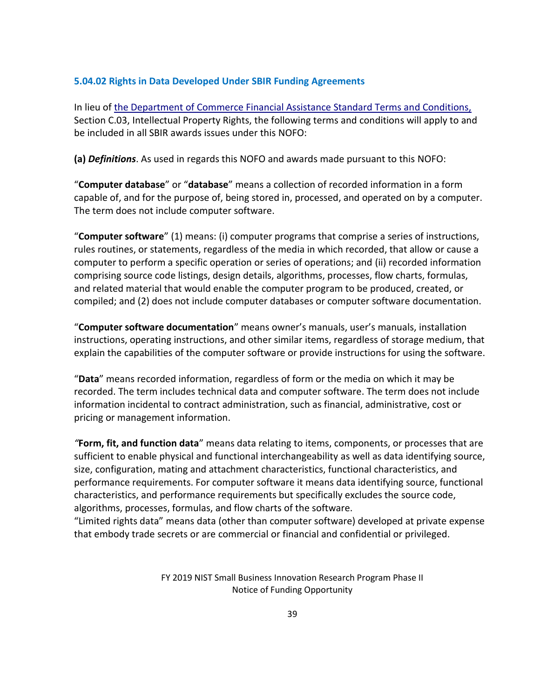### **5.04.02 Rights in Data Developed Under SBIR Funding Agreements**

In lieu of [the Department of Commerce Financial Assistance Standard Terms and Conditions,](http://www.osec.doc.gov/oam/grants_management/policy/documents/Department%20of%20Commerce%20Standard%20Terms%20&%20Conditions%2009%20October%202018.pdf) Section C.03, Intellectual Property Rights, the following terms and conditions will apply to and be included in all SBIR awards issues under this NOFO:

**(a)** *Definitions*. As used in regards this NOFO and awards made pursuant to this NOFO:

"**Computer database**" or "**database**" means a collection of recorded information in a form capable of, and for the purpose of, being stored in, processed, and operated on by a computer. The term does not include computer software.

"**Computer software**" (1) means: (i) computer programs that comprise a series of instructions, rules routines, or statements, regardless of the media in which recorded, that allow or cause a computer to perform a specific operation or series of operations; and (ii) recorded information comprising source code listings, design details, algorithms, processes, flow charts, formulas, and related material that would enable the computer program to be produced, created, or compiled; and (2) does not include computer databases or computer software documentation.

"**Computer software documentation**" means owner's manuals, user's manuals, installation instructions, operating instructions, and other similar items, regardless of storage medium, that explain the capabilities of the computer software or provide instructions for using the software.

"**Data**" means recorded information, regardless of form or the media on which it may be recorded. The term includes technical data and computer software. The term does not include information incidental to contract administration, such as financial, administrative, cost or pricing or management information.

*"***Form, fit, and function data**" means data relating to items, components, or processes that are sufficient to enable physical and functional interchangeability as well as data identifying source, size, configuration, mating and attachment characteristics, functional characteristics, and performance requirements. For computer software it means data identifying source, functional characteristics, and performance requirements but specifically excludes the source code, algorithms, processes, formulas, and flow charts of the software.

"Limited rights data" means data (other than computer software) developed at private expense that embody trade secrets or are commercial or financial and confidential or privileged.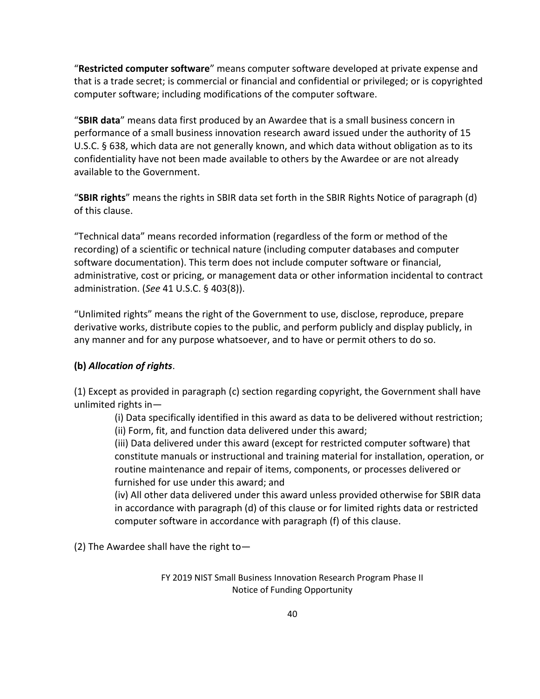"**Restricted computer software**" means computer software developed at private expense and that is a trade secret; is commercial or financial and confidential or privileged; or is copyrighted computer software; including modifications of the computer software.

"**SBIR data**" means data first produced by an Awardee that is a small business concern in performance of a small business innovation research award issued under the authority of 15 U.S.C. § 638, which data are not generally known, and which data without obligation as to its confidentiality have not been made available to others by the Awardee or are not already available to the Government.

"**SBIR rights**" means the rights in SBIR data set forth in the SBIR Rights Notice of paragraph (d) of this clause.

"Technical data" means recorded information (regardless of the form or method of the recording) of a scientific or technical nature (including computer databases and computer software documentation). This term does not include computer software or financial, administrative, cost or pricing, or management data or other information incidental to contract administration. (*See* 41 U.S.C. § 403(8)).

"Unlimited rights" means the right of the Government to use, disclose, reproduce, prepare derivative works, distribute copies to the public, and perform publicly and display publicly, in any manner and for any purpose whatsoever, and to have or permit others to do so.

## **(b)** *Allocation of rights*.

(1) Except as provided in paragraph (c) section regarding copyright, the Government shall have unlimited rights in—

(i) Data specifically identified in this award as data to be delivered without restriction; (ii) Form, fit, and function data delivered under this award;

(iii) Data delivered under this award (except for restricted computer software) that constitute manuals or instructional and training material for installation, operation, or routine maintenance and repair of items, components, or processes delivered or furnished for use under this award; and

(iv) All other data delivered under this award unless provided otherwise for SBIR data in accordance with paragraph (d) of this clause or for limited rights data or restricted computer software in accordance with paragraph (f) of this clause.

(2) The Awardee shall have the right to—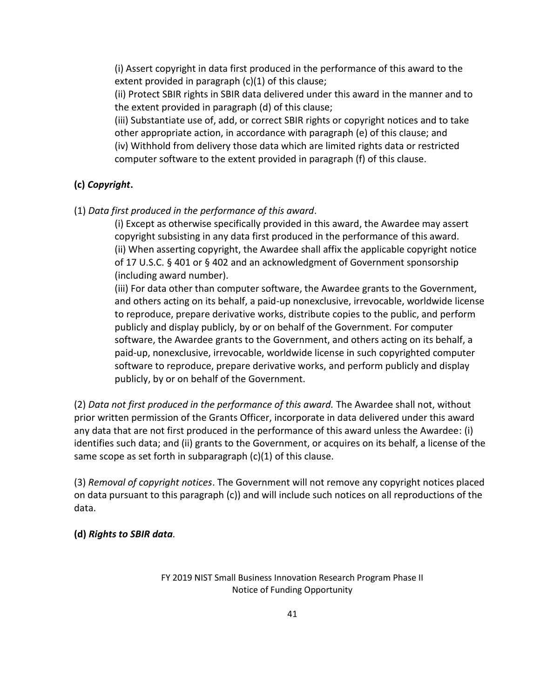(i) Assert copyright in data first produced in the performance of this award to the extent provided in paragraph (c)(1) of this clause;

(ii) Protect SBIR rights in SBIR data delivered under this award in the manner and to the extent provided in paragraph (d) of this clause;

(iii) Substantiate use of, add, or correct SBIR rights or copyright notices and to take other appropriate action, in accordance with paragraph (e) of this clause; and (iv) Withhold from delivery those data which are limited rights data or restricted computer software to the extent provided in paragraph (f) of this clause.

# **(c)** *Copyright***.**

(1) *Data first produced in the performance of this award*.

(i) Except as otherwise specifically provided in this award, the Awardee may assert copyright subsisting in any data first produced in the performance of this award. (ii) When asserting copyright, the Awardee shall affix the applicable copyright notice of 17 U.S.C. § 401 or § 402 and an acknowledgment of Government sponsorship (including award number).

(iii) For data other than computer software, the Awardee grants to the Government, and others acting on its behalf, a paid-up nonexclusive, irrevocable, worldwide license to reproduce, prepare derivative works, distribute copies to the public, and perform publicly and display publicly, by or on behalf of the Government. For computer software, the Awardee grants to the Government, and others acting on its behalf, a paid-up, nonexclusive, irrevocable, worldwide license in such copyrighted computer software to reproduce, prepare derivative works, and perform publicly and display publicly, by or on behalf of the Government.

(2) *Data not first produced in the performance of this award.* The Awardee shall not, without prior written permission of the Grants Officer, incorporate in data delivered under this award any data that are not first produced in the performance of this award unless the Awardee: (i) identifies such data; and (ii) grants to the Government, or acquires on its behalf, a license of the same scope as set forth in subparagraph (c)(1) of this clause.

(3) *Removal of copyright notices*. The Government will not remove any copyright notices placed on data pursuant to this paragraph (c)) and will include such notices on all reproductions of the data.

# **(d)** *Rights to SBIR data.*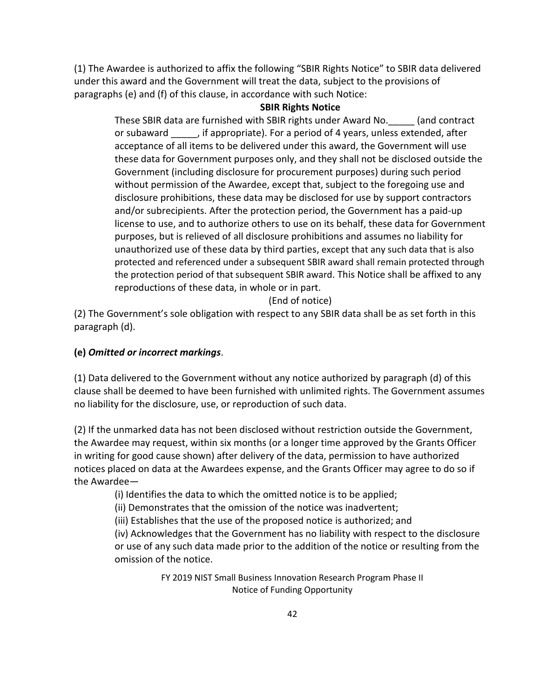(1) The Awardee is authorized to affix the following "SBIR Rights Notice" to SBIR data delivered under this award and the Government will treat the data, subject to the provisions of paragraphs (e) and (f) of this clause, in accordance with such Notice:

### **SBIR Rights Notice**

These SBIR data are furnished with SBIR rights under Award No.\_\_\_\_\_ (and contract or subaward \_\_\_\_\_, if appropriate). For a period of 4 years, unless extended, after acceptance of all items to be delivered under this award, the Government will use these data for Government purposes only, and they shall not be disclosed outside the Government (including disclosure for procurement purposes) during such period without permission of the Awardee, except that, subject to the foregoing use and disclosure prohibitions, these data may be disclosed for use by support contractors and/or subrecipients. After the protection period, the Government has a paid-up license to use, and to authorize others to use on its behalf, these data for Government purposes, but is relieved of all disclosure prohibitions and assumes no liability for unauthorized use of these data by third parties, except that any such data that is also protected and referenced under a subsequent SBIR award shall remain protected through the protection period of that subsequent SBIR award. This Notice shall be affixed to any reproductions of these data, in whole or in part.

(End of notice)

(2) The Government's sole obligation with respect to any SBIR data shall be as set forth in this paragraph (d).

## **(e)** *Omitted or incorrect markings*.

(1) Data delivered to the Government without any notice authorized by paragraph (d) of this clause shall be deemed to have been furnished with unlimited rights. The Government assumes no liability for the disclosure, use, or reproduction of such data.

(2) If the unmarked data has not been disclosed without restriction outside the Government, the Awardee may request, within six months (or a longer time approved by the Grants Officer in writing for good cause shown) after delivery of the data, permission to have authorized notices placed on data at the Awardees expense, and the Grants Officer may agree to do so if the Awardee—

(i) Identifies the data to which the omitted notice is to be applied;

(ii) Demonstrates that the omission of the notice was inadvertent;

(iii) Establishes that the use of the proposed notice is authorized; and

(iv) Acknowledges that the Government has no liability with respect to the disclosure or use of any such data made prior to the addition of the notice or resulting from the omission of the notice.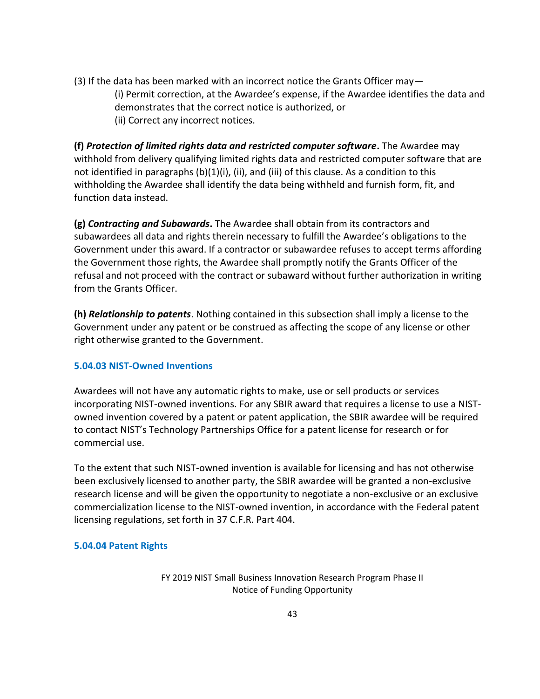- (3) If the data has been marked with an incorrect notice the Grants Officer may—
	- (i) Permit correction, at the Awardee's expense, if the Awardee identifies the data and demonstrates that the correct notice is authorized, or (ii) Correct any incorrect notices.

**(f)** *Protection of limited rights data and restricted computer software***.** The Awardee may withhold from delivery qualifying limited rights data and restricted computer software that are not identified in paragraphs (b)(1)(i), (ii), and (iii) of this clause. As a condition to this withholding the Awardee shall identify the data being withheld and furnish form, fit, and function data instead.

**(g)** *Contracting and Subawards***.** The Awardee shall obtain from its contractors and subawardees all data and rights therein necessary to fulfill the Awardee's obligations to the Government under this award. If a contractor or subawardee refuses to accept terms affording the Government those rights, the Awardee shall promptly notify the Grants Officer of the refusal and not proceed with the contract or subaward without further authorization in writing from the Grants Officer.

**(h)** *Relationship to patents*. Nothing contained in this subsection shall imply a license to the Government under any patent or be construed as affecting the scope of any license or other right otherwise granted to the Government.

## **5.04.03 NIST-Owned Inventions**

Awardees will not have any automatic rights to make, use or sell products or services incorporating NIST-owned inventions. For any SBIR award that requires a license to use a NISTowned invention covered by a patent or patent application, the SBIR awardee will be required to contact NIST's Technology Partnerships Office for a patent license for research or for commercial use.

To the extent that such NIST-owned invention is available for licensing and has not otherwise been exclusively licensed to another party, the SBIR awardee will be granted a non-exclusive research license and will be given the opportunity to negotiate a non-exclusive or an exclusive commercialization license to the NIST-owned invention, in accordance with the Federal patent licensing regulations, set forth in 37 C.F.R. Part 404.

## **5.04.04 Patent Rights**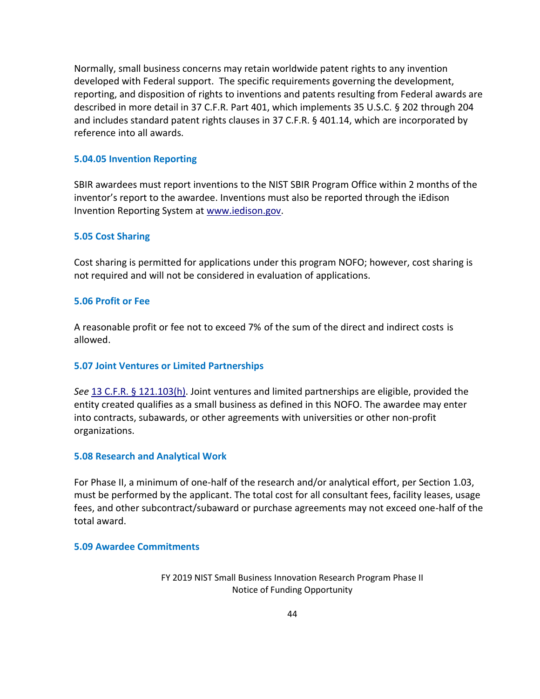Normally, small business concerns may retain worldwide patent rights to any invention developed with Federal support. The specific requirements governing the development, reporting, and disposition of rights to inventions and patents resulting from Federal awards are described in more detail in 37 C.F.R. Part 401, which implements 35 U.S.C. § 202 through 204 and includes standard patent rights clauses in 37 C.F.R. § 401.14, which are incorporated by reference into all awards.

### **5.04.05 Invention Reporting**

SBIR awardees must report inventions to the NIST SBIR Program Office within 2 months of the inventor's report to the awardee. Inventions must also be reported through the iEdison Invention Reporting System at [www.iedison.gov.](http://www.iedison.gov/)

### **5.05 Cost Sharing**

Cost sharing is permitted for applications under this program NOFO; however, cost sharing is not required and will not be considered in evaluation of applications.

### **5.06 Profit or Fee**

A reasonable profit or fee not to exceed 7% of the sum of the direct and indirect costs is allowed.

## **5.07 Joint Ventures or Limited Partnerships**

*See* [13 C.F.R. § 121.103\(h\).](http://www.ecfr.gov/cgi-bin/text-idx?SID=e26c2e0b9f32468dbb0cedb609a8d238&mc=true&node=se13.1.121_1103&rgn=div8) Joint ventures and limited partnerships are eligible, provided the entity created qualifies as a small business as defined in this NOFO. The awardee may enter into contracts, subawards, or other agreements with universities or other non-profit organizations.

#### **5.08 Research and Analytical Work**

For Phase II, a minimum of one-half of the research and/or analytical effort, per Section 1.03, must be performed by the applicant. The total cost for all consultant fees, facility leases, usage fees, and other subcontract/subaward or purchase agreements may not exceed one-half of the total award.

#### **5.09 Awardee Commitments**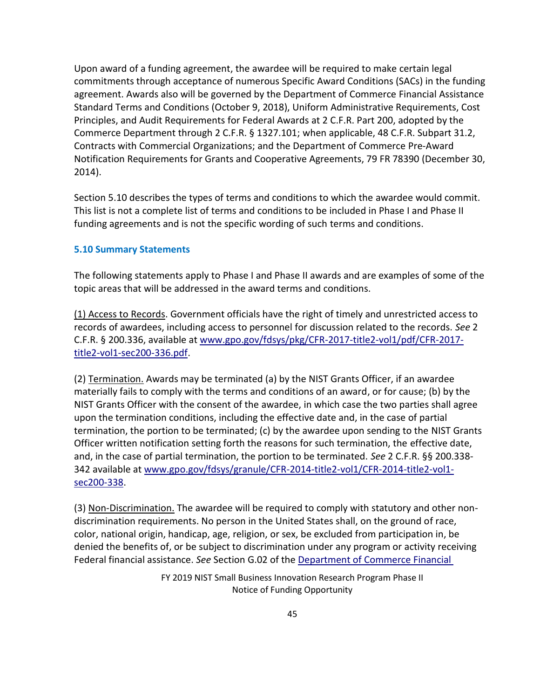Upon award of a funding agreement, the awardee will be required to make certain legal commitments through acceptance of numerous Specific Award Conditions (SACs) in the funding agreement. Awards also will be governed by the Department of Commerce Financial Assistance Standard Terms and Conditions (October 9, 2018), Uniform Administrative Requirements, Cost Principles, and Audit Requirements for Federal Awards at 2 C.F.R. Part 200, adopted by the Commerce Department through 2 C.F.R. § 1327.101; when applicable, 48 C.F.R. Subpart 31.2, Contracts with Commercial Organizations; and the Department of Commerce Pre-Award Notification Requirements for Grants and Cooperative Agreements, 79 FR 78390 (December 30, 2014).

Section 5.10 describes the types of terms and conditions to which the awardee would commit. This list is not a complete list of terms and conditions to be included in Phase I and Phase II funding agreements and is not the specific wording of such terms and conditions.

## **5.10 Summary Statements**

The following statements apply to Phase I and Phase II awards and are examples of some of the topic areas that will be addressed in the award terms and conditions.

(1) Access to Records. Government officials have the right of timely and unrestricted access to records of awardees, including access to personnel for discussion related to the records. *See* 2 C.F.R. § 200.336, available at [www.gpo.gov/fdsys/pkg/CFR-2017-title2-vol1/pdf/CFR-2017](http://www.gpo.gov/fdsys/pkg/CFR-2017-title2-vol1/pdf/CFR-2017-title2-vol1-sec200-336.pdf) [title2-vol1-sec200-336.pdf.](http://www.gpo.gov/fdsys/pkg/CFR-2017-title2-vol1/pdf/CFR-2017-title2-vol1-sec200-336.pdf)

(2) Termination. Awards may be terminated (a) by the NIST Grants Officer, if an awardee materially fails to comply with the terms and conditions of an award, or for cause; (b) by the NIST Grants Officer with the consent of the awardee, in which case the two parties shall agree upon the termination conditions, including the effective date and, in the case of partial termination, the portion to be terminated; (c) by the awardee upon sending to the NIST Grants Officer written notification setting forth the reasons for such termination, the effective date, and, in the case of partial termination, the portion to be terminated. *See* 2 C.F.R. §§ 200.338- 342 available at [www.gpo.gov/fdsys/granule/CFR-2014-title2-vol1/CFR-2014-title2-vol1](http://www.gpo.gov/fdsys/granule/CFR-2014-title2-vol1/CFR-2014-title2-vol1-sec200-338) [sec200-338.](http://www.gpo.gov/fdsys/granule/CFR-2014-title2-vol1/CFR-2014-title2-vol1-sec200-338)

(3) Non-Discrimination. The awardee will be required to comply with statutory and other nondiscrimination requirements. No person in the United States shall, on the ground of race, color, national origin, handicap, age, religion, or sex, be excluded from participation in, be denied the benefits of, or be subject to discrimination under any program or activity receiving Federal financial assistance. *See* Section G.02 of the [Department of Commerce Financial](http://www.osec.doc.gov/oam/grants_management/policy/documents/Department%20of%20Commerce%20Standard%20Terms%20&%20Conditions%2009%20October%202018.pdf)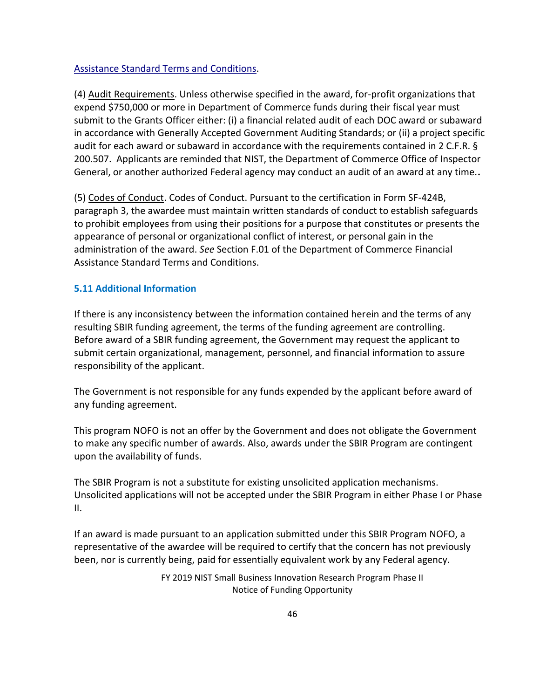### [Assistance Standard Terms](http://www.osec.doc.gov/oam/grants_management/policy/documents/Department%20of%20Commerce%20Standard%20Terms%20&%20Conditions%2009%20October%202018.pdf) and Conditions.

(4) Audit Requirements. Unless otherwise specified in the award, for-profit organizations that expend \$750,000 or more in Department of Commerce funds during their fiscal year must submit to the Grants Officer either: (i) a financial related audit of each DOC award or subaward in accordance with Generally Accepted Government Auditing Standards; or (ii) a project specific audit for each award or subaward in accordance with the requirements contained in 2 C.F.R. § 200.507. Applicants are reminded that NIST, the Department of Commerce Office of Inspector General, or another authorized Federal agency may conduct an audit of an award at any time.**.** 

(5) Codes of Conduct. Codes of Conduct. Pursuant to the certification in Form SF-424B, paragraph 3, the awardee must maintain written standards of conduct to establish safeguards to prohibit employees from using their positions for a purpose that constitutes or presents the appearance of personal or organizational conflict of interest, or personal gain in the administration of the award. *See* Section F.01 of the Department of Commerce Financial Assistance Standard Terms and Conditions.

## **5.11 Additional Information**

If there is any inconsistency between the information contained herein and the terms of any resulting SBIR funding agreement, the terms of the funding agreement are controlling. Before award of a SBIR funding agreement, the Government may request the applicant to submit certain organizational, management, personnel, and financial information to assure responsibility of the applicant.

The Government is not responsible for any funds expended by the applicant before award of any funding agreement.

This program NOFO is not an offer by the Government and does not obligate the Government to make any specific number of awards. Also, awards under the SBIR Program are contingent upon the availability of funds.

The SBIR Program is not a substitute for existing unsolicited application mechanisms. Unsolicited applications will not be accepted under the SBIR Program in either Phase I or Phase II.

If an award is made pursuant to an application submitted under this SBIR Program NOFO, a representative of the awardee will be required to certify that the concern has not previously been, nor is currently being, paid for essentially equivalent work by any Federal agency.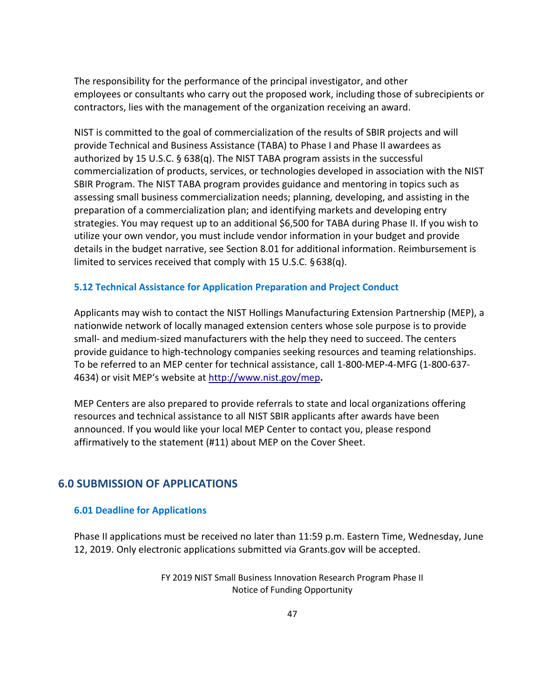The responsibility for the performance of the principal investigator, and other employees or consultants who carry out the proposed work, including those of subrecipients or contractors, lies with the management of the organization receiving an award.

NIST is committed to the goal of commercialization of the results of SBIR projects and will provide Technical and Business Assistance (TABA) to Phase I and Phase II awardees as authorized by 15 U.S.C.  $\S$  638(q). The NIST TABA program assists in the successful commercialization of products, services, or technologies developed in association with the NIST SBIR Program. The NIST TABA program provides guidance and mentoring in topics such as assessing small business commercialization needs; planning, developing, and assisting in the preparation of a commercialization plan; and identifying markets and developing entry strategies. You may request up to an additional \$6,500 for TABA during Phase II. If you wish to utilize your own vendor, you must include vendor information in your budget and provide details in the budget narrative, see Section 8.01 for additional information. Reimbursement is limited to services received that comply with 15 U.S.C. § 638(q).

#### **5.12 Technical Assistance for Application Preparation and Project Conduct**

Applicants may wish to contact the NIST Hollings Manufacturing Extension Partnership (MEP), a nationwide network of locally managed extension centers whose sole purpose is to provide small- and medium-sized manufacturers with the help they need to succeed. The centers provide guidance to high-technology companies seeking resources and teaming relationships. To be referred to an MEP center for technical assistance, call 1-800-MEP-4-MFG (1-800-637- 4634) or visit MEP's website at <http://www.nist.gov/mep>**.** 

MEP Centers are also prepared to provide referrals to state and local organizations offering resources and technical assistance to all NIST SBIR applicants after awards have been announced. If you would like your local MEP Center to contact you, please respond affirmatively to the statement (#11) about MEP on the Cover Sheet.

## **6.0 SUBMISSION OF APPLICATIONS**

#### **6.01 Deadline for Applications**

Phase II applications must be received no later than 11:59 p.m. Eastern Time, Wednesday, June 12, 2019. Only electronic applications submitted via Grants.gov will be accepted.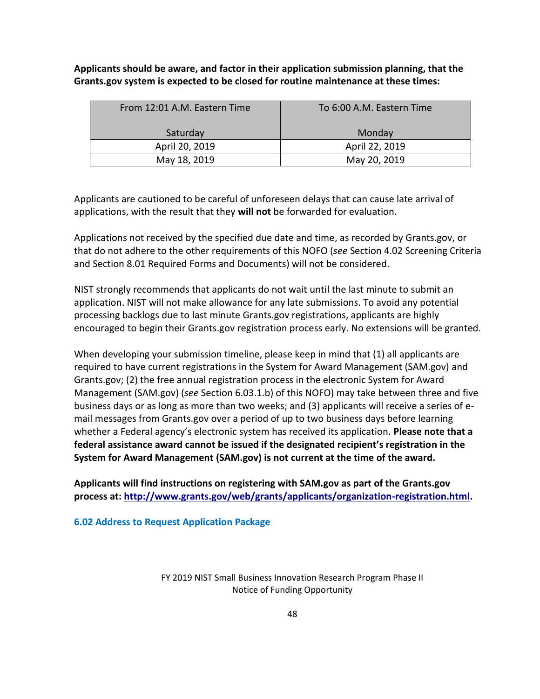**Applicants should be aware, and factor in their application submission planning, that the Grants.gov system is expected to be closed for routine maintenance at these times:**

| From 12:01 A.M. Eastern Time | To 6:00 A.M. Eastern Time |
|------------------------------|---------------------------|
| Saturday                     | Monday                    |
| April 20, 2019               | April 22, 2019            |
| May 18, 2019                 | May 20, 2019              |

Applicants are cautioned to be careful of unforeseen delays that can cause late arrival of applications, with the result that they **will not** be forwarded for evaluation.

Applications not received by the specified due date and time, as recorded by Grants.gov, or that do not adhere to the other requirements of this NOFO (*see* Section 4.02 Screening Criteria and Section 8.01 Required Forms and Documents) will not be considered.

NIST strongly recommends that applicants do not wait until the last minute to submit an application. NIST will not make allowance for any late submissions. To avoid any potential processing backlogs due to last minute Grants.gov registrations, applicants are highly encouraged to begin their Grants.gov registration process early. No extensions will be granted.

When developing your submission timeline, please keep in mind that (1) all applicants are required to have current registrations in the System for Award Management (SAM.gov) and Grants.gov; (2) the free annual registration process in the electronic System for Award Management (SAM.gov) (*see* Section 6.03.1.b) of this NOFO) may take between three and five business days or as long as more than two weeks; and (3) applicants will receive a series of email messages from Grants.gov over a period of up to two business days before learning whether a Federal agency's electronic system has received its application. **Please note that a federal assistance award cannot be issued if the designated recipient's registration in the System for Award Management (SAM.gov) is not current at the time of the award.**

**Applicants will find instructions on registering with SAM.gov as part of the Grants.gov process at: [http://www.grants.gov/web/grants/applicants/organization-registration.html.](http://www.grants.gov/web/grants/applicants/organization-registration.html)**

**6.02 Address to Request Application Package**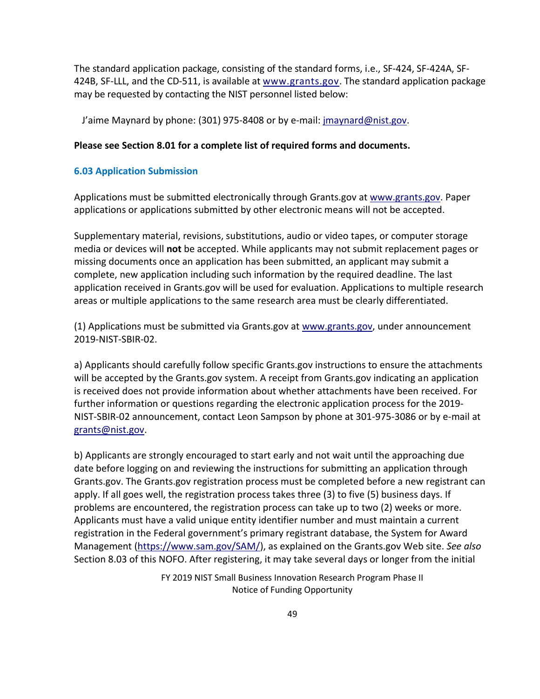The standard application package, consisting of the standard forms, i.e., SF-424, SF-424A, SF424B, SF-LLL, and the CD-511, is available at [www.grants.gov.](http://www.grants.gov/) The standard application package may be requested by contacting the NIST personnel listed below:

J'aime Maynard by phone: (301) 975-8408 or by e-mail: [jmaynard@nist.gov.](mailto:jmaynard@nist.gov)

### **Please see Section 8.01 for a complete list of required forms and documents.**

### **6.03 Application Submission**

Applications must be submitted electronically through Grants.gov at [www.grants.gov.](http://www.grants.gov/) Paper applications or applications submitted by other electronic means will not be accepted.

Supplementary material, revisions, substitutions, audio or video tapes, or computer storage media or devices will **not** be accepted. While applicants may not submit replacement pages or missing documents once an application has been submitted, an applicant may submit a complete, new application including such information by the required deadline. The last application received in Grants.gov will be used for evaluation. Applications to multiple research areas or multiple applications to the same research area must be clearly differentiated.

(1) Applications must be submitted via Grants.gov at [www.grants.gov,](http://www.grants.gov/) under announcement 2019-NIST-SBIR-02.

a) Applicants should carefully follow specific Grants.gov instructions to ensure the attachments will be accepted by the Grants.gov system. A receipt from Grants.gov indicating an application is received does not provide information about whether attachments have been received. For further information or questions regarding the electronic application process for the 2019- NIST-SBIR-02 announcement, contact Leon Sampson by phone at 301-975-3086 or by e-mail at [grants@nist.gov.](mailto:grants@nist.gov)

b) Applicants are strongly encouraged to start early and not wait until the approaching due date before logging on and reviewing the instructions for submitting an application through Grants.gov. The Grants.gov registration process must be completed before a new registrant can apply. If all goes well, the registration process takes three (3) to five (5) business days. If problems are encountered, the registration process can take up to two (2) weeks or more. Applicants must have a valid unique entity identifier number and must maintain a current registration in the Federal government's primary registrant database, the System for Award Management [\(https://www.sam.gov/SAM/\)](https://www.sam.gov/SAM/), as explained on the Grants.gov Web site. *See also* Section 8.03 of this NOFO. After registering, it may take several days or longer from the initial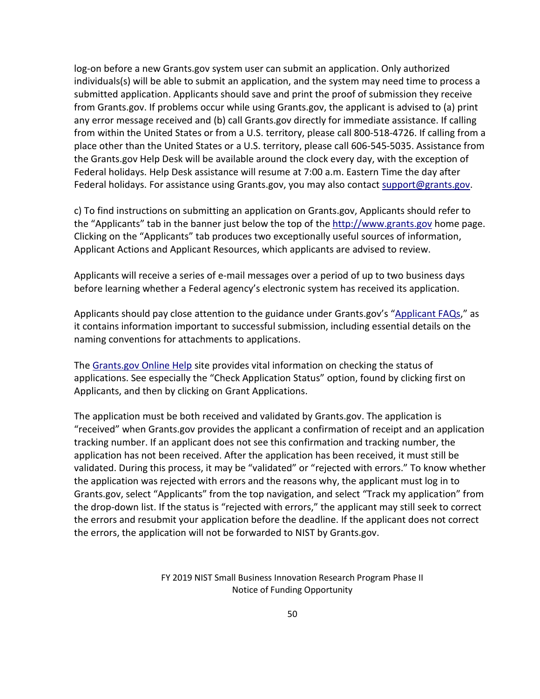log-on before a new Grants.gov system user can submit an application. Only authorized individuals(s) will be able to submit an application, and the system may need time to process a submitted application. Applicants should save and print the proof of submission they receive from Grants.gov. If problems occur while using Grants.gov, the applicant is advised to (a) print any error message received and (b) call Grants.gov directly for immediate assistance. If calling from within the United States or from a U.S. territory, please call 800-518-4726. If calling from a place other than the United States or a U.S. territory, please call 606-545-5035. Assistance from the Grants.gov Help Desk will be available around the clock every day, with the exception of Federal holidays. Help Desk assistance will resume at 7:00 a.m. Eastern Time the day after Federal holidays. For assistance using Grants.gov, you may also contact [support@grants.gov.](mailto:support@grants.gov)

c) To find instructions on submitting an application on Grants.gov, Applicants should refer to the "Applicants" tab in the banner just below the top of the [http://www.grants.gov](http://www.grants.gov/) home page. Clicking on the "Applicants" tab produces two exceptionally useful sources of information, Applicant Actions and Applicant Resources, which applicants are advised to review.

Applicants will receive a series of e-mail messages over a period of up to two business days before learning whether a Federal agency's electronic system has received its application.

Applicants should pay close attention to the guidance under Grants.gov's "[Applicant FAQs](https://www.grants.gov/web/grants/applicants/applicant-faqs.html)," as it contains information important to successful submission, including essential details on the naming conventions for attachments to applications.

The [Grants.gov Online Help](https://www.grants.gov/help/html/help/index.htm?callingApp=custom#t=GetStarted%2FGetStarted.htm) site provides vital information on checking the status of applications. See especially the "Check Application Status" option, found by clicking first on Applicants, and then by clicking on Grant Applications.

The application must be both received and validated by Grants.gov. The application is "received" when Grants.gov provides the applicant a confirmation of receipt and an application tracking number. If an applicant does not see this confirmation and tracking number, the application has not been received. After the application has been received, it must still be validated. During this process, it may be "validated" or "rejected with errors." To know whether the application was rejected with errors and the reasons why, the applicant must log in to Grants.gov, select "Applicants" from the top navigation, and select "Track my application" from the drop-down list. If the status is "rejected with errors," the applicant may still seek to correct the errors and resubmit your application before the deadline. If the applicant does not correct the errors, the application will not be forwarded to NIST by Grants.gov.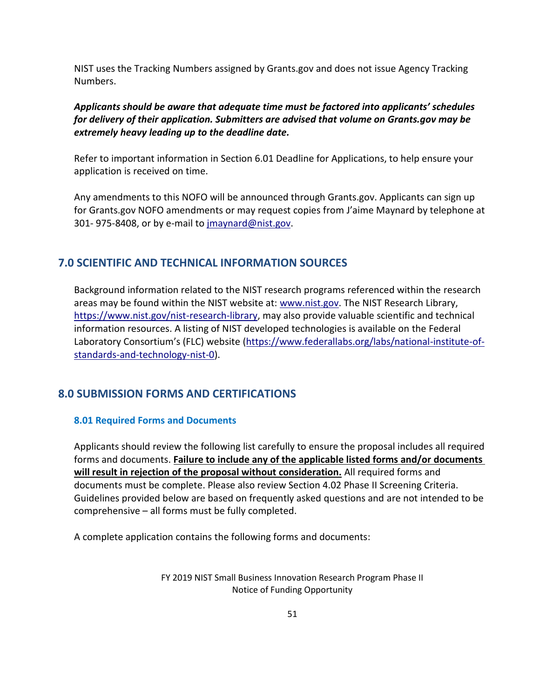NIST uses the Tracking Numbers assigned by Grants.gov and does not issue Agency Tracking Numbers.

## *Applicants should be aware that adequate time must be factored into applicants' schedules for delivery of their application. Submitters are advised that volume on Grants.gov may be extremely heavy leading up to the deadline date.*

Refer to important information in Section 6.01 Deadline for Applications, to help ensure your application is received on time.

Any amendments to this NOFO will be announced through Grants.gov. Applicants can sign up for Grants.gov NOFO amendments or may request copies from J'aime Maynard by telephone at 301-975-8408, or by e-mail to [jmaynard@nist.gov.](mailto:jmaynard@nist.gov)

# **7.0 SCIENTIFIC AND TECHNICAL INFORMATION SOURCES**

Background information related to the NIST research programs referenced within the research areas may be found within the NIST website at: [www.nist.gov.](http://www.nist.gov/) The NIST Research Library, [https://www.nist.gov/nist-research-library,](https://www.nist.gov/nist-research-library) may also provide valuable scientific and technical information resources. A listing of NIST developed technologies is available on the Federal Laboratory Consortium's (FLC) website [\(https://www.federallabs.org/labs/national-institute-of](https://www.federallabs.org/labs/national-institute-of-standards-and-technology-nist-0)[standards-and-technology-nist-0\)](https://www.federallabs.org/labs/national-institute-of-standards-and-technology-nist-0).

# **8.0 SUBMISSION FORMS AND CERTIFICATIONS**

## **8.01 Required Forms and Documents**

Applicants should review the following list carefully to ensure the proposal includes all required forms and documents. **Failure to include any of the applicable listed forms and/or documents will result in rejection of the proposal without consideration.** All required forms and documents must be complete. Please also review Section 4.02 Phase II Screening Criteria. Guidelines provided below are based on frequently asked questions and are not intended to be comprehensive – all forms must be fully completed.

A complete application contains the following forms and documents: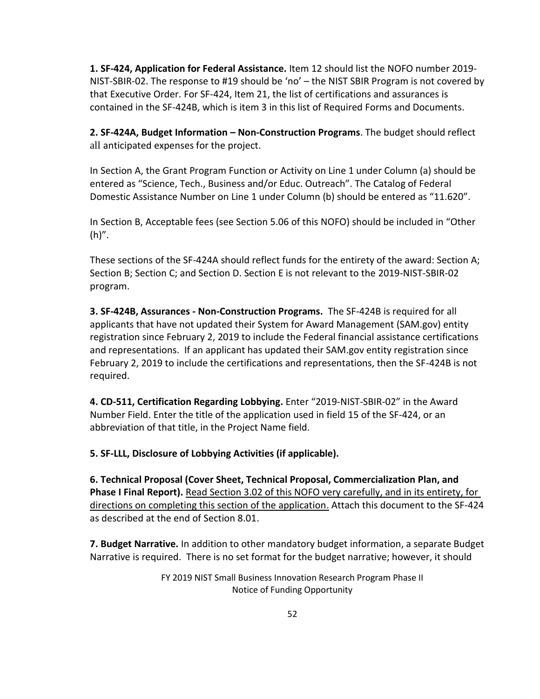**1. SF-424, Application for Federal Assistance.** Item 12 should list the NOFO number 2019- NIST-SBIR-02. The response to #19 should be 'no' – the NIST SBIR Program is not covered by that Executive Order. For SF-424, Item 21, the list of certifications and assurances is contained in the SF-424B, which is item 3 in this list of Required Forms and Documents.

**2. SF-424A, Budget Information – Non-Construction Programs**. The budget should reflect all anticipated expenses for the project.

In Section A, the Grant Program Function or Activity on Line 1 under Column (a) should be entered as "Science, Tech., Business and/or Educ. Outreach". The Catalog of Federal Domestic Assistance Number on Line 1 under Column (b) should be entered as "11.620".

In Section B, Acceptable fees (see Section 5.06 of this NOFO) should be included in "Other (h)".

These sections of the SF-424A should reflect funds for the entirety of the award: Section A; Section B; Section C; and Section D. Section E is not relevant to the 2019-NIST-SBIR-02 program.

**3. SF-424B, Assurances - Non-Construction Programs.** The SF-424B is required for all applicants that have not updated their System for Award Management (SAM.gov) entity registration since February 2, 2019 to include the Federal financial assistance certifications and representations. If an applicant has updated their SAM.gov entity registration since February 2, 2019 to include the certifications and representations, then the SF-424B is not required.

**4. CD-511, Certification Regarding Lobbying.** Enter "2019-NIST-SBIR-02" in the Award Number Field. Enter the title of the application used in field 15 of the SF-424, or an abbreviation of that title, in the Project Name field.

**5. SF-LLL, Disclosure of Lobbying Activities (if applicable).**

**6. Technical Proposal (Cover Sheet, Technical Proposal, Commercialization Plan, and Phase I Final Report).** Read Section 3.02 of this NOFO very carefully, and in its entirety, for directions on completing this section of the application. Attach this document to the SF-424 as described at the end of Section 8.01.

**7. Budget Narrative.** In addition to other mandatory budget information, a separate Budget Narrative is required. There is no set format for the budget narrative; however, it should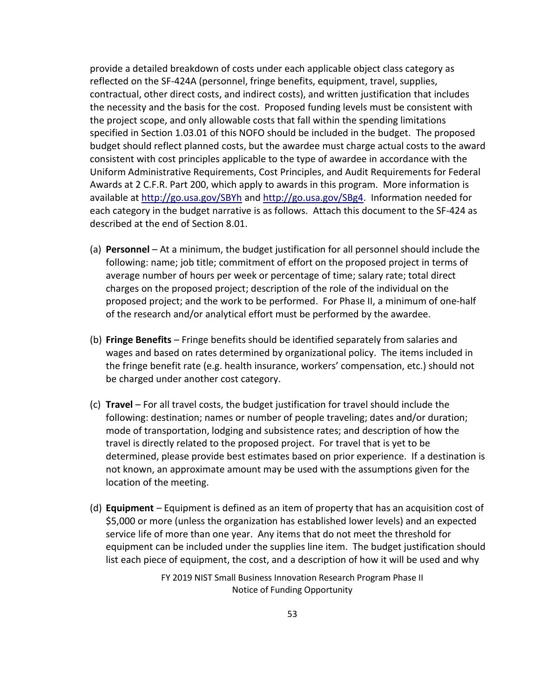provide a detailed breakdown of costs under each applicable object class category as reflected on the SF-424A (personnel, fringe benefits, equipment, travel, supplies, contractual, other direct costs, and indirect costs), and written justification that includes the necessity and the basis for the cost. Proposed funding levels must be consistent with the project scope, and only allowable costs that fall within the spending limitations specified in Section 1.03.01 of this NOFO should be included in the budget. The proposed budget should reflect planned costs, but the awardee must charge actual costs to the award consistent with cost principles applicable to the type of awardee in accordance with the Uniform Administrative Requirements, Cost Principles, and Audit Requirements for Federal Awards at 2 C.F.R. Part 200, which apply to awards in this program. More information is available at<http://go.usa.gov/SBYh> and [http://go.usa.gov/SBg4.](http://go.usa.gov/SBg4) Information needed for each category in the budget narrative is as follows. Attach this document to the SF-424 as described at the end of Section 8.01.

- (a) **Personnel** At a minimum, the budget justification for all personnel should include the following: name; job title; commitment of effort on the proposed project in terms of average number of hours per week or percentage of time; salary rate; total direct charges on the proposed project; description of the role of the individual on the proposed project; and the work to be performed. For Phase II, a minimum of one-half of the research and/or analytical effort must be performed by the awardee.
- (b) **Fringe Benefits** Fringe benefits should be identified separately from salaries and wages and based on rates determined by organizational policy. The items included in the fringe benefit rate (e.g. health insurance, workers' compensation, etc.) should not be charged under another cost category.
- (c) **Travel**  For all travel costs, the budget justification for travel should include the following: destination; names or number of people traveling; dates and/or duration; mode of transportation, lodging and subsistence rates; and description of how the travel is directly related to the proposed project. For travel that is yet to be determined, please provide best estimates based on prior experience. If a destination is not known, an approximate amount may be used with the assumptions given for the location of the meeting.
- (d) **Equipment**  Equipment is defined as an item of property that has an acquisition cost of \$5,000 or more (unless the organization has established lower levels) and an expected service life of more than one year. Any items that do not meet the threshold for equipment can be included under the supplies line item. The budget justification should list each piece of equipment, the cost, and a description of how it will be used and why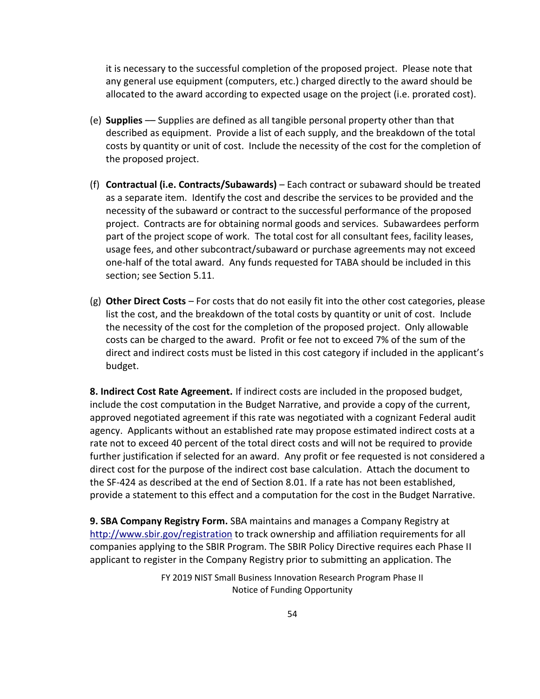it is necessary to the successful completion of the proposed project. Please note that any general use equipment (computers, etc.) charged directly to the award should be allocated to the award according to expected usage on the project (i.e. prorated cost).

- (e) **Supplies** –– Supplies are defined as all tangible personal property other than that described as equipment. Provide a list of each supply, and the breakdown of the total costs by quantity or unit of cost. Include the necessity of the cost for the completion of the proposed project.
- (f) **Contractual (i.e. Contracts/Subawards)**  Each contract or subaward should be treated as a separate item. Identify the cost and describe the services to be provided and the necessity of the subaward or contract to the successful performance of the proposed project. Contracts are for obtaining normal goods and services. Subawardees perform part of the project scope of work. The total cost for all consultant fees, facility leases, usage fees, and other subcontract/subaward or purchase agreements may not exceed one-half of the total award. Any funds requested for TABA should be included in this section; see Section 5.11.
- (g) **Other Direct Costs** For costs that do not easily fit into the other cost categories, please list the cost, and the breakdown of the total costs by quantity or unit of cost. Include the necessity of the cost for the completion of the proposed project. Only allowable costs can be charged to the award. Profit or fee not to exceed 7% of the sum of the direct and indirect costs must be listed in this cost category if included in the applicant's budget.

**8. Indirect Cost Rate Agreement.** If indirect costs are included in the proposed budget, include the cost computation in the Budget Narrative, and provide a copy of the current, approved negotiated agreement if this rate was negotiated with a cognizant Federal audit agency. Applicants without an established rate may propose estimated indirect costs at a rate not to exceed 40 percent of the total direct costs and will not be required to provide further justification if selected for an award. Any profit or fee requested is not considered a direct cost for the purpose of the indirect cost base calculation. Attach the document to the SF-424 as described at the end of Section 8.01. If a rate has not been established, provide a statement to this effect and a computation for the cost in the Budget Narrative.

**9. SBA Company Registry Form.** SBA maintains and manages a Company Registry at <http://www.sbir.gov/registration> to track ownership and affiliation requirements for all companies applying to the SBIR Program. The SBIR Policy Directive requires each Phase II applicant to register in the Company Registry prior to submitting an application. The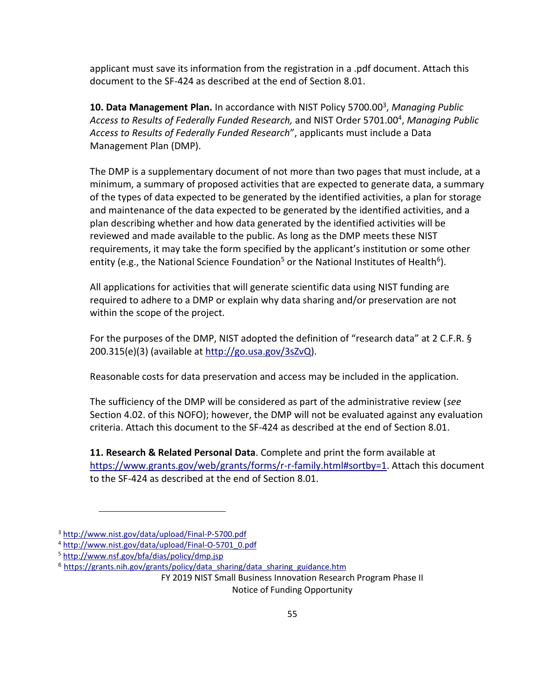applicant must save its information from the registration in a .pdf document. Attach this document to the SF-424 as described at the end of Section 8.01.

**10. Data Management Plan.** In accordance with NIST Policy 5700.00<sup>3</sup> , *Managing Public Access to Results of Federally Funded Research,* and NIST Order 5701.00<sup>4</sup> , *Managing Public Access to Results of Federally Funded Research*", applicants must include a Data Management Plan (DMP).

The DMP is a supplementary document of not more than two pages that must include, at a minimum, a summary of proposed activities that are expected to generate data, a summary of the types of data expected to be generated by the identified activities, a plan for storage and maintenance of the data expected to be generated by the identified activities, and a plan describing whether and how data generated by the identified activities will be reviewed and made available to the public. As long as the DMP meets these NIST requirements, it may take the form specified by the applicant's institution or some other entity (e.g., the National Science Foundation<sup>5</sup> or the National Institutes of Health<sup>6</sup>).

All applications for activities that will generate scientific data using NIST funding are required to adhere to a DMP or explain why data sharing and/or preservation are not within the scope of the project.

For the purposes of the DMP, NIST adopted the definition of "research data" at 2 C.F.R. § 200.315(e)(3) (available at [http://go.usa.gov/3sZvQ\)](http://go.usa.gov/3sZvQ).

Reasonable costs for data preservation and access may be included in the application.

The sufficiency of the DMP will be considered as part of the administrative review (*see* Section 4.02. of this NOFO); however, the DMP will not be evaluated against any evaluation criteria. Attach this document to the SF-424 as described at the end of Section 8.01.

**11. Research & Related Personal Data**. Complete and print the form available at [https://www.grants.gov/web/grants/forms/r-r-family.html#sortby=1.](https://www.grants.gov/web/grants/forms/r-r-family.html#sortby=1) Attach this document to the SF-424 as described at the end of Section 8.01.

 $\overline{a}$ 

<sup>3</sup> <http://www.nist.gov/data/upload/Final-P-5700.pdf>

<sup>4</sup> [http://www.nist.gov/data/upload/Final-O-5701\\_0.pdf](http://www.nist.gov/data/upload/Final-O-5701_0.pdf)

<sup>5</sup> <http://www.nsf.gov/bfa/dias/policy/dmp.jsp>

<sup>&</sup>lt;sup>6</sup> [https://grants.nih.gov/grants/policy/data\\_sharing/data\\_sharing\\_guidance.htm](https://grants.nih.gov/grants/policy/data_sharing/data_sharing_guidance.htm)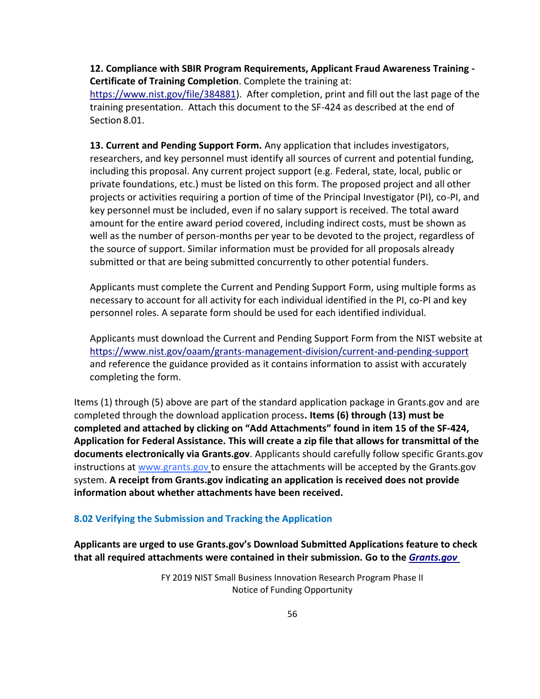### **12. Compliance with SBIR Program Requirements, Applicant Fraud Awareness Training - Certificate of Training Completion**. Complete the training at:

[https://www.nist.gov/file/384881\)](https://www.nist.gov/file/384881). After completion, print and fill out the last page of the training presentation. Attach this document to the SF-424 as described at the end of Section 8.01.

**13. Current and Pending Support Form.** Any application that includes investigators, researchers, and key personnel must identify all sources of current and potential funding, including this proposal. Any current project support (e.g. Federal, state, local, public or private foundations, etc.) must be listed on this form. The proposed project and all other projects or activities requiring a portion of time of the Principal Investigator (PI), co-PI, and key personnel must be included, even if no salary support is received. The total award amount for the entire award period covered, including indirect costs, must be shown as well as the number of person-months per year to be devoted to the project, regardless of the source of support. Similar information must be provided for all proposals already submitted or that are being submitted concurrently to other potential funders.

Applicants must complete the Current and Pending Support Form, using multiple forms as necessary to account for all activity for each individual identified in the PI, co-PI and key personnel roles. A separate form should be used for each identified individual.

Applicants must download the Current and Pending Support Form from the NIST website at <https://www.nist.gov/oaam/grants-management-division/current-and-pending-support> and reference the guidance provided as it contains information to assist with accurately completing the form.

Items (1) through (5) above are part of the standard application package in Grants.gov and are completed through the download application process**. Items (6) through (13) must be completed and attached by clicking on "Add Attachments" found in item 15 of the SF-424, Application for Federal Assistance. This will create a zip file that allows for transmittal of the documents electronically via Grants.gov**. Applicants should carefully follow specific Grants.gov instructions at [www.grants.gov](http://www.grants.gov/) to ensure the attachments will be accepted by the Grants.gov system. **A receipt from Grants.gov indicating an application is received does not provide information about whether attachments have been received.**

#### **8.02 Verifying the Submission and Tracking the Application**

**Applicants are urged to use Grants.gov's Download Submitted Applications feature to check that all required attachments were contained in their submission. Go to the** *[Grants.gov](https://www.grants.gov/help/html/help/index.htm?callingApp=custom#t=GetStarted%2FGetStarted.htm)*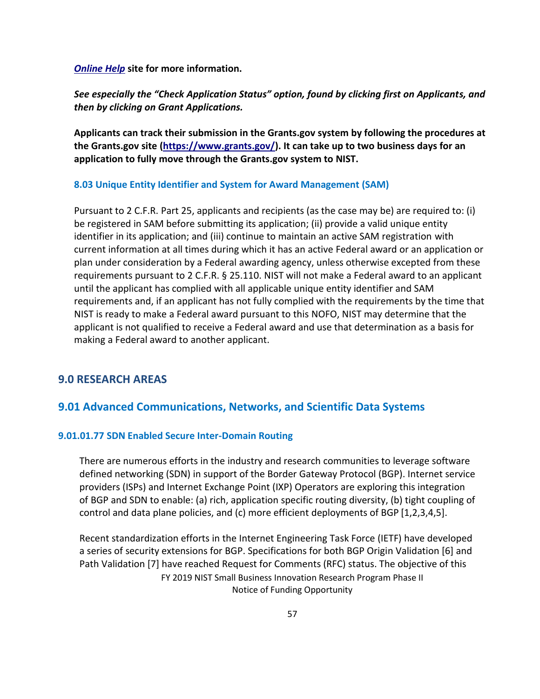*[Online Help](https://www.grants.gov/help/html/help/index.htm?callingApp=custom#t=GetStarted%2FGetStarted.htm)* **site for more information.**

*See especially the "Check Application Status" option, found by clicking first on Applicants, and then by clicking on Grant Applications.* 

**Applicants can track their submission in the Grants.gov system by following the procedures at the Grants.gov site [\(https://www.grants.gov/\)](https://www.grants.gov/). It can take up to two business days for an application to fully move through the Grants.gov system to NIST.**

#### **8.03 Unique Entity Identifier and System for Award Management (SAM)**

Pursuant to 2 C.F.R. Part 25, applicants and recipients (as the case may be) are required to: (i) be registered in SAM before submitting its application; (ii) provide a valid unique entity identifier in its application; and (iii) continue to maintain an active SAM registration with current information at all times during which it has an active Federal award or an application or plan under consideration by a Federal awarding agency, unless otherwise excepted from these requirements pursuant to 2 C.F.R. § 25.110. NIST will not make a Federal award to an applicant until the applicant has complied with all applicable unique entity identifier and SAM requirements and, if an applicant has not fully complied with the requirements by the time that NIST is ready to make a Federal award pursuant to this NOFO, NIST may determine that the applicant is not qualified to receive a Federal award and use that determination as a basis for making a Federal award to another applicant.

## **9.0 RESEARCH AREAS**

## **9.01 Advanced Communications, Networks, and Scientific Data Systems**

#### **9.01.01.77 SDN Enabled Secure Inter-Domain Routing**

There are numerous efforts in the industry and research communities to leverage software defined networking (SDN) in support of the Border Gateway Protocol (BGP). Internet service providers (ISPs) and Internet Exchange Point (IXP) Operators are exploring this integration of BGP and SDN to enable: (a) rich, application specific routing diversity, (b) tight coupling of control and data plane policies, and (c) more efficient deployments of BGP [1,2,3,4,5].

FY 2019 NIST Small Business Innovation Research Program Phase II Notice of Funding Opportunity Recent standardization efforts in the Internet Engineering Task Force (IETF) have developed a series of security extensions for BGP. Specifications for both BGP Origin Validation [6] and Path Validation [7] have reached Request for Comments (RFC) status. The objective of this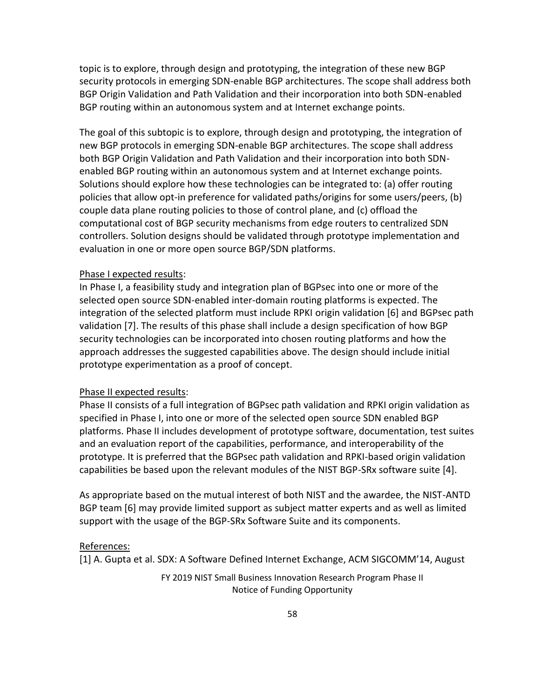topic is to explore, through design and prototyping, the integration of these new BGP security protocols in emerging SDN-enable BGP architectures. The scope shall address both BGP Origin Validation and Path Validation and their incorporation into both SDN-enabled BGP routing within an autonomous system and at Internet exchange points.

The goal of this subtopic is to explore, through design and prototyping, the integration of new BGP protocols in emerging SDN-enable BGP architectures. The scope shall address both BGP Origin Validation and Path Validation and their incorporation into both SDNenabled BGP routing within an autonomous system and at Internet exchange points. Solutions should explore how these technologies can be integrated to: (a) offer routing policies that allow opt-in preference for validated paths/origins for some users/peers, (b) couple data plane routing policies to those of control plane, and (c) offload the computational cost of BGP security mechanisms from edge routers to centralized SDN controllers. Solution designs should be validated through prototype implementation and evaluation in one or more open source BGP/SDN platforms.

### Phase I expected results:

In Phase I, a feasibility study and integration plan of BGPsec into one or more of the selected open source SDN-enabled inter-domain routing platforms is expected. The integration of the selected platform must include RPKI origin validation [6] and BGPsec path validation [7]. The results of this phase shall include a design specification of how BGP security technologies can be incorporated into chosen routing platforms and how the approach addresses the suggested capabilities above. The design should include initial prototype experimentation as a proof of concept.

### Phase II expected results:

Phase II consists of a full integration of BGPsec path validation and RPKI origin validation as specified in Phase I, into one or more of the selected open source SDN enabled BGP platforms. Phase II includes development of prototype software, documentation, test suites and an evaluation report of the capabilities, performance, and interoperability of the prototype. It is preferred that the BGPsec path validation and RPKI-based origin validation capabilities be based upon the relevant modules of the NIST BGP-SRx software suite [4].

As appropriate based on the mutual interest of both NIST and the awardee, the NIST-ANTD BGP team [6] may provide limited support as subject matter experts and as well as limited support with the usage of the BGP-SRx Software Suite and its components.

#### References:

[1] A. Gupta et al. SDX: A Software Defined Internet Exchange, ACM SIGCOMM'14, August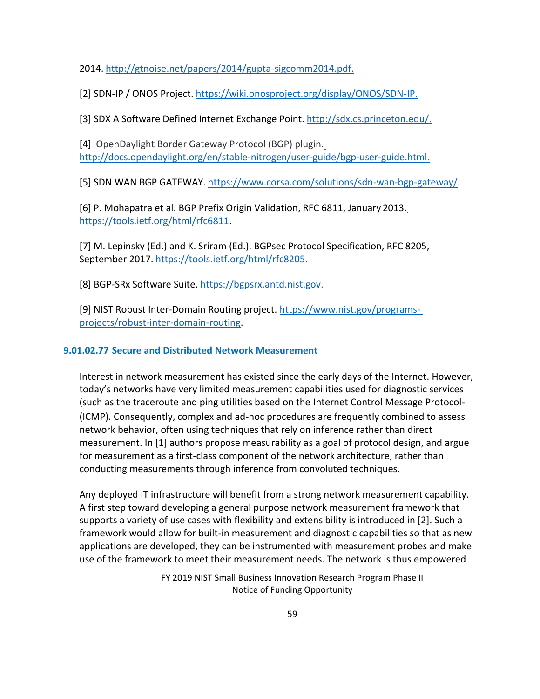2014. [http://gtnoise.net/papers/2014/gupta-sigcomm2014.pdf.](http://gtnoise.net/papers/2014/gupta-sigcomm2014.pdf)

[2] SDN-IP / ONOS Project. [https://wiki.onosproject.org/display/ONOS/SDN-IP.](https://wiki.onosproject.org/display/ONOS/SDN-IP)

[3] SDX A Software Defined Internet Exchange Point. [http://sdx.cs.princeton.edu/.](http://sdx.cs.princeton.edu/)

[4] OpenDaylight Border Gateway Protocol (BGP) plugin. [http://docs.opendaylight.org/en/stable-nitrogen/user-guide/bgp-user-guide.html.](http://docs.opendaylight.org/en/stable-nitrogen/user-guide/bgp-user-guide.html)

[5] SDN WAN BGP GATEWAY. [https://www.corsa.com/solutions/sdn-wan-bgp-gateway/.](https://www.corsa.com/solutions/sdn-wan-bgp-gateway/)

[6] P[.](https://tools.ietf.org/html/rfc6811) Mohapatra et al. BGP Prefix Origin Validation, RFC 6811, January 2013. [https://tools.ietf.org/html/rfc6811.](https://tools.ietf.org/html/rfc6811)

[7] M. Lepinsky (Ed.) and K. Sriram (Ed.). BGPsec Protocol Specification, RFC 8205, September 2017. [https://tools.ietf.org/html/rfc8205.](https://tools.ietf.org/html/rfc8205)

[8] BGP-SRx Software Suite. [https://bgpsrx.antd.nist.gov.](https://bgpsrx.antd.nist.gov/)

[9] NIST Robust Inter-Domain Routing project. [https://www.nist.gov/programs](https://www.nist.gov/programs-projects/robust-inter-domain-routing)[projects/robust-inter-domain-routing.](https://www.nist.gov/programs-projects/robust-inter-domain-routing)

## **9.01.02.77 Secure and Distributed Network Measurement**

Interest in network measurement has existed since the early days of the Internet. However, today's networks have very limited measurement capabilities used for diagnostic services (such as the traceroute and ping utilities based on the Internet Control Message Protocol- (ICMP). Consequently, complex and ad-hoc procedures are frequently combined to assess network behavior, often using techniques that rely on inference rather than direct measurement. In [1] authors propose measurability as a goal of protocol design, and argue for measurement as a first-class component of the network architecture, rather than conducting measurements through inference from convoluted techniques.

Any deployed IT infrastructure will benefit from a strong network measurement capability. A first step toward developing a general purpose network measurement framework that supports a variety of use cases with flexibility and extensibility is introduced in [2]. Such a framework would allow for built-in measurement and diagnostic capabilities so that as new applications are developed, they can be instrumented with measurement probes and make use of the framework to meet their measurement needs. The network is thus empowered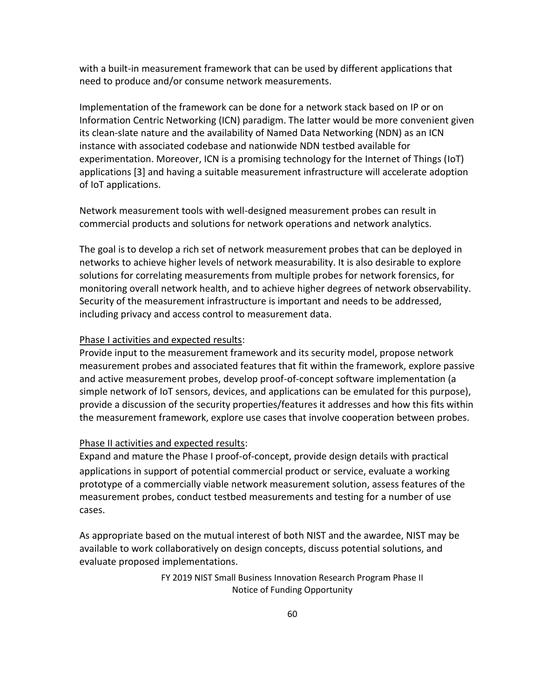with a built-in measurement framework that can be used by different applications that need to produce and/or consume network measurements.

Implementation of the framework can be done for a network stack based on IP or on Information Centric Networking (ICN) paradigm. The latter would be more convenient given its clean-slate nature and the availability of Named Data Networking (NDN) as an ICN instance with associated codebase and nationwide NDN testbed available for experimentation. Moreover, ICN is a promising technology for the Internet of Things (IoT) applications [3] and having a suitable measurement infrastructure will accelerate adoption of IoT applications.

Network measurement tools with well-designed measurement probes can result in commercial products and solutions for network operations and network analytics.

The goal is to develop a rich set of network measurement probes that can be deployed in networks to achieve higher levels of network measurability. It is also desirable to explore solutions for correlating measurements from multiple probes for network forensics, for monitoring overall network health, and to achieve higher degrees of network observability. Security of the measurement infrastructure is important and needs to be addressed, including privacy and access control to measurement data.

### Phase I activities and expected results:

Provide input to the measurement framework and its security model, propose network measurement probes and associated features that fit within the framework, explore passive and active measurement probes, develop proof-of-concept software implementation (a simple network of IoT sensors, devices, and applications can be emulated for this purpose), provide a discussion of the security properties/features it addresses and how this fits within the measurement framework, explore use cases that involve cooperation between probes.

## Phase II activities and expected results:

Expand and mature the Phase I proof-of-concept, provide design details with practical applications in support of potential commercial product or service, evaluate a working prototype of a commercially viable network measurement solution, assess features of the measurement probes, conduct testbed measurements and testing for a number of use cases.

As appropriate based on the mutual interest of both NIST and the awardee, NIST may be available to work collaboratively on design concepts, discuss potential solutions, and evaluate proposed implementations.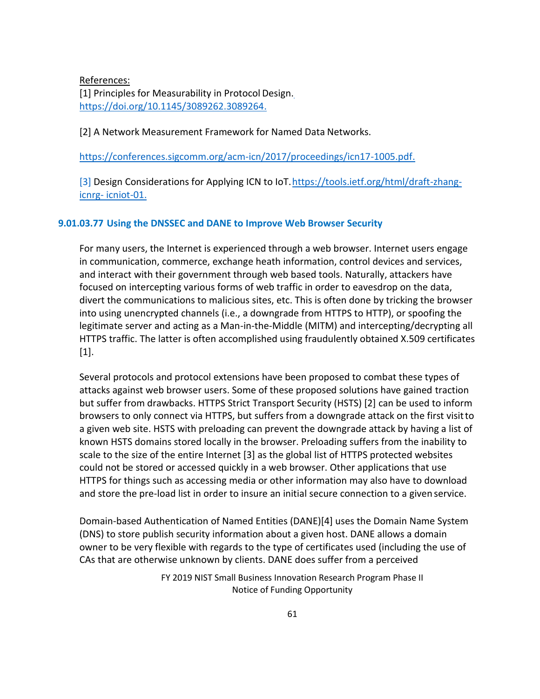References: [1] Principles for Measurability in Protocol Design[.](https://doi.org/10.1145/3089262.3089264) [https://doi.org/10.1145/3089262.3089264.](https://doi.org/10.1145/3089262.3089264)

[2] A Network Measurement Framework for Named Data Networks.

[https://conferences.sigcomm.org/acm-icn/2017/proceedings/icn17-1005.pdf.](https://conferences.sigcomm.org/acm-icn/2017/proceedings/icn17-1005.pdf)

[3] Design Considerations for Applying ICN to IoT[.https://tools.ietf.org/html/draft-zhang](https://tools.ietf.org/html/draft-zhang-icnrg-icniot-01)[icnrg-](https://tools.ietf.org/html/draft-zhang-icnrg-icniot-01) [icniot-01.](https://tools.ietf.org/html/draft-zhang-icnrg-icniot-01)

#### **9.01.03.77 Using the DNSSEC and DANE to Improve Web Browser Security**

For many users, the Internet is experienced through a web browser. Internet users engage in communication, commerce, exchange heath information, control devices and services, and interact with their government through web based tools. Naturally, attackers have focused on intercepting various forms of web traffic in order to eavesdrop on the data, divert the communications to malicious sites, etc. This is often done by tricking the browser into using unencrypted channels (i.e., a downgrade from HTTPS to HTTP), or spoofing the legitimate server and acting as a Man-in-the-Middle (MITM) and intercepting/decrypting all HTTPS traffic. The latter is often accomplished using fraudulently obtained X.509 certificates [1].

Several protocols and protocol extensions have been proposed to combat these types of attacks against web browser users. Some of these proposed solutions have gained traction but suffer from drawbacks. HTTPS Strict Transport Security (HSTS) [2] can be used to inform browsers to only connect via HTTPS, but suffers from a downgrade attack on the first visitto a given web site. HSTS with preloading can prevent the downgrade attack by having a list of known HSTS domains stored locally in the browser. Preloading suffers from the inability to scale to the size of the entire Internet [3] as the global list of HTTPS protected websites could not be stored or accessed quickly in a web browser. Other applications that use HTTPS for things such as accessing media or other information may also have to download and store the pre-load list in order to insure an initial secure connection to a given service.

Domain-based Authentication of Named Entities (DANE)[4] uses the Domain Name System (DNS) to store publish security information about a given host. DANE allows a domain owner to be very flexible with regards to the type of certificates used (including the use of CAs that are otherwise unknown by clients. DANE does suffer from a perceived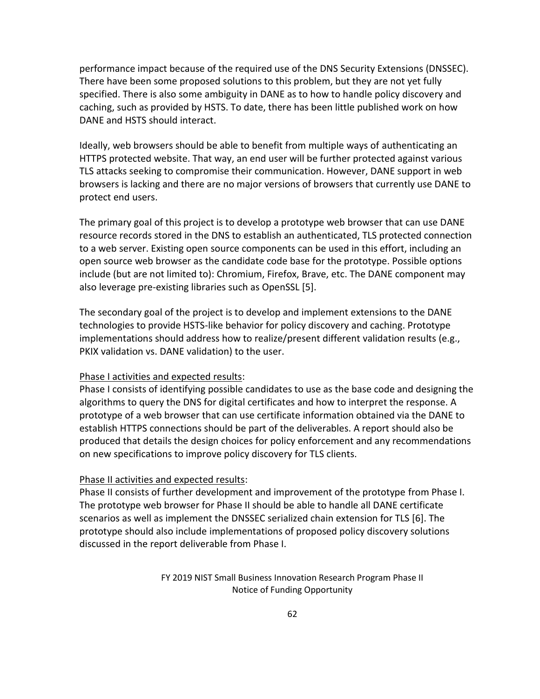performance impact because of the required use of the DNS Security Extensions (DNSSEC). There have been some proposed solutions to this problem, but they are not yet fully specified. There is also some ambiguity in DANE as to how to handle policy discovery and caching, such as provided by HSTS. To date, there has been little published work on how DANE and HSTS should interact.

Ideally, web browsers should be able to benefit from multiple ways of authenticating an HTTPS protected website. That way, an end user will be further protected against various TLS attacks seeking to compromise their communication. However, DANE support in web browsers is lacking and there are no major versions of browsers that currently use DANE to protect end users.

The primary goal of this project is to develop a prototype web browser that can use DANE resource records stored in the DNS to establish an authenticated, TLS protected connection to a web server. Existing open source components can be used in this effort, including an open source web browser as the candidate code base for the prototype. Possible options include (but are not limited to): Chromium, Firefox, Brave, etc. The DANE component may also leverage pre-existing libraries such as OpenSSL [5].

The secondary goal of the project is to develop and implement extensions to the DANE technologies to provide HSTS-like behavior for policy discovery and caching. Prototype implementations should address how to realize/present different validation results (e.g., PKIX validation vs. DANE validation) to the user.

## Phase I activities and expected results:

Phase I consists of identifying possible candidates to use as the base code and designing the algorithms to query the DNS for digital certificates and how to interpret the response. A prototype of a web browser that can use certificate information obtained via the DANE to establish HTTPS connections should be part of the deliverables. A report should also be produced that details the design choices for policy enforcement and any recommendations on new specifications to improve policy discovery for TLS clients.

## Phase II activities and expected results:

Phase II consists of further development and improvement of the prototype from Phase I. The prototype web browser for Phase II should be able to handle all DANE certificate scenarios as well as implement the DNSSEC serialized chain extension for TLS [6]. The prototype should also include implementations of proposed policy discovery solutions discussed in the report deliverable from Phase I.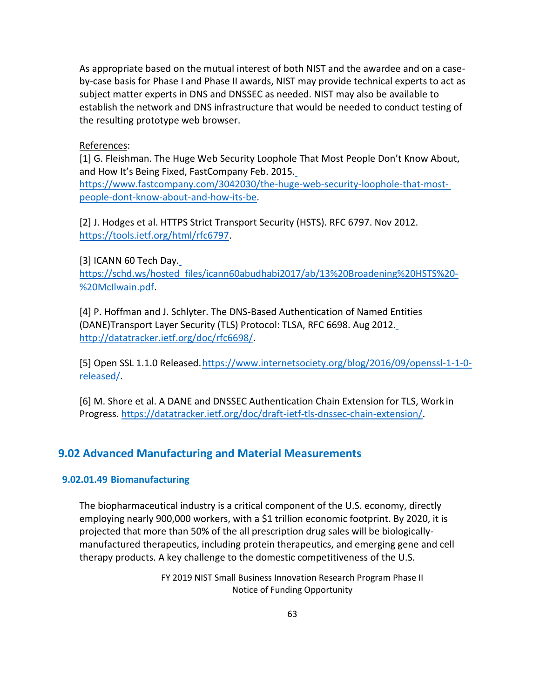As appropriate based on the mutual interest of both NIST and the awardee and on a caseby-case basis for Phase I and Phase II awards, NIST may provide technical experts to act as subject matter experts in DNS and DNSSEC as needed. NIST may also be available to establish the network and DNS infrastructure that would be needed to conduct testing of the resulting prototype web browser.

## References:

[1] G. Fleishman. The Huge Web Security Loophole That Most People Don't Know About, and How It's Being Fixed, FastCompany Feb. 2015. [https://www.fastcompany.com/3042030/the-huge-web-security-loophole-that-most](https://www.fastcompany.com/3042030/the-huge-web-security-loophole-that-most-people-dont-know-about-and-how-its-be)[people-dont-know-about-and-how-its-be.](https://www.fastcompany.com/3042030/the-huge-web-security-loophole-that-most-people-dont-know-about-and-how-its-be)

[2] J[.](https://tools.ietf.org/html/rfc6797) Hodges et al. HTTPS Strict Transport Security (HSTS). RFC 6797. Nov 2012. [https://tools.ietf.org/html/rfc6797.](https://tools.ietf.org/html/rfc6797)

[3] ICANN 60 Tech Day.

[https://schd.ws/hosted\\_files/icann60abudhabi2017/ab/13%20Broadening%20HSTS%20-](https://schd.ws/hosted_files/icann60abudhabi2017/ab/13%20Broadening%20HSTS%20-%20McIlwain.pdf) [%20McIlwain.pdf.](https://schd.ws/hosted_files/icann60abudhabi2017/ab/13%20Broadening%20HSTS%20-%20McIlwain.pdf)

[4] P. Hoffman and J. Schlyter. The DNS-Based Authentication of Named Entities (DANE)Transport Layer Security (TLS) Protocol: TLSA, RFC 6698. Aug 2012. [http://datatracker.ietf.org/doc/rfc6698/.](http://datatracker.ietf.org/doc/rfc6698/)

[5] Open SSL 1.1.0 Released[.https://www.internetsociety.org/blog/2016/09/openssl-1-1-0](https://www.internetsociety.org/blog/2016/09/openssl-1-1-0-released/) [released/.](https://www.internetsociety.org/blog/2016/09/openssl-1-1-0-released/)

[6] M. Shore et al. A DANE and DNSSEC Authentication Chain Extension for TLS, Work in Progress. [https://datatracker.ietf.org/doc/draft-ietf-tls-dnssec-chain-extension/.](https://datatracker.ietf.org/doc/draft-ietf-tls-dnssec-chain-extension/)

# **9.02 Advanced Manufacturing and Material Measurements**

## **9.02.01.49 Biomanufacturing**

The biopharmaceutical industry is a critical component of the U.S. economy, directly employing nearly 900,000 workers, with a \$1 trillion economic footprint. By 2020, it is projected that more than 50% of the all prescription drug sales will be biologicallymanufactured therapeutics, including protein therapeutics, and emerging gene and cell therapy products. A key challenge to the domestic competitiveness of the U.S.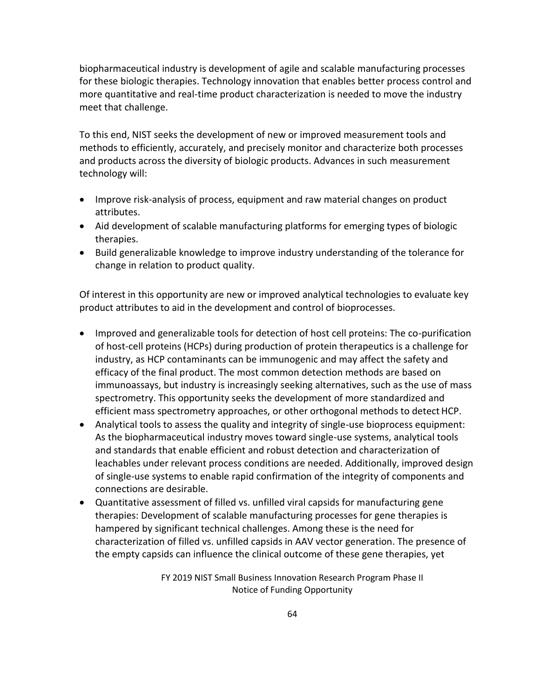biopharmaceutical industry is development of agile and scalable manufacturing processes for these biologic therapies. Technology innovation that enables better process control and more quantitative and real-time product characterization is needed to move the industry meet that challenge.

To this end, NIST seeks the development of new or improved measurement tools and methods to efficiently, accurately, and precisely monitor and characterize both processes and products across the diversity of biologic products. Advances in such measurement technology will:

- Improve risk-analysis of process, equipment and raw material changes on product attributes.
- Aid development of scalable manufacturing platforms for emerging types of biologic therapies.
- Build generalizable knowledge to improve industry understanding of the tolerance for change in relation to product quality.

Of interest in this opportunity are new or improved analytical technologies to evaluate key product attributes to aid in the development and control of bioprocesses.

- Improved and generalizable tools for detection of host cell proteins: The co-purification of host-cell proteins (HCPs) during production of protein therapeutics is a challenge for industry, as HCP contaminants can be immunogenic and may affect the safety and efficacy of the final product. The most common detection methods are based on immunoassays, but industry is increasingly seeking alternatives, such as the use of mass spectrometry. This opportunity seeks the development of more standardized and efficient mass spectrometry approaches, or other orthogonal methods to detect HCP.
- Analytical tools to assess the quality and integrity of single-use bioprocess equipment: As the biopharmaceutical industry moves toward single-use systems, analytical tools and standards that enable efficient and robust detection and characterization of leachables under relevant process conditions are needed. Additionally, improved design of single-use systems to enable rapid confirmation of the integrity of components and connections are desirable.
- Quantitative assessment of filled vs. unfilled viral capsids for manufacturing gene therapies: Development of scalable manufacturing processes for gene therapies is hampered by significant technical challenges. Among these is the need for characterization of filled vs. unfilled capsids in AAV vector generation. The presence of the empty capsids can influence the clinical outcome of these gene therapies, yet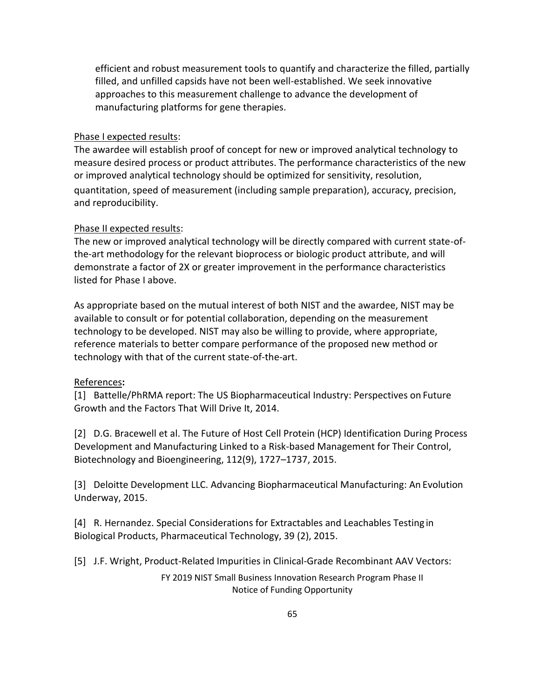efficient and robust measurement tools to quantify and characterize the filled, partially filled, and unfilled capsids have not been well-established. We seek innovative approaches to this measurement challenge to advance the development of manufacturing platforms for gene therapies.

## Phase I expected results:

The awardee will establish proof of concept for new or improved analytical technology to measure desired process or product attributes. The performance characteristics of the new or improved analytical technology should be optimized for sensitivity, resolution, quantitation, speed of measurement (including sample preparation), accuracy, precision, and reproducibility.

## Phase II expected results:

The new or improved analytical technology will be directly compared with current state-ofthe-art methodology for the relevant bioprocess or biologic product attribute, and will demonstrate a factor of 2X or greater improvement in the performance characteristics listed for Phase I above.

As appropriate based on the mutual interest of both NIST and the awardee, NIST may be available to consult or for potential collaboration, depending on the measurement technology to be developed. NIST may also be willing to provide, where appropriate, reference materials to better compare performance of the proposed new method or technology with that of the current state-of-the-art.

## References**:**

[1] Battelle/PhRMA report: The US Biopharmaceutical Industry: Perspectives on Future Growth and the Factors That Will Drive It, 2014.

[2] D.G. Bracewell et al. The Future of Host Cell Protein (HCP) Identification During Process Development and Manufacturing Linked to a Risk-based Management for Their Control, Biotechnology and Bioengineering, 112(9), 1727–1737, 2015.

[3] Deloitte Development LLC. Advancing Biopharmaceutical Manufacturing: An Evolution Underway, 2015.

[4] R. Hernandez. Special Considerations for Extractables and Leachables Testing in Biological Products, Pharmaceutical Technology, 39 (2), 2015.

[5] J.F. Wright, Product-Related Impurities in Clinical-Grade Recombinant AAV Vectors: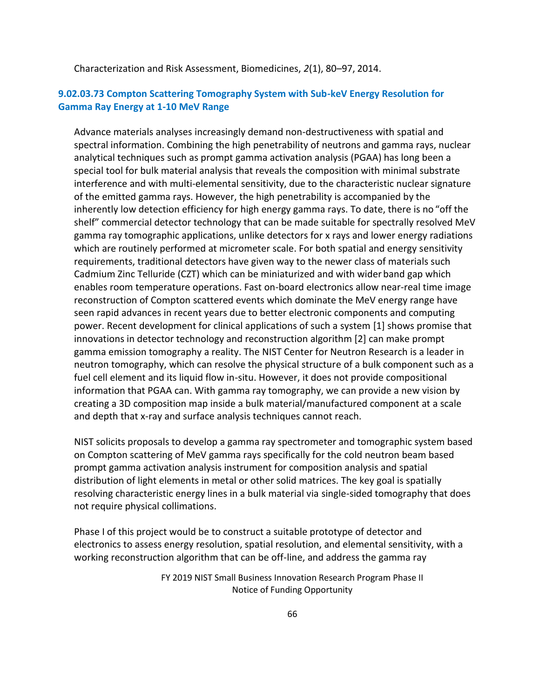Characterization and Risk Assessment, Biomedicines, *2*(1), 80–97, 2014.

## **9.02.03.73 Compton Scattering Tomography System with Sub-keV Energy Resolution for Gamma Ray Energy at 1-10 MeV Range**

Advance materials analyses increasingly demand non-destructiveness with spatial and spectral information. Combining the high penetrability of neutrons and gamma rays, nuclear analytical techniques such as prompt gamma activation analysis (PGAA) has long been a special tool for bulk material analysis that reveals the composition with minimal substrate interference and with multi-elemental sensitivity, due to the characteristic nuclear signature of the emitted gamma rays. However, the high penetrability is accompanied by the inherently low detection efficiency for high energy gamma rays. To date, there is no "off the shelf" commercial detector technology that can be made suitable for spectrally resolved MeV gamma ray tomographic applications, unlike detectors for x rays and lower energy radiations which are routinely performed at micrometer scale. For both spatial and energy sensitivity requirements, traditional detectors have given way to the newer class of materials such Cadmium Zinc Telluride (CZT) which can be miniaturized and with wider band gap which enables room temperature operations. Fast on-board electronics allow near-real time image reconstruction of Compton scattered events which dominate the MeV energy range have seen rapid advances in recent years due to better electronic components and computing power. Recent development for clinical applications of such a system [1] shows promise that innovations in detector technology and reconstruction algorithm [2] can make prompt gamma emission tomography a reality. The NIST Center for Neutron Research is a leader in neutron tomography, which can resolve the physical structure of a bulk component such as a fuel cell element and its liquid flow in-situ. However, it does not provide compositional information that PGAA can. With gamma ray tomography, we can provide a new vision by creating a 3D composition map inside a bulk material/manufactured component at a scale and depth that x-ray and surface analysis techniques cannot reach.

NIST solicits proposals to develop a gamma ray spectrometer and tomographic system based on Compton scattering of MeV gamma rays specifically for the cold neutron beam based prompt gamma activation analysis instrument for composition analysis and spatial distribution of light elements in metal or other solid matrices. The key goal is spatially resolving characteristic energy lines in a bulk material via single-sided tomography that does not require physical collimations.

Phase I of this project would be to construct a suitable prototype of detector and electronics to assess energy resolution, spatial resolution, and elemental sensitivity, with a working reconstruction algorithm that can be off-line, and address the gamma ray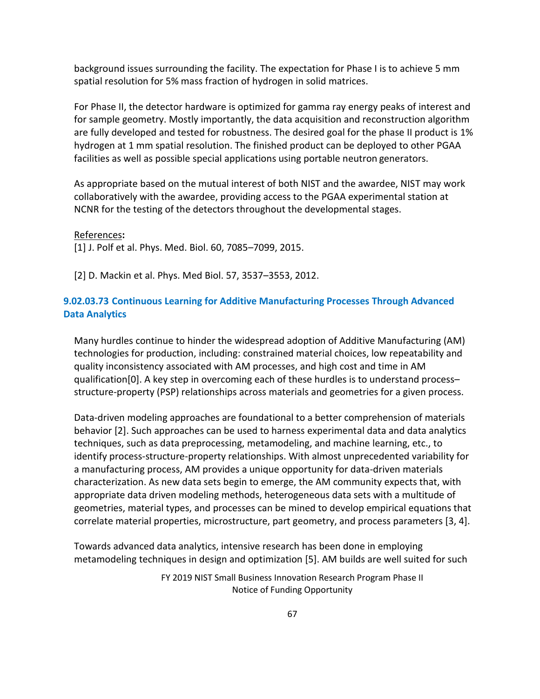background issues surrounding the facility. The expectation for Phase I is to achieve 5 mm spatial resolution for 5% mass fraction of hydrogen in solid matrices.

For Phase II, the detector hardware is optimized for gamma ray energy peaks of interest and for sample geometry. Mostly importantly, the data acquisition and reconstruction algorithm are fully developed and tested for robustness. The desired goal for the phase II product is 1% hydrogen at 1 mm spatial resolution. The finished product can be deployed to other PGAA facilities as well as possible special applications using portable neutron generators.

As appropriate based on the mutual interest of both NIST and the awardee, NIST may work collaboratively with the awardee, providing access to the PGAA experimental station at NCNR for the testing of the detectors throughout the developmental stages.

#### References**:**

[1] J. Polf et al. Phys. Med. Biol. 60, 7085–7099, 2015.

[2] D. Mackin et al. Phys. Med Biol. 57, 3537–3553, 2012.

## **9.02.03.73 Continuous Learning for Additive Manufacturing Processes Through Advanced Data Analytics**

Many hurdles continue to hinder the widespread adoption of Additive Manufacturing (AM) technologies for production, including: constrained material choices, low repeatability and quality inconsistency associated with AM processes, and high cost and time in AM qualificatio[n\[0\]](#page-69-0). A key step in overcoming each of these hurdles is to understand process– structure-property (PSP) relationships across materials and geometries for a given process.

Data-driven modeling approaches are foundational to a better comprehension of materials behavior [2]. Such approaches can be used to harness experimental data and data analytics techniques, such as data preprocessing, metamodeling, and machine learning, etc., to identify process-structure-property relationships. With almost unprecedented variability for a manufacturing process, AM provides a unique opportunity for data-driven materials characterization. As new data sets begin to emerge, the AM community expects that, with appropriate data driven modeling methods, heterogeneous data sets with a multitude of geometries, material types, and processes can be mined to develop empirical equations that correlate material properties, microstructure, part geometry, and process parameters [3, 4].

Towards advanced data analytics, intensive research has been done in employing metamodeling techniques in design and optimization [5]. AM builds are well suited for such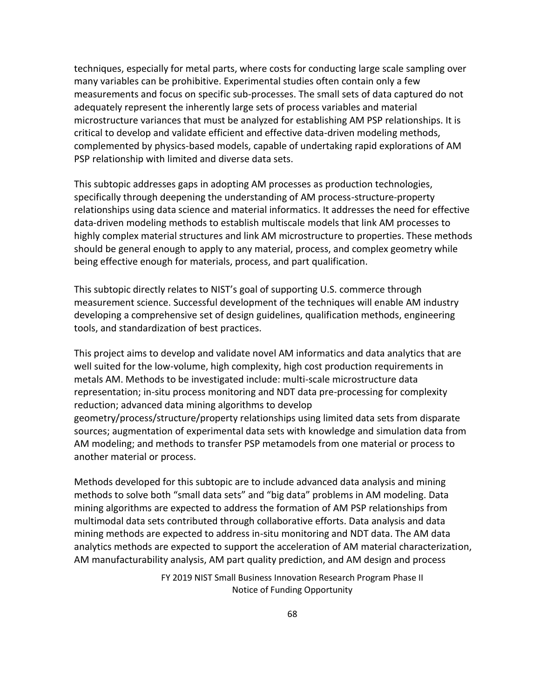techniques, especially for metal parts, where costs for conducting large scale sampling over many variables can be prohibitive. Experimental studies often contain only a few measurements and focus on specific sub-processes. The small sets of data captured do not adequately represent the inherently large sets of process variables and material microstructure variances that must be analyzed for establishing AM PSP relationships. It is critical to develop and validate efficient and effective data-driven modeling methods, complemented by physics-based models, capable of undertaking rapid explorations of AM PSP relationship with limited and diverse data sets.

This subtopic addresses gaps in adopting AM processes as production technologies, specifically through deepening the understanding of AM process-structure-property relationships using data science and material informatics. It addresses the need for effective data-driven modeling methods to establish multiscale models that link AM processes to highly complex material structures and link AM microstructure to properties. These methods should be general enough to apply to any material, process, and complex geometry while being effective enough for materials, process, and part qualification.

This subtopic directly relates to NIST's goal of supporting U.S. commerce through measurement science. Successful development of the techniques will enable AM industry developing a comprehensive set of design guidelines, qualification methods, engineering tools, and standardization of best practices.

This project aims to develop and validate novel AM informatics and data analytics that are well suited for the low-volume, high complexity, high cost production requirements in metals AM. Methods to be investigated include: multi-scale microstructure data representation; in-situ process monitoring and NDT data pre-processing for complexity reduction; advanced data mining algorithms to develop geometry/process/structure/property relationships using limited data sets from disparate sources; augmentation of experimental data sets with knowledge and simulation data from AM modeling; and methods to transfer PSP metamodels from one material or process to another material or process.

Methods developed for this subtopic are to include advanced data analysis and mining methods to solve both "small data sets" and "big data" problems in AM modeling. Data mining algorithms are expected to address the formation of AM PSP relationships from multimodal data sets contributed through collaborative efforts. Data analysis and data mining methods are expected to address in-situ monitoring and NDT data. The AM data analytics methods are expected to support the acceleration of AM material characterization, AM manufacturability analysis, AM part quality prediction, and AM design and process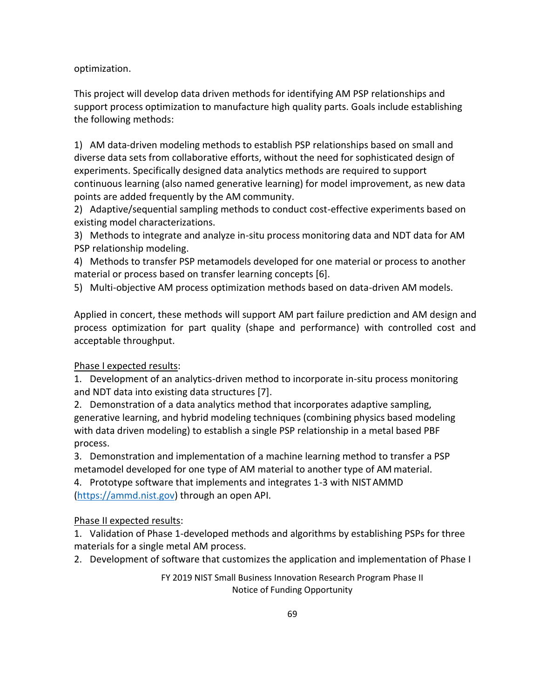optimization.

This project will develop data driven methods for identifying AM PSP relationships and support process optimization to manufacture high quality parts. Goals include establishing the following methods:

1) AM data-driven modeling methods to establish PSP relationships based on small and diverse data sets from collaborative efforts, without the need for sophisticated design of experiments. Specifically designed data analytics methods are required to support continuous learning (also named generative learning) for model improvement, as new data points are added frequently by the AM community.

2) Adaptive/sequential sampling methods to conduct cost-effective experiments based on existing model characterizations.

3) Methods to integrate and analyze in-situ process monitoring data and NDT data for AM PSP relationship modeling.

4) Methods to transfer PSP metamodels developed for one material or process to another material or process based on transfer learning concepts [6].

5) Multi-objective AM process optimization methods based on data-driven AM models.

Applied in concert, these methods will support AM part failure prediction and AM design and process optimization for part quality (shape and performance) with controlled cost and acceptable throughput.

## Phase I expected results:

1. Development of an analytics-driven method to incorporate in-situ process monitoring and NDT data into existing data structures [7].

2. Demonstration of a data analytics method that incorporates adaptive sampling, generative learning, and hybrid modeling techniques (combining physics based modeling with data driven modeling) to establish a single PSP relationship in a metal based PBF process.

3. Demonstration and implementation of a machine learning method to transfer a PSP metamodel developed for one type of AM material to another type of AM material.

4. Prototype software that implements and integrates 1-3 with NISTAMMD [\(https://ammd.nist.gov\)](https://ammd.nist.gov/) through an open API.

## Phase II expected results:

1. Validation of Phase 1-developed methods and algorithms by establishing PSPs for three materials for a single metal AM process.

2. Development of software that customizes the application and implementation of Phase I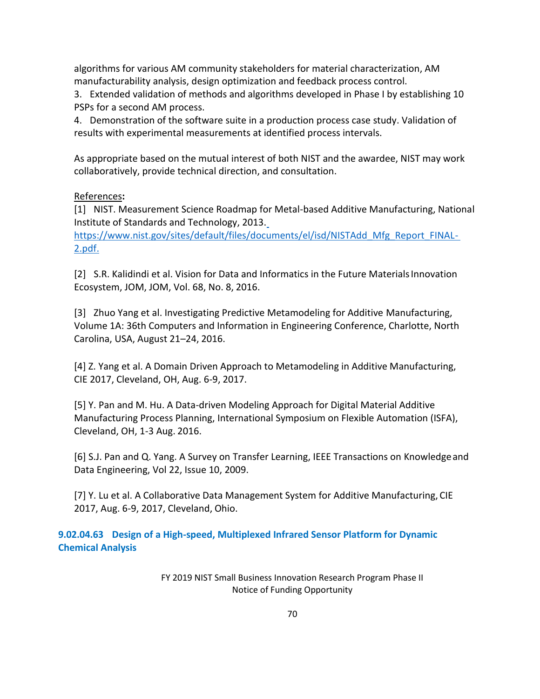algorithms for various AM community stakeholders for material characterization, AM manufacturability analysis, design optimization and feedback process control.

3. Extended validation of methods and algorithms developed in Phase I by establishing 10 PSPs for a second AM process.

4. Demonstration of the software suite in a production process case study. Validation of results with experimental measurements at identified process intervals.

As appropriate based on the mutual interest of both NIST and the awardee, NIST may work collaboratively, provide technical direction, and consultation.

## <span id="page-69-0"></span>References**:**

[1] NIST. Measurement Science Roadmap for Metal-based Additive Manufacturing, National Institute of Standards and Technology, 2013.

[https://www.nist.gov/sites/default/files/documents/el/isd/NISTAdd\\_Mfg\\_Report\\_FINAL-](http://www.nist.gov/el/isd/upload/NISTAdd_Mfg_Report_FINAL-2.pdf)[2.pdf.](http://www.nist.gov/el/isd/upload/NISTAdd_Mfg_Report_FINAL-2.pdf)

[2] S.R. Kalidindi et al. Vision for Data and Informatics in the Future Materials Innovation Ecosystem, JOM, JOM, Vol. 68, No. 8, 2016.

[3] Zhuo Yang et al. Investigating Predictive Metamodeling for Additive Manufacturing, Volume 1A: 36th Computers and Information in Engineering Conference, Charlotte, North Carolina, USA, August 21–24, 2016.

[4] Z. Yang et al. A Domain Driven Approach to Metamodeling in Additive Manufacturing, CIE 2017, Cleveland, OH, Aug. 6-9, 2017.

[5] Y. Pan and M. Hu. A Data-driven Modeling Approach for Digital Material Additive Manufacturing Process Planning, International Symposium on Flexible Automation (ISFA), Cleveland, OH, 1-3 Aug. 2016.

[6] S.J. Pan and Q. Yang. A Survey on Transfer Learning, IEEE Transactions on Knowledgeand Data Engineering, Vol 22, Issue 10, 2009.

[7] Y. Lu et al. A Collaborative Data Management System for Additive Manufacturing, CIE 2017, Aug. 6-9, 2017, Cleveland, Ohio.

**9.02.04.63 Design of a High-speed, Multiplexed Infrared Sensor Platform for Dynamic Chemical Analysis**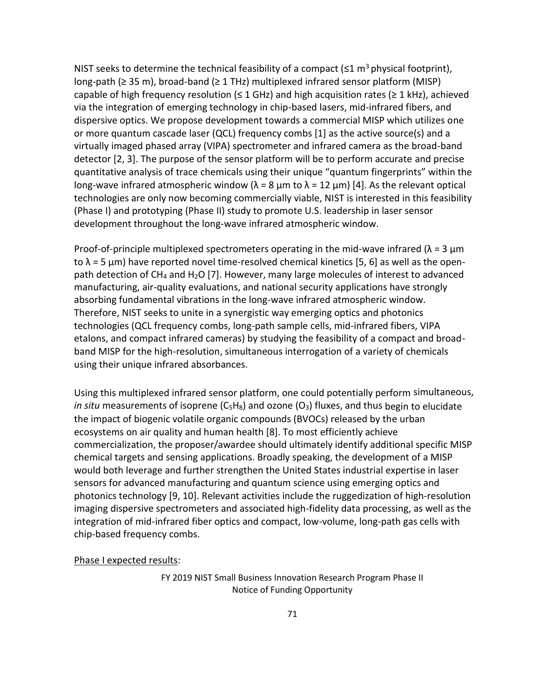NIST seeks to determine the technical feasibility of a compact ( $\leq 1$  m<sup>3</sup> physical footprint), long-path (≥ 35 m), broad-band (≥ 1 THz) multiplexed infrared sensor platform (MISP) capable of high frequency resolution ( $\leq 1$  GHz) and high acquisition rates ( $\geq 1$  kHz), achieved via the integration of emerging technology in chip-based lasers, mid-infrared fibers, and dispersive optics. We propose development towards a commercial MISP which utilizes one or more quantum cascade laser (QCL) frequency combs [1] as the active source(s) and a virtually imaged phased array (VIPA) spectrometer and infrared camera as the broad-band detector [2, 3]. The purpose of the sensor platform will be to perform accurate and precise quantitative analysis of trace chemicals using their unique "quantum fingerprints" within the long-wave infrared atmospheric window ( $\lambda = 8$  μm to  $\lambda = 12$  μm) [4]. As the relevant optical technologies are only now becoming commercially viable, NIST is interested in this feasibility (Phase I) and prototyping (Phase II) study to promote U.S. leadership in laser sensor development throughout the long-wave infrared atmospheric window.

Proof-of-principle multiplexed spectrometers operating in the mid-wave infrared ( $\lambda = 3 \mu m$ to  $\lambda$  = 5 µm) have reported novel time-resolved chemical kinetics [5, 6] as well as the openpath detection of  $CH_4$  and H<sub>2</sub>O [7]. However, many large molecules of interest to advanced manufacturing, air-quality evaluations, and national security applications have strongly absorbing fundamental vibrations in the long-wave infrared atmospheric window. Therefore, NIST seeks to unite in a synergistic way emerging optics and photonics technologies (QCL frequency combs, long-path sample cells, mid-infrared fibers, VIPA etalons, and compact infrared cameras) by studying the feasibility of a compact and broadband MISP for the high-resolution, simultaneous interrogation of a variety of chemicals using their unique infrared absorbances.

Using this multiplexed infrared sensor platform, one could potentially perform simultaneous, *in situ* measurements of isoprene  $(C_5H_8)$  and ozone  $(O_3)$  fluxes, and thus begin to elucidate the impact of biogenic volatile organic compounds (BVOCs) released by the urban ecosystems on air quality and human health [8]. To most efficiently achieve commercialization, the proposer/awardee should ultimately identify additional specific MISP chemical targets and sensing applications. Broadly speaking, the development of a MISP would both leverage and further strengthen the United States industrial expertise in laser sensors for advanced manufacturing and quantum science using emerging optics and photonics technology [9, 10]. Relevant activities include the ruggedization of high-resolution imaging dispersive spectrometers and associated high-fidelity data processing, as well as the integration of mid-infrared fiber optics and compact, low-volume, long-path gas cells with chip-based frequency combs.

#### Phase I expected results: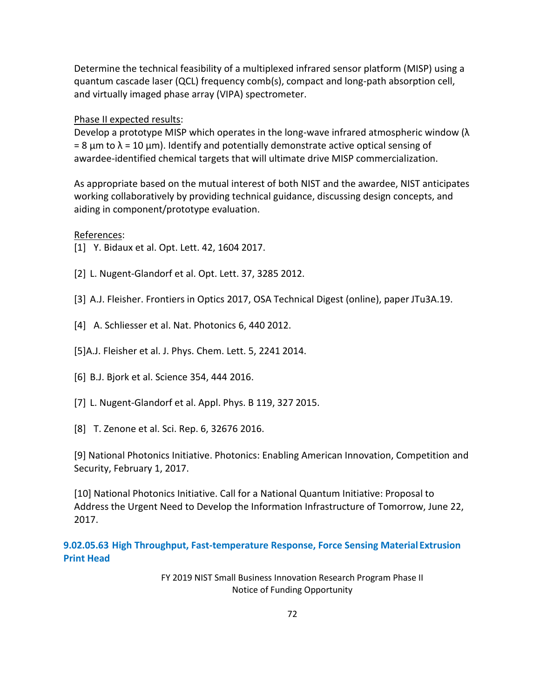Determine the technical feasibility of a multiplexed infrared sensor platform (MISP) using a quantum cascade laser (QCL) frequency comb(s), compact and long-path absorption cell, and virtually imaged phase array (VIPA) spectrometer.

Phase II expected results:

Develop a prototype MISP which operates in the long-wave infrared atmospheric window  $(\lambda)$ = 8  $\mu$ m to  $\lambda$  = 10  $\mu$ m). Identify and potentially demonstrate active optical sensing of awardee-identified chemical targets that will ultimate drive MISP commercialization.

As appropriate based on the mutual interest of both NIST and the awardee, NIST anticipates working collaboratively by providing technical guidance, discussing design concepts, and aiding in component/prototype evaluation.

References:

- [1] Y. Bidaux et al. Opt. Lett. 42, 1604 2017.
- [2] L. Nugent-Glandorf et al. Opt. Lett. 37, 3285 2012.
- [3] A.J. Fleisher. Frontiers in Optics 2017, OSA Technical Digest (online), paper JTu3A.19.
- [4] A. Schliesser et al. Nat. Photonics 6, 440 2012.
- [5]A.J. Fleisher et al. J. Phys. Chem. Lett. 5, 2241 2014.
- [6] B.J. Bjork et al. Science 354, 444 2016.
- [7] L. Nugent-Glandorf et al. Appl. Phys. B 119, 327 2015.
- [8] T. Zenone et al. Sci. Rep. 6, 32676 2016.

[9] National Photonics Initiative. Photonics: Enabling American Innovation, Competition and Security, February 1, 2017.

[10] National Photonics Initiative. Call for a National Quantum Initiative: Proposal to Address the Urgent Need to Develop the Information Infrastructure of Tomorrow, June 22, 2017.

**9.02.05.63 High Throughput, Fast-temperature Response, Force Sensing Material Extrusion Print Head**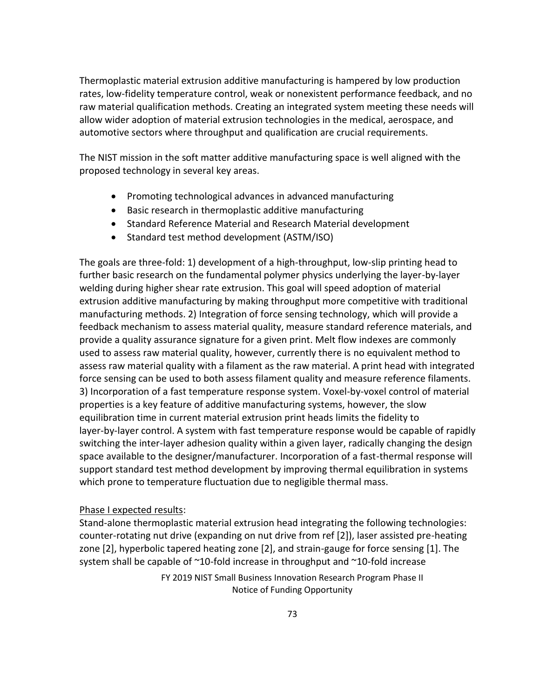Thermoplastic material extrusion additive manufacturing is hampered by low production rates, low-fidelity temperature control, weak or nonexistent performance feedback, and no raw material qualification methods. Creating an integrated system meeting these needs will allow wider adoption of material extrusion technologies in the medical, aerospace, and automotive sectors where throughput and qualification are crucial requirements.

The NIST mission in the soft matter additive manufacturing space is well aligned with the proposed technology in several key areas.

- Promoting technological advances in advanced manufacturing
- Basic research in thermoplastic additive manufacturing
- Standard Reference Material and Research Material development
- Standard test method development (ASTM/ISO)

The goals are three-fold: 1) development of a high-throughput, low-slip printing head to further basic research on the fundamental polymer physics underlying the layer-by-layer welding during higher shear rate extrusion. This goal will speed adoption of material extrusion additive manufacturing by making throughput more competitive with traditional manufacturing methods. 2) Integration of force sensing technology, which will provide a feedback mechanism to assess material quality, measure standard reference materials, and provide a quality assurance signature for a given print. Melt flow indexes are commonly used to assess raw material quality, however, currently there is no equivalent method to assess raw material quality with a filament as the raw material. A print head with integrated force sensing can be used to both assess filament quality and measure reference filaments. 3) Incorporation of a fast temperature response system. Voxel-by-voxel control of material properties is a key feature of additive manufacturing systems, however, the slow equilibration time in current material extrusion print heads limits the fidelity to layer-by-layer control. A system with fast temperature response would be capable of rapidly switching the inter-layer adhesion quality within a given layer, radically changing the design space available to the designer/manufacturer. Incorporation of a fast-thermal response will support standard test method development by improving thermal equilibration in systems which prone to temperature fluctuation due to negligible thermal mass.

### Phase I expected results:

Stand-alone thermoplastic material extrusion head integrating the following technologies: counter-rotating nut drive (expanding on nut drive from ref [2]), laser assisted pre-heating zone [2], hyperbolic tapered heating zone [2], and strain-gauge for force sensing [1]. The system shall be capable of ~10-fold increase in throughput and ~10-fold increase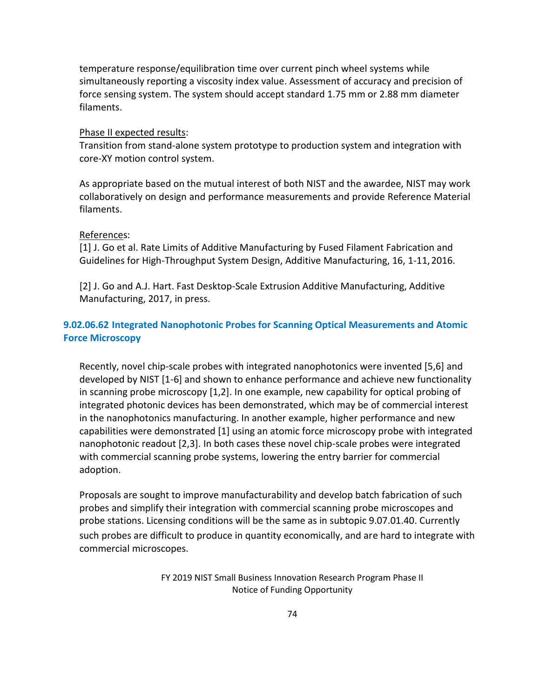temperature response/equilibration time over current pinch wheel systems while simultaneously reporting a viscosity index value. Assessment of accuracy and precision of force sensing system. The system should accept standard 1.75 mm or 2.88 mm diameter filaments.

### Phase II expected results:

Transition from stand-alone system prototype to production system and integration with core-XY motion control system.

As appropriate based on the mutual interest of both NIST and the awardee, NIST may work collaboratively on design and performance measurements and provide Reference Material filaments.

### References:

[1] J. Go et al. Rate Limits of Additive Manufacturing by Fused Filament Fabrication and Guidelines for High-Throughput System Design, Additive Manufacturing, 16, 1-11,2016.

[2] J. Go and A.J. Hart. Fast Desktop-Scale Extrusion Additive Manufacturing, Additive Manufacturing, 2017, in press.

## **9.02.06.62 Integrated Nanophotonic Probes for Scanning Optical Measurements and Atomic Force Microscopy**

Recently, novel chip-scale probes with integrated nanophotonics were invented [5,6] and developed by NIST [1-6] and shown to enhance performance and achieve new functionality in scanning probe microscopy [1,2]. In one example, new capability for optical probing of integrated photonic devices has been demonstrated, which may be of commercial interest in the nanophotonics manufacturing. In another example, higher performance and new capabilities were demonstrated [1] using an atomic force microscopy probe with integrated nanophotonic readout [2,3]. In both cases these novel chip-scale probes were integrated with commercial scanning probe systems, lowering the entry barrier for commercial adoption.

Proposals are sought to improve manufacturability and develop batch fabrication of such probes and simplify their integration with commercial scanning probe microscopes and probe stations. Licensing conditions will be the same as in subtopic 9.07.01.40. Currently such probes are difficult to produce in quantity economically, and are hard to integrate with commercial microscopes.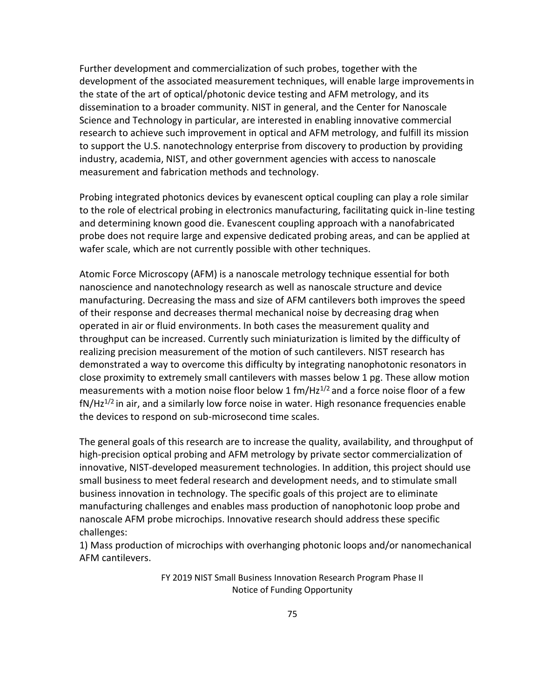Further development and commercialization of such probes, together with the development of the associated measurement techniques, will enable large improvementsin the state of the art of optical/photonic device testing and AFM metrology, and its dissemination to a broader community. NIST in general, and the Center for Nanoscale Science and Technology in particular, are interested in enabling innovative commercial research to achieve such improvement in optical and AFM metrology, and fulfill its mission to support the U.S. nanotechnology enterprise from discovery to production by providing industry, academia, NIST, and other government agencies with access to nanoscale measurement and fabrication methods and technology.

Probing integrated photonics devices by evanescent optical coupling can play a role similar to the role of electrical probing in electronics manufacturing, facilitating quick in-line testing and determining known good die. Evanescent coupling approach with a nanofabricated probe does not require large and expensive dedicated probing areas, and can be applied at wafer scale, which are not currently possible with other techniques.

Atomic Force Microscopy (AFM) is a nanoscale metrology technique essential for both nanoscience and nanotechnology research as well as nanoscale structure and device manufacturing. Decreasing the mass and size of AFM cantilevers both improves the speed of their response and decreases thermal mechanical noise by decreasing drag when operated in air or fluid environments. In both cases the measurement quality and throughput can be increased. Currently such miniaturization is limited by the difficulty of realizing precision measurement of the motion of such cantilevers. NIST research has demonstrated a way to overcome this difficulty by integrating nanophotonic resonators in close proximity to extremely small cantilevers with masses below 1 pg. These allow motion measurements with a motion noise floor below 1 fm/Hz<sup>1/2</sup> and a force noise floor of a few  $fN/Hz^{1/2}$  in air, and a similarly low force noise in water. High resonance frequencies enable the devices to respond on sub-microsecond time scales.

The general goals of this research are to increase the quality, availability, and throughput of high-precision optical probing and AFM metrology by private sector commercialization of innovative, NIST-developed measurement technologies. In addition, this project should use small business to meet federal research and development needs, and to stimulate small business innovation in technology. The specific goals of this project are to eliminate manufacturing challenges and enables mass production of nanophotonic loop probe and nanoscale AFM probe microchips. Innovative research should address these specific challenges:

1) Mass production of microchips with overhanging photonic loops and/or nanomechanical AFM cantilevers.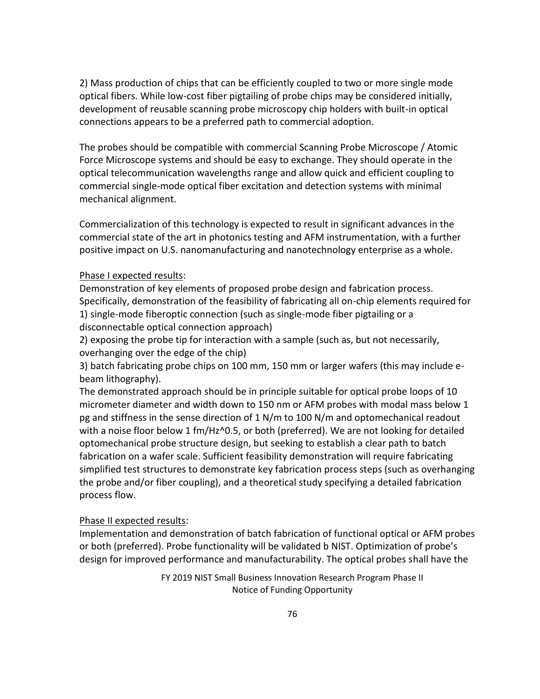2) Mass production of chips that can be efficiently coupled to two or more single mode optical fibers. While low-cost fiber pigtailing of probe chips may be considered initially, development of reusable scanning probe microscopy chip holders with built-in optical connections appears to be a preferred path to commercial adoption.

The probes should be compatible with commercial Scanning Probe Microscope / Atomic Force Microscope systems and should be easy to exchange. They should operate in the optical telecommunication wavelengths range and allow quick and efficient coupling to commercial single-mode optical fiber excitation and detection systems with minimal mechanical alignment.

Commercialization of this technology is expected to result in significant advances in the commercial state of the art in photonics testing and AFM instrumentation, with a further positive impact on U.S. nanomanufacturing and nanotechnology enterprise as a whole.

### Phase I expected results:

Demonstration of key elements of proposed probe design and fabrication process. Specifically, demonstration of the feasibility of fabricating all on-chip elements required for 1) single-mode fiberoptic connection (such as single-mode fiber pigtailing or a disconnectable optical connection approach)

2) exposing the probe tip for interaction with a sample (such as, but not necessarily, overhanging over the edge of the chip)

3) batch fabricating probe chips on 100 mm, 150 mm or larger wafers (this may include ebeam lithography).

The demonstrated approach should be in principle suitable for optical probe loops of 10 micrometer diameter and width down to 150 nm or AFM probes with modal mass below 1 pg and stiffness in the sense direction of 1 N/m to 100 N/m and optomechanical readout with a noise floor below 1 fm/Hz^0.5, or both (preferred). We are not looking for detailed optomechanical probe structure design, but seeking to establish a clear path to batch fabrication on a wafer scale. Sufficient feasibility demonstration will require fabricating simplified test structures to demonstrate key fabrication process steps (such as overhanging the probe and/or fiber coupling), and a theoretical study specifying a detailed fabrication process flow.

### Phase II expected results:

Implementation and demonstration of batch fabrication of functional optical or AFM probes or both (preferred). Probe functionality will be validated b NIST. Optimization of probe's design for improved performance and manufacturability. The optical probes shall have the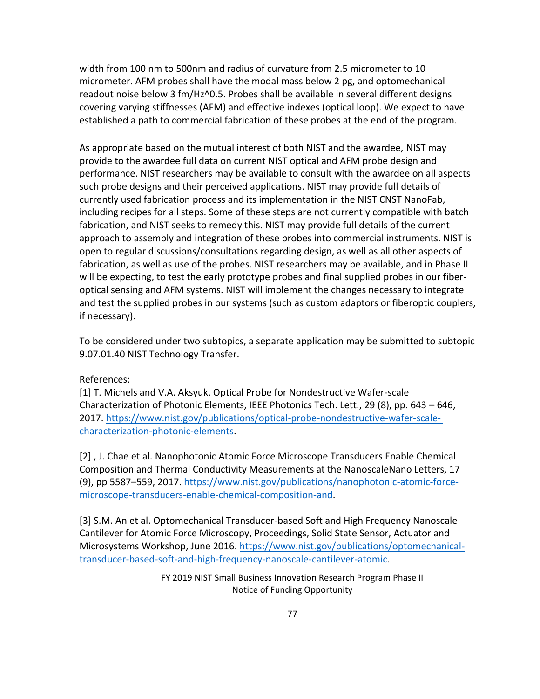width from 100 nm to 500nm and radius of curvature from 2.5 micrometer to 10 micrometer. AFM probes shall have the modal mass below 2 pg, and optomechanical readout noise below 3 fm/Hz^0.5. Probes shall be available in several different designs covering varying stiffnesses (AFM) and effective indexes (optical loop). We expect to have established a path to commercial fabrication of these probes at the end of the program.

As appropriate based on the mutual interest of both NIST and the awardee, NIST may provide to the awardee full data on current NIST optical and AFM probe design and performance. NIST researchers may be available to consult with the awardee on all aspects such probe designs and their perceived applications. NIST may provide full details of currently used fabrication process and its implementation in the NIST CNST NanoFab, including recipes for all steps. Some of these steps are not currently compatible with batch fabrication, and NIST seeks to remedy this. NIST may provide full details of the current approach to assembly and integration of these probes into commercial instruments. NIST is open to regular discussions/consultations regarding design, as well as all other aspects of fabrication, as well as use of the probes. NIST researchers may be available, and in Phase II will be expecting, to test the early prototype probes and final supplied probes in our fiberoptical sensing and AFM systems. NIST will implement the changes necessary to integrate and test the supplied probes in our systems (such as custom adaptors or fiberoptic couplers, if necessary).

To be considered under two subtopics, a separate application may be submitted to subtopic 9.07.01.40 NIST Technology Transfer.

### References:

[1] T. Michels and V.A. Aksyuk. Optical Probe for Nondestructive Wafer-scale Characterization of Photonic Elements, IEEE Photonics Tech. Lett., 29 (8), pp. 643 – 646, 2017. [https://www.nist.gov/publications/optical-probe-nondestructive-wafer-scale](https://www.nist.gov/publications/optical-probe-nondestructive-wafer-scale-characterization-photonic-elements)[characterization-photonic-elements.](https://www.nist.gov/publications/optical-probe-nondestructive-wafer-scale-characterization-photonic-elements)

[2] , J. Chae et al. Nanophotonic Atomic Force Microscope Transducers Enable Chemical Composition and Thermal Conductivity Measurements at the NanoscaleNano Letters, 17 (9), pp 5587–559, 2017. [https://www.nist.gov/publications/nanophotonic-atomic-force](https://www.nist.gov/publications/nanophotonic-atomic-force-microscope-transducers-enable-chemical-composition-and)[microscope-transducers-enable-chemical-composition-and.](https://www.nist.gov/publications/nanophotonic-atomic-force-microscope-transducers-enable-chemical-composition-and)

[3] S.M. An et al. Optomechanical Transducer-based Soft and High Frequency Nanoscale Cantilever for Atomic Force Microscopy, Proceedings, Solid State Sensor, Actuator and Microsystems Workshop, June 2016. [https://www.nist.gov/publications/optomechanical](https://www.nist.gov/publications/optomechanical-transducer-based-soft-and-high-frequency-nanoscale-cantilever-atomic)[transducer-based-soft-and-high-frequency-nanoscale-cantilever-atomic.](https://www.nist.gov/publications/optomechanical-transducer-based-soft-and-high-frequency-nanoscale-cantilever-atomic)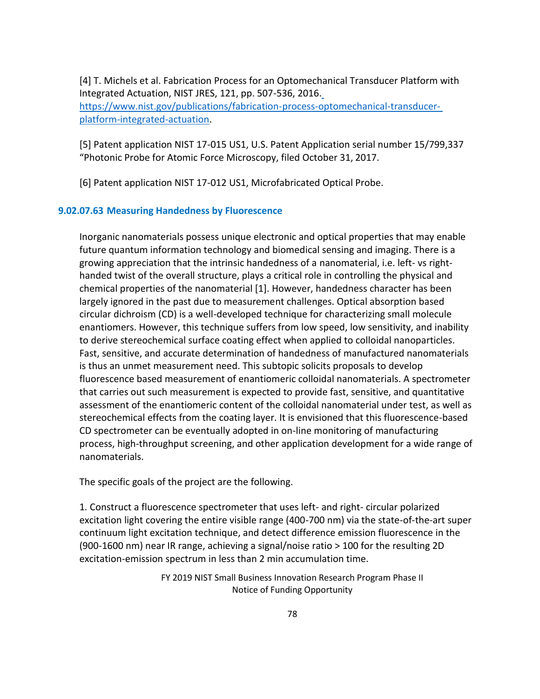[4] T. Michels et al. Fabrication Process for an Optomechanical Transducer Platform with Integrated Actuation, NIST JRES, 121, pp. 507-536, 2016. [https://www.nist.gov/publications/fabrication-process-optomechanical-transducer](https://www.nist.gov/publications/fabrication-process-optomechanical-transducer-platform-integrated-actuation)[platform-integrated-actuation.](https://www.nist.gov/publications/fabrication-process-optomechanical-transducer-platform-integrated-actuation)

[5] Patent application NIST 17-015 US1, U.S. Patent Application serial number 15/799,337 "Photonic Probe for Atomic Force Microscopy, filed October 31, 2017.

[6] Patent application NIST 17-012 US1, Microfabricated Optical Probe.

### **9.02.07.63 Measuring Handedness by Fluorescence**

Inorganic nanomaterials possess unique electronic and optical properties that may enable future quantum information technology and biomedical sensing and imaging. There is a growing appreciation that the intrinsic handedness of a nanomaterial, i.e. left- vs righthanded twist of the overall structure, plays a critical role in controlling the physical and chemical properties of the nanomaterial [1]. However, handedness character has been largely ignored in the past due to measurement challenges. Optical absorption based circular dichroism (CD) is a well-developed technique for characterizing small molecule enantiomers. However, this technique suffers from low speed, low sensitivity, and inability to derive stereochemical surface coating effect when applied to colloidal nanoparticles. Fast, sensitive, and accurate determination of handedness of manufactured nanomaterials is thus an unmet measurement need. This subtopic solicits proposals to develop fluorescence based measurement of enantiomeric colloidal nanomaterials. A spectrometer that carries out such measurement is expected to provide fast, sensitive, and quantitative assessment of the enantiomeric content of the colloidal nanomaterial under test, as well as stereochemical effects from the coating layer. It is envisioned that this fluorescence-based CD spectrometer can be eventually adopted in on-line monitoring of manufacturing process, high-throughput screening, and other application development for a wide range of nanomaterials.

The specific goals of the project are the following.

1. Construct a fluorescence spectrometer that uses left- and right- circular polarized excitation light covering the entire visible range (400-700 nm) via the state-of-the-art super continuum light excitation technique, and detect difference emission fluorescence in the (900-1600 nm) near IR range, achieving a signal/noise ratio > 100 for the resulting 2D excitation-emission spectrum in less than 2 min accumulation time.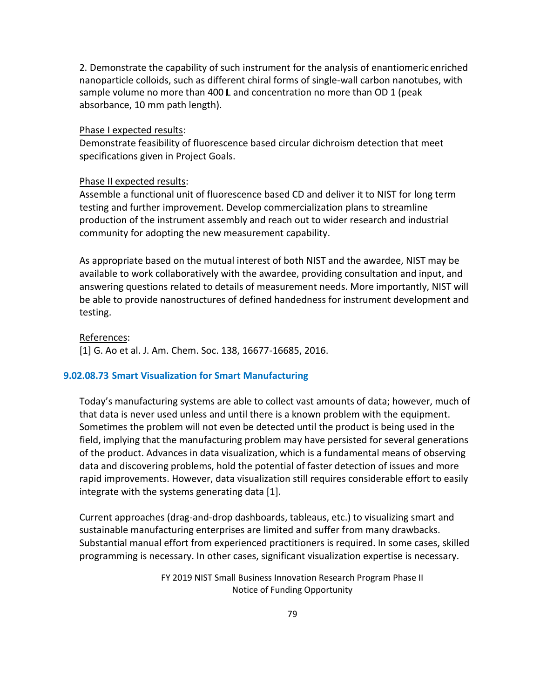2. Demonstrate the capability of such instrument for the analysis of enantiomericenriched nanoparticle colloids, such as different chiral forms of single-wall carbon nanotubes, with sample volume no more than 400  $\mathbb L$  and concentration no more than OD 1 (peak absorbance, 10 mm path length).

### Phase I expected results:

Demonstrate feasibility of fluorescence based circular dichroism detection that meet specifications given in Project Goals.

### Phase II expected results:

Assemble a functional unit of fluorescence based CD and deliver it to NIST for long term testing and further improvement. Develop commercialization plans to streamline production of the instrument assembly and reach out to wider research and industrial community for adopting the new measurement capability.

As appropriate based on the mutual interest of both NIST and the awardee, NIST may be available to work collaboratively with the awardee, providing consultation and input, and answering questions related to details of measurement needs. More importantly, NIST will be able to provide nanostructures of defined handedness for instrument development and testing.

References:

[1] G. Ao et al. J. Am. Chem. Soc. 138, 16677-16685, 2016.

### **9.02.08.73 Smart Visualization for Smart Manufacturing**

Today's manufacturing systems are able to collect vast amounts of data; however, much of that data is never used unless and until there is a known problem with the equipment. Sometimes the problem will not even be detected until the product is being used in the field, implying that the manufacturing problem may have persisted for several generations of the product. Advances in data visualization, which is a fundamental means of observing data and discovering problems, hold the potential of faster detection of issues and more rapid improvements. However, data visualization still requires considerable effort to easily integrate with the systems generating data [1].

Current approaches (drag-and-drop dashboards, tableaus, etc.) to visualizing smart and sustainable manufacturing enterprises are limited and suffer from many drawbacks. Substantial manual effort from experienced practitioners is required. In some cases, skilled programming is necessary. In other cases, significant visualization expertise is necessary.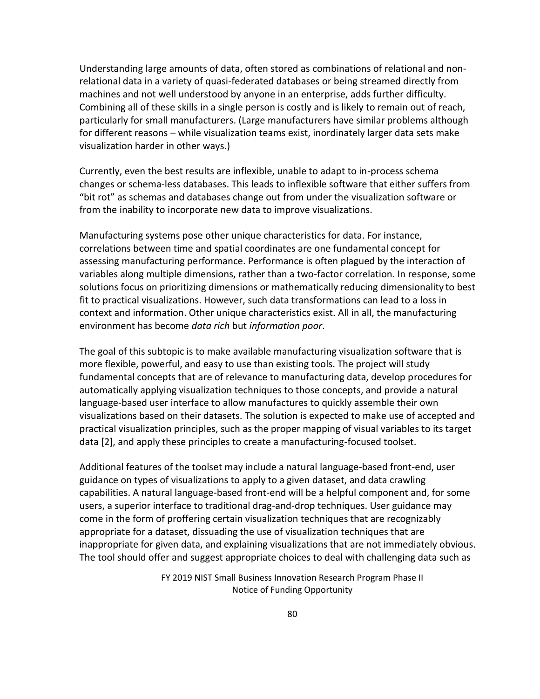Understanding large amounts of data, often stored as combinations of relational and nonrelational data in a variety of quasi-federated databases or being streamed directly from machines and not well understood by anyone in an enterprise, adds further difficulty. Combining all of these skills in a single person is costly and is likely to remain out of reach, particularly for small manufacturers. (Large manufacturers have similar problems although for different reasons – while visualization teams exist, inordinately larger data sets make visualization harder in other ways.)

Currently, even the best results are inflexible, unable to adapt to in-process schema changes or schema-less databases. This leads to inflexible software that either suffers from "bit rot" as schemas and databases change out from under the visualization software or from the inability to incorporate new data to improve visualizations.

Manufacturing systems pose other unique characteristics for data. For instance, correlations between time and spatial coordinates are one fundamental concept for assessing manufacturing performance. Performance is often plagued by the interaction of variables along multiple dimensions, rather than a two-factor correlation. In response, some solutions focus on prioritizing dimensions or mathematically reducing dimensionality to best fit to practical visualizations. However, such data transformations can lead to a loss in context and information. Other unique characteristics exist. All in all, the manufacturing environment has become *data rich* but *information poor*.

The goal of this subtopic is to make available manufacturing visualization software that is more flexible, powerful, and easy to use than existing tools. The project will study fundamental concepts that are of relevance to manufacturing data, develop procedures for automatically applying visualization techniques to those concepts, and provide a natural language-based user interface to allow manufactures to quickly assemble their own visualizations based on their datasets. The solution is expected to make use of accepted and practical visualization principles, such as the proper mapping of visual variables to its target data [2], and apply these principles to create a manufacturing-focused toolset.

Additional features of the toolset may include a natural language-based front-end, user guidance on types of visualizations to apply to a given dataset, and data crawling capabilities. A natural language-based front-end will be a helpful component and, for some users, a superior interface to traditional drag-and-drop techniques. User guidance may come in the form of proffering certain visualization techniques that are recognizably appropriate for a dataset, dissuading the use of visualization techniques that are inappropriate for given data, and explaining visualizations that are not immediately obvious. The tool should offer and suggest appropriate choices to deal with challenging data such as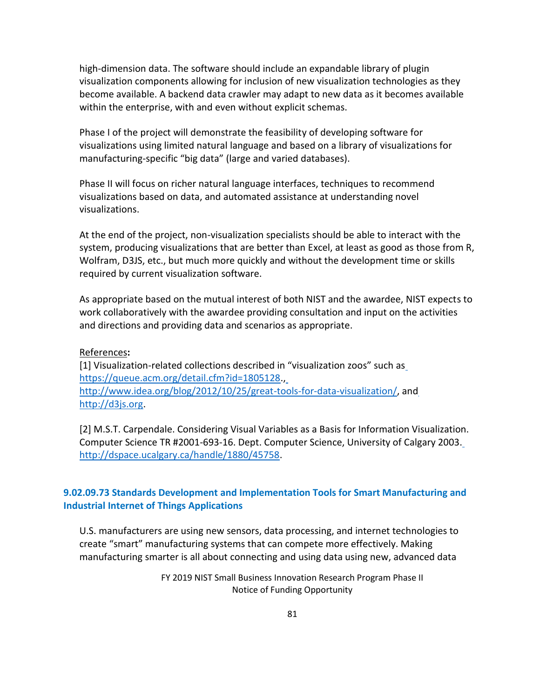high-dimension data. The software should include an expandable library of plugin visualization components allowing for inclusion of new visualization technologies as they become available. A backend data crawler may adapt to new data as it becomes available within the enterprise, with and even without explicit schemas.

Phase I of the project will demonstrate the feasibility of developing software for visualizations using limited natural language and based on a library of visualizations for manufacturing-specific "big data" (large and varied databases).

Phase II will focus on richer natural language interfaces, techniques to recommend visualizations based on data, and automated assistance at understanding novel visualizations.

At the end of the project, non-visualization specialists should be able to interact with the system, producing visualizations that are better than Excel, at least as good as those from R, Wolfram, D3JS, etc., but much more quickly and without the development time or skills required by current visualization software.

As appropriate based on the mutual interest of both NIST and the awardee, NIST expects to work collaboratively with the awardee providing consultation and input on the activities and directions and providing data and scenarios as appropriate.

### References**:**

[1] Visualization-related collections described in "visualization zoos" such a[s](https://queue.acm.org/detail.cfm?id=1805128) [https://queue.acm.org/detail.cfm?id=1805128.](https://queue.acm.org/detail.cfm?id=1805128)[,](http://www.idea.org/blog/2012/10/25/great-tools-for-data-visualization/) [http://www.idea.org/blog/2012/10/25/great-tools-for-data-visualization/,](http://www.idea.org/blog/2012/10/25/great-tools-for-data-visualization/) an[d](http://d3js.org/) [http://d3js.org.](http://d3js.org/)

[2] M.S.T. Carpendale. Considering Visual Variables as a Basis for Information Visualization. Computer Science TR #2001-693-16. Dept. Computer Science, University of Calgary 2003[.](http://dspace.ucalgary.ca/handle/1880/45758) [http://dspace.ucalgary.ca/handle/1880/45758.](http://dspace.ucalgary.ca/handle/1880/45758)

## **9.02.09.73 Standards Development and Implementation Tools for Smart Manufacturing and Industrial Internet of Things Applications**

U.S. manufacturers are using new sensors, data processing, and internet technologies to create "smart" manufacturing systems that can compete more effectively. Making manufacturing smarter is all about connecting and using data using new, advanced data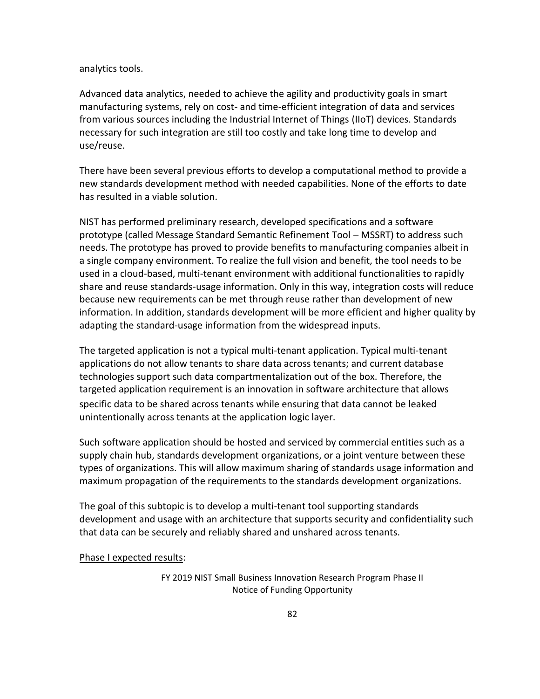#### analytics tools.

Advanced data analytics, needed to achieve the agility and productivity goals in smart manufacturing systems, rely on cost- and time-efficient integration of data and services from various sources including the Industrial Internet of Things (IIoT) devices. Standards necessary for such integration are still too costly and take long time to develop and use/reuse.

There have been several previous efforts to develop a computational method to provide a new standards development method with needed capabilities. None of the efforts to date has resulted in a viable solution.

NIST has performed preliminary research, developed specifications and a software prototype (called Message Standard Semantic Refinement Tool – MSSRT) to address such needs. The prototype has proved to provide benefits to manufacturing companies albeit in a single company environment. To realize the full vision and benefit, the tool needs to be used in a cloud-based, multi-tenant environment with additional functionalities to rapidly share and reuse standards-usage information. Only in this way, integration costs will reduce because new requirements can be met through reuse rather than development of new information. In addition, standards development will be more efficient and higher quality by adapting the standard-usage information from the widespread inputs.

The targeted application is not a typical multi-tenant application. Typical multi-tenant applications do not allow tenants to share data across tenants; and current database technologies support such data compartmentalization out of the box. Therefore, the targeted application requirement is an innovation in software architecture that allows specific data to be shared across tenants while ensuring that data cannot be leaked unintentionally across tenants at the application logic layer.

Such software application should be hosted and serviced by commercial entities such as a supply chain hub, standards development organizations, or a joint venture between these types of organizations. This will allow maximum sharing of standards usage information and maximum propagation of the requirements to the standards development organizations.

The goal of this subtopic is to develop a multi-tenant tool supporting standards development and usage with an architecture that supports security and confidentiality such that data can be securely and reliably shared and unshared across tenants.

#### Phase I expected results: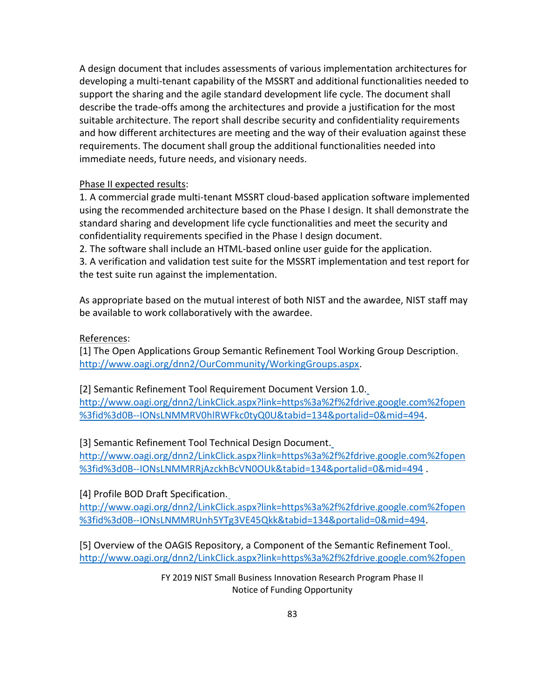A design document that includes assessments of various implementation architectures for developing a multi-tenant capability of the MSSRT and additional functionalities needed to support the sharing and the agile standard development life cycle. The document shall describe the trade-offs among the architectures and provide a justification for the most suitable architecture. The report shall describe security and confidentiality requirements and how different architectures are meeting and the way of their evaluation against these requirements. The document shall group the additional functionalities needed into immediate needs, future needs, and visionary needs.

## Phase II expected results:

1. A commercial grade multi-tenant MSSRT cloud-based application software implemented using the recommended architecture based on the Phase I design. It shall demonstrate the standard sharing and development life cycle functionalities and meet the security and confidentiality requirements specified in the Phase I design document.

2. The software shall include an HTML-based online user guide for the application.

3. A verification and validation test suite for the MSSRT implementation and test report for the test suite run against the implementation.

As appropriate based on the mutual interest of both NIST and the awardee, NIST staff may be available to work collaboratively with the awardee.

## References:

[1] The Open Applications Group Semantic Refinement Tool Working Group Description. [http://www.oagi.org/dnn2/OurCommunity/WorkingGroups.aspx.](http://www.oagi.org/dnn2/OurCommunity/WorkingGroups.aspx)

[2] Semantic Refinement Tool Requirement Document Version 1.0[.](http://www.oagi.org/dnn2/LinkClick.aspx?link=https%3a%2f%2fdrive.google.com%2fopen%3fid%3d0B--IONsLNMMRV0hlRWFkc0tyQ0U&tabid=134&portalid=0&mid=494) [http://www.oagi.org/dnn2/LinkClick.aspx?link=https%3a%2f%2fdrive.google.com%2fopen](http://www.oagi.org/dnn2/LinkClick.aspx?link=https%3a%2f%2fdrive.google.com%2fopen%3fid%3d0B--IONsLNMMRV0hlRWFkc0tyQ0U&tabid=134&portalid=0&mid=494) [%3fid%3d0B--IONsLNMMRV0hlRWFkc0tyQ0U&tabid=134&portalid=0&mid=494.](http://www.oagi.org/dnn2/LinkClick.aspx?link=https%3a%2f%2fdrive.google.com%2fopen%3fid%3d0B--IONsLNMMRV0hlRWFkc0tyQ0U&tabid=134&portalid=0&mid=494)

[3] Semantic Refinement Tool Technical Design Document.

[http://www.oagi.org/dnn2/LinkClick.aspx?link=https%3a%2f%2fdrive.google.com%2fopen](http://www.oagi.org/dnn2/LinkClick.aspx?link=https%3a%2f%2fdrive.google.com%2fopen%3fid%3d0B--IONsLNMMRRjAzckhBcVN0OUk&tabid=134&portalid=0&mid=494) [%3fid%3d0B--IONsLNMMRRjAzckhBcVN0OUk&tabid=134&portalid=0&mid=494](http://www.oagi.org/dnn2/LinkClick.aspx?link=https%3a%2f%2fdrive.google.com%2fopen%3fid%3d0B--IONsLNMMRRjAzckhBcVN0OUk&tabid=134&portalid=0&mid=494) .

[4] Profile BOD Draft Specification.

[http://www.oagi.org/dnn2/LinkClick.aspx?link=https%3a%2f%2fdrive.google.com%2fopen](http://www.oagi.org/dnn2/LinkClick.aspx?link=https%3a%2f%2fdrive.google.com%2fopen%3fid%3d0B--IONsLNMMRUnh5YTg3VE45Qkk&tabid=134&portalid=0&mid=494) [%3fid%3d0B--IONsLNMMRUnh5YTg3VE45Qkk&tabid=134&portalid=0&mid=494.](http://www.oagi.org/dnn2/LinkClick.aspx?link=https%3a%2f%2fdrive.google.com%2fopen%3fid%3d0B--IONsLNMMRUnh5YTg3VE45Qkk&tabid=134&portalid=0&mid=494)

[5] Overview of the OAGIS Repository, a Component of the Semantic Refinement Tool. [http://www.oagi.org/dnn2/LinkClick.aspx?link=https%3a%2f%2fdrive.google.com%2fopen](http://www.oagi.org/dnn2/LinkClick.aspx?link=https%3a%2f%2fdrive.google.com%2fopen%3fid%3d0B--IONsLNMMRTmhzdklOOFRmN1U&tabid=134&portalid=0&mid=494)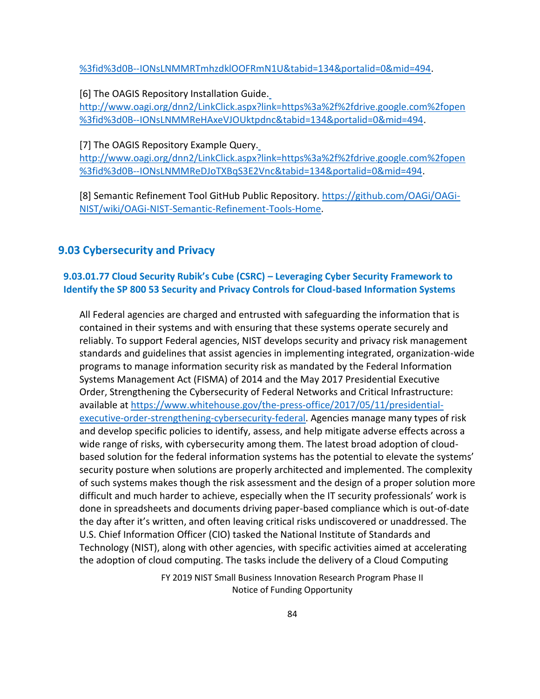[%3fid%3d0B--IONsLNMMRTmhzdklOOFRmN1U&tabid=134&portalid=0&mid=494.](http://www.oagi.org/dnn2/LinkClick.aspx?link=https%3a%2f%2fdrive.google.com%2fopen%3fid%3d0B--IONsLNMMRTmhzdklOOFRmN1U&tabid=134&portalid=0&mid=494)

[6] The OAGIS Repository Installation Guide.

[http://www.oagi.org/dnn2/LinkClick.aspx?link=https%3a%2f%2fdrive.google.com%2fopen](http://www.oagi.org/dnn2/LinkClick.aspx?link=https%3a%2f%2fdrive.google.com%2fopen%3fid%3d0B--IONsLNMMReHAxeVJOUktpdnc&tabid=134&portalid=0&mid=494) [%3fid%3d0B--IONsLNMMReHAxeVJOUktpdnc&tabid=134&portalid=0&mid=494.](http://www.oagi.org/dnn2/LinkClick.aspx?link=https%3a%2f%2fdrive.google.com%2fopen%3fid%3d0B--IONsLNMMReHAxeVJOUktpdnc&tabid=134&portalid=0&mid=494)

[7] The OAGIS Repository Example Query.

[http://www.oagi.org/dnn2/LinkClick.aspx?link=https%3a%2f%2fdrive.google.com%2fopen](http://www.oagi.org/dnn2/LinkClick.aspx?link=https%3a%2f%2fdrive.google.com%2fopen%3fid%3d0B--IONsLNMMReDJoTXBqS3E2Vnc&tabid=134&portalid=0&mid=494) [%3fid%3d0B--IONsLNMMReDJoTXBqS3E2Vnc&tabid=134&portalid=0&mid=494.](http://www.oagi.org/dnn2/LinkClick.aspx?link=https%3a%2f%2fdrive.google.com%2fopen%3fid%3d0B--IONsLNMMReDJoTXBqS3E2Vnc&tabid=134&portalid=0&mid=494)

[8] Semantic Refinement Tool GitHub Public Repository. [https://github.com/OAGi/OAGi-](https://github.com/OAGi/OAGi-NIST/wiki/OAGi-NIST-Semantic-Refinement-Tools-Home)[NIST/wiki/OAGi-NIST-Semantic-Refinement-Tools-Home.](https://github.com/OAGi/OAGi-NIST/wiki/OAGi-NIST-Semantic-Refinement-Tools-Home)

## **9.03 Cybersecurity and Privacy**

## **9.03.01.77 Cloud Security Rubik's Cube (CSRC) – Leveraging Cyber Security Framework to Identify the SP 800 53 Security and Privacy Controls for Cloud-based Information Systems**

All Federal agencies are charged and entrusted with safeguarding the information that is contained in their systems and with ensuring that these systems operate securely and reliably. To support Federal agencies, NIST develops security and privacy risk management standards and guidelines that assist agencies in implementing integrated, organization-wide programs to manage information security risk as mandated by the Federal Information Systems Management Act (FISMA) of 2014 and the May 2017 Presidential Executive Order, Strengthening the Cybersecurity of Federal Networks and Critical Infrastructure: available at [https://www.whitehouse.gov/the-press-office/2017/05/11/presidential](https://www.whitehouse.gov/the-press-office/2017/05/11/presidential-executive-order-strengthening-cybersecurity-federal)[executive-order-strengthening-cybersecurity-federal.](https://www.whitehouse.gov/the-press-office/2017/05/11/presidential-executive-order-strengthening-cybersecurity-federal) Agencies manage many types of risk and develop specific policies to identify, assess, and help mitigate adverse effects across a wide range of risks, with cybersecurity among them. The latest broad adoption of cloudbased solution for the federal information systems has the potential to elevate the systems' security posture when solutions are properly architected and implemented. The complexity of such systems makes though the risk assessment and the design of a proper solution more difficult and much harder to achieve, especially when the IT security professionals' work is done in spreadsheets and documents driving paper-based compliance which is out-of-date the day after it's written, and often leaving critical risks undiscovered or unaddressed. The U.S. Chief Information Officer (CIO) tasked the National Institute of Standards and Technology (NIST), along with other agencies, with specific activities aimed at accelerating the adoption of cloud computing. The tasks include the delivery of a Cloud Computing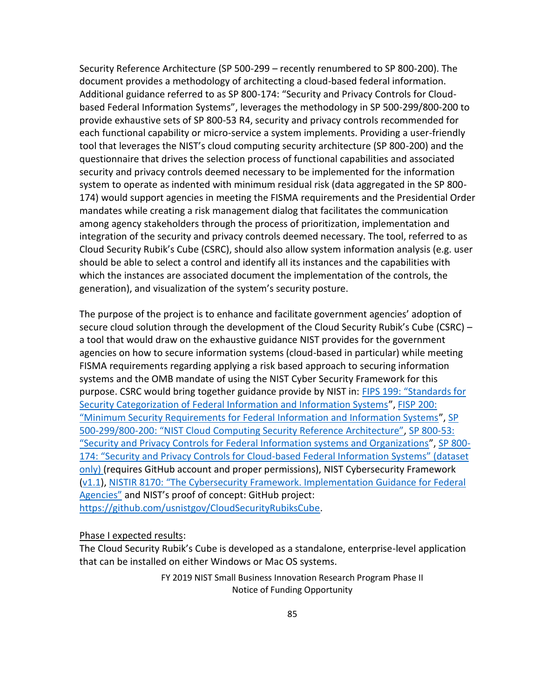Security Reference Architecture (SP 500-299 – recently renumbered to SP 800-200). The document provides a methodology of architecting a cloud-based federal information. Additional guidance referred to as SP 800-174: "Security and Privacy Controls for Cloudbased Federal Information Systems", leverages the methodology in SP 500-299/800-200 to provide exhaustive sets of SP 800-53 R4, security and privacy controls recommended for each functional capability or micro-service a system implements. Providing a user-friendly tool that leverages the NIST's cloud computing security architecture (SP 800-200) and the questionnaire that drives the selection process of functional capabilities and associated security and privacy controls deemed necessary to be implemented for the information system to operate as indented with minimum residual risk (data aggregated in the SP 800- 174) would support agencies in meeting the FISMA requirements and the Presidential Order mandates while creating a risk management dialog that facilitates the communication among agency stakeholders through the process of prioritization, implementation and integration of the security and privacy controls deemed necessary. The tool, referred to as Cloud Security Rubik's Cube (CSRC), should also allow system information analysis (e.g. user should be able to select a control and identify all its instances and the capabilities with which the instances are associated document the implementation of the controls, the generation), and visualization of the system's security posture.

The purpose of the project is to enhance and facilitate government agencies' adoption of secure cloud solution through the development of the Cloud Security Rubik's Cube (CSRC) – a tool that would draw on the exhaustive guidance NIST provides for the government agencies on how to secure information systems (cloud-based in particular) while meeting FISMA requirements regarding applying a risk based approach to securing information systems and the OMB mandate of using the NIST Cyber Security Framework for this purpose. CSRC would bring together guidance provide by NIST in: [FIPS 199: "Standards for](http://nvlpubs.nist.gov/nistpubs/FIPS/NIST.FIPS.199.pdf) [Security Categorization of Federal Information and Information Systems](http://nvlpubs.nist.gov/nistpubs/FIPS/NIST.FIPS.199.pdf)", [FISP 200:](http://nvlpubs.nist.gov/nistpubs/FIPS/NIST.FIPS.200.pdf) ["Minimum Security Requirements for Federal Information and Information Systems"](http://nvlpubs.nist.gov/nistpubs/FIPS/NIST.FIPS.200.pdf), [SP](http://collaborate.nist.gov/twiki-cloud-computing/pub/CloudComputing/CloudSecurity/NIST_Security_Reference_Architecture_2013.05.15_v1.0.pdf) 500-299/800-[200: "NIST Cloud Computing Security Reference Architecture"](http://collaborate.nist.gov/twiki-cloud-computing/pub/CloudComputing/CloudSecurity/NIST_Security_Reference_Architecture_2013.05.15_v1.0.pdf)[, SP 800-53:](http://nvlpubs.nist.gov/nistpubs/SpecialPublications/NIST.SP.800-53r4.pdf) "Security a[nd Privacy Controls for Federal Information systems and Organizations](http://nvlpubs.nist.gov/nistpubs/SpecialPublications/NIST.SP.800-53r4.pdf)", [SP 800-](https://github.com/usnistgov/CloudSecurityRubiksCube/blob/master/Documents/CC_Overlay-SRA-RubiksCube_2017.08.17.xlsx) 174: "Security and Privacy Controls for Cloud-[based Federal Information Systems" \(dataset](https://github.com/usnistgov/CloudSecurityRubiksCube/blob/master/Documents/CC_Overlay-SRA-RubiksCube_2017.08.17.xlsx) [only\) \(](https://github.com/usnistgov/CloudSecurityRubiksCube/blob/master/Documents/CC_Overlay-SRA-RubiksCube_2017.08.17.xlsx)requires GitHub account and proper permissions), NIST Cybersecurity Framework [\(v1.1\)](https://www.nist.gov/sites/default/files/documents/draft-cybersecurity-framework-v1.11.pdf), [NISTIR 8170: "The Cybersecurity Framework. Implementation Guidance for Federal](https://csrc.nist.gov/CSRC/media/Publications/nistir/8170/draft/documents/nistir8170-draft.pdf) [Agencies"](https://csrc.nist.gov/CSRC/media/Publications/nistir/8170/draft/documents/nistir8170-draft.pdf) and NIST's proof of concept: GitHub project: [https://github.com/usnistgov/CloudSecurityRubiksCube.](https://github.com/usnistgov/CloudSecurityRubiksCube)

### Phase I expected results:

The Cloud Security Rubik's Cube is developed as a standalone, enterprise-level application that can be installed on either Windows or Mac OS systems.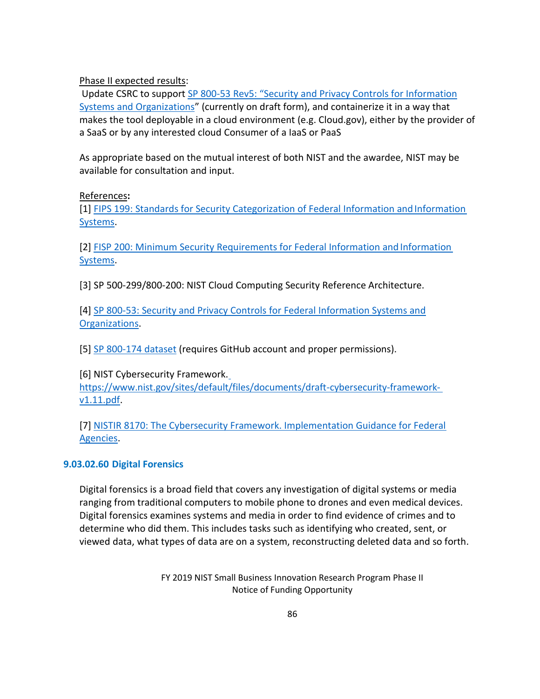Phase II expected results:

Update CSRC to support SP 800-[53 Rev5: "Security and Privacy Controls for Information](https://csrc.nist.gov/CSRC/media/Publications/sp/800-53/rev-5/draft/documents/sp800-53r5-draft.pdf) [Systems and Organizations](https://csrc.nist.gov/CSRC/media/Publications/sp/800-53/rev-5/draft/documents/sp800-53r5-draft.pdf)" (currently on draft form), and containerize it in a way that makes the tool deployable in a cloud environment (e.g. Cloud.gov), either by the provider of a SaaS or by any interested cloud Consumer of a IaaS or PaaS

As appropriate based on the mutual interest of both NIST and the awardee, NIST may be available for consultation and input.

### References**:**

[1] FIPS 199: Standards for Security Categorization of Federal Information and Information [Systems.](http://nvlpubs.nist.gov/nistpubs/FIPS/NIST.FIPS.199.pdf)

[2] [FISP 200: Minimum Security Requirements for Federal Information and](http://nvlpubs.nist.gov/nistpubs/FIPS/NIST.FIPS.200.pdf) Informatio[n](http://nvlpubs.nist.gov/nistpubs/FIPS/NIST.FIPS.200.pdf) [Systems.](http://nvlpubs.nist.gov/nistpubs/FIPS/NIST.FIPS.200.pdf)

[3] SP 500-299/800-200: NIST Cloud Computing Security Reference Architecture.

[4] [SP 800-53: Security and Privacy Controls for Federal Information Systems and](http://nvlpubs.nist.gov/nistpubs/SpecialPublications/NIST.SP.800-53r4.pdf) [Organizations.](http://nvlpubs.nist.gov/nistpubs/SpecialPublications/NIST.SP.800-53r4.pdf)

[5] [SP 800-174 dataset](https://github.com/usnistgov/CloudSecurityRubiksCube/blob/master/Documents/CC_Overlay-SRA-RubiksCube_2017.08.17.xlsx) (requires GitHub account and proper permissions).

[6] NIST Cybersecurity Framework.

[https://www.nist.gov/sites/default/files/documents/draft-cybersecurity-framework](https://www.nist.gov/sites/default/files/documents/draft-cybersecurity-framework-v1.11.pdf)[v1.11.pdf.](https://www.nist.gov/sites/default/files/documents/draft-cybersecurity-framework-v1.11.pdf)

[7] [NISTIR 8170: The Cybersecurity Framework. Implementation Guidance for Federal](https://csrc.nist.gov/CSRC/media/Publications/nistir/8170/draft/documents/nistir8170-draft.pdf) [Agencies.](https://csrc.nist.gov/CSRC/media/Publications/nistir/8170/draft/documents/nistir8170-draft.pdf)

## **9.03.02.60 Digital Forensics**

Digital forensics is a broad field that covers any investigation of digital systems or media ranging from traditional computers to mobile phone to drones and even medical devices. Digital forensics examines systems and media in order to find evidence of crimes and to determine who did them. This includes tasks such as identifying who created, sent, or viewed data, what types of data are on a system, reconstructing deleted data and so forth.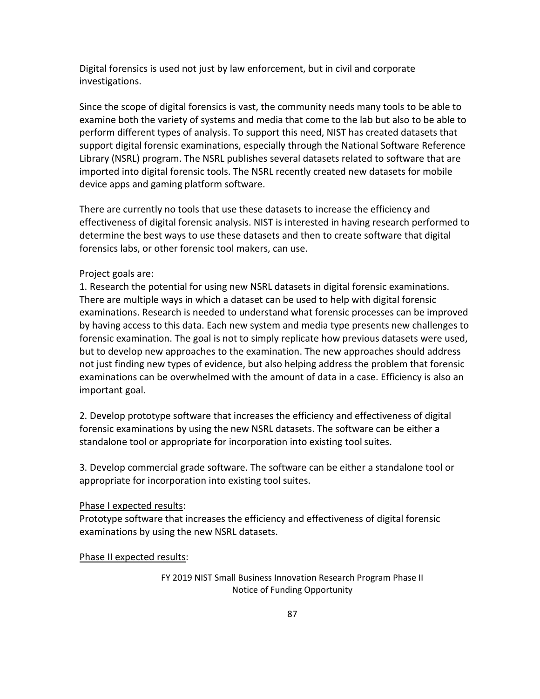Digital forensics is used not just by law enforcement, but in civil and corporate investigations.

Since the scope of digital forensics is vast, the community needs many tools to be able to examine both the variety of systems and media that come to the lab but also to be able to perform different types of analysis. To support this need, NIST has created datasets that support digital forensic examinations, especially through the National Software Reference Library (NSRL) program. The NSRL publishes several datasets related to software that are imported into digital forensic tools. The NSRL recently created new datasets for mobile device apps and gaming platform software.

There are currently no tools that use these datasets to increase the efficiency and effectiveness of digital forensic analysis. NIST is interested in having research performed to determine the best ways to use these datasets and then to create software that digital forensics labs, or other forensic tool makers, can use.

### Project goals are:

1. Research the potential for using new NSRL datasets in digital forensic examinations. There are multiple ways in which a dataset can be used to help with digital forensic examinations. Research is needed to understand what forensic processes can be improved by having access to this data. Each new system and media type presents new challenges to forensic examination. The goal is not to simply replicate how previous datasets were used, but to develop new approaches to the examination. The new approaches should address not just finding new types of evidence, but also helping address the problem that forensic examinations can be overwhelmed with the amount of data in a case. Efficiency is also an important goal.

2. Develop prototype software that increases the efficiency and effectiveness of digital forensic examinations by using the new NSRL datasets. The software can be either a standalone tool or appropriate for incorporation into existing toolsuites.

3. Develop commercial grade software. The software can be either a standalone tool or appropriate for incorporation into existing tool suites.

### Phase I expected results:

Prototype software that increases the efficiency and effectiveness of digital forensic examinations by using the new NSRL datasets.

### Phase II expected results: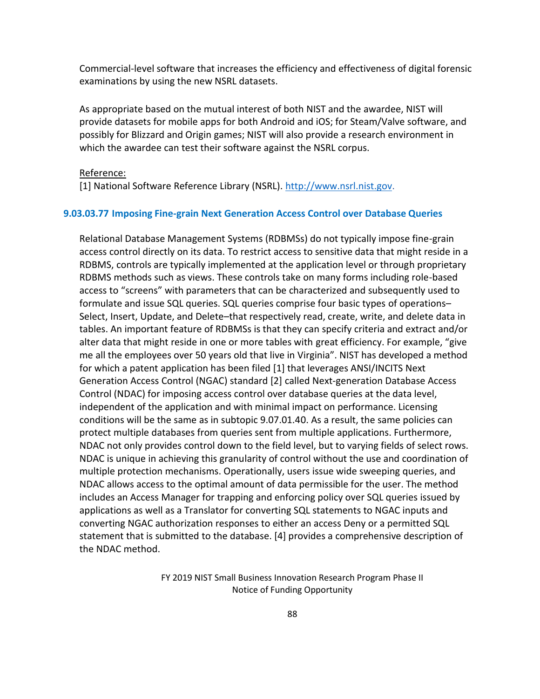Commercial-level software that increases the efficiency and effectiveness of digital forensic examinations by using the new NSRL datasets.

As appropriate based on the mutual interest of both NIST and the awardee, NIST will provide datasets for mobile apps for both Android and iOS; for Steam/Valve software, and possibly for Blizzard and Origin games; NIST will also provide a research environment in which the awardee can test their software against the NSRL corpus.

#### Reference:

[1] National Software Reference Library (NSRL). [http://www.nsrl.nist.gov.](http://www.nsrl.nist.gov/)

#### **9.03.03.77 Imposing Fine-grain Next Generation Access Control over Database Queries**

Relational Database Management Systems (RDBMSs) do not typically impose fine-grain access control directly on its data. To restrict access to sensitive data that might reside in a RDBMS, controls are typically implemented at the application level or through proprietary RDBMS methods such as views. These controls take on many forms including role-based access to "screens" with parameters that can be characterized and subsequently used to formulate and issue SQL queries. SQL queries comprise four basic types of operations– Select, Insert, Update, and Delete–that respectively read, create, write, and delete data in tables. An important feature of RDBMSs is that they can specify criteria and extract and/or alter data that might reside in one or more tables with great efficiency. For example, "give me all the employees over 50 years old that live in Virginia". NIST has developed a method for which a patent application has been filed [1] that leverages ANSI/INCITS Next Generation Access Control (NGAC) standard [2] called Next-generation Database Access Control (NDAC) for imposing access control over database queries at the data level, independent of the application and with minimal impact on performance. Licensing conditions will be the same as in subtopic 9.07.01.40. As a result, the same policies can protect multiple databases from queries sent from multiple applications. Furthermore, NDAC not only provides control down to the field level, but to varying fields of select rows. NDAC is unique in achieving this granularity of control without the use and coordination of multiple protection mechanisms. Operationally, users issue wide sweeping queries, and NDAC allows access to the optimal amount of data permissible for the user. The method includes an Access Manager for trapping and enforcing policy over SQL queries issued by applications as well as a Translator for converting SQL statements to NGAC inputs and converting NGAC authorization responses to either an access Deny or a permitted SQL statement that is submitted to the database. [4] provides a comprehensive description of the NDAC method.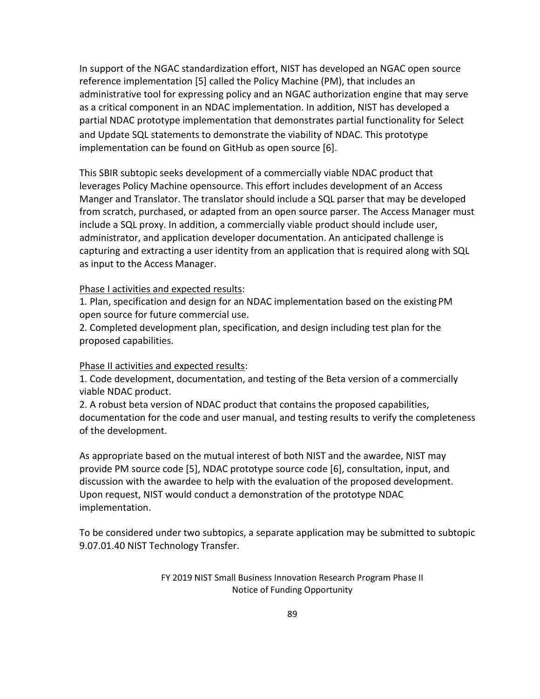In support of the NGAC standardization effort, NIST has developed an NGAC open source reference implementation [5] called the Policy Machine (PM), that includes an administrative tool for expressing policy and an NGAC authorization engine that may serve as a critical component in an NDAC implementation. In addition, NIST has developed a partial NDAC prototype implementation that demonstrates partial functionality for Select and Update SQL statements to demonstrate the viability of NDAC. This prototype implementation can be found on GitHub as open source [6].

This SBIR subtopic seeks development of a commercially viable NDAC product that leverages Policy Machine opensource. This effort includes development of an Access Manger and Translator. The translator should include a SQL parser that may be developed from scratch, purchased, or adapted from an open source parser. The Access Manager must include a SQL proxy. In addition, a commercially viable product should include user, administrator, and application developer documentation. An anticipated challenge is capturing and extracting a user identity from an application that is required along with SQL as input to the Access Manager.

### Phase I activities and expected results:

1. Plan, specification and design for an NDAC implementation based on the existing PM open source for future commercial use.

2. Completed development plan, specification, and design including test plan for the proposed capabilities.

### Phase II activities and expected results:

1. Code development, documentation, and testing of the Beta version of a commercially viable NDAC product.

2. A robust beta version of NDAC product that contains the proposed capabilities, documentation for the code and user manual, and testing results to verify the completeness of the development.

As appropriate based on the mutual interest of both NIST and the awardee, NIST may provide PM source code [5], NDAC prototype source code [6], consultation, input, and discussion with the awardee to help with the evaluation of the proposed development. Upon request, NIST would conduct a demonstration of the prototype NDAC implementation.

To be considered under two subtopics, a separate application may be submitted to subtopic 9.07.01.40 NIST Technology Transfer.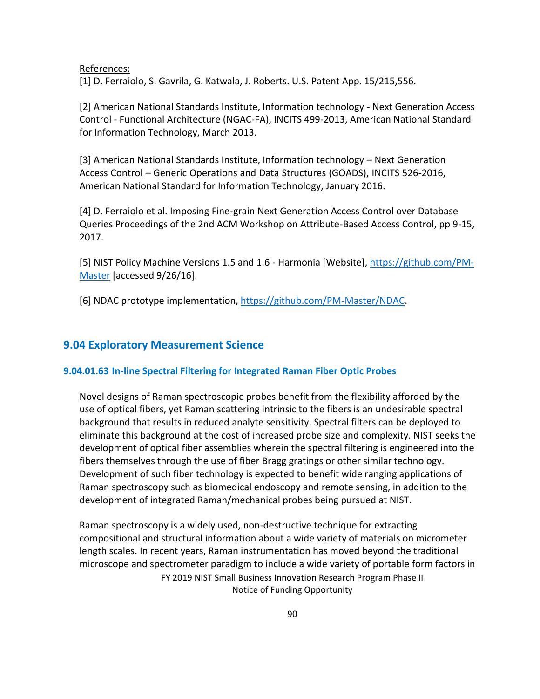References:

[1] D. Ferraiolo, S. Gavrila, G. Katwala, J. Roberts. U.S. Patent App. 15/215,556.

[2] American National Standards Institute, Information technology - Next Generation Access Control - Functional Architecture (NGAC-FA), INCITS 499-2013, American National Standard for Information Technology, March 2013.

[3] American National Standards Institute, Information technology – Next Generation Access Control – Generic Operations and Data Structures (GOADS), INCITS 526-2016, American National Standard for Information Technology, January 2016.

[4] D. Ferraiolo et al. Imposing Fine-grain Next Generation Access Control over Database Queries Proceedings of the 2nd ACM Workshop on Attribute-Based Access Control, pp 9-15, 2017.

[5] NIST Policy Machine Versions 1.5 and 1.6 - Harmonia [Website], [https://github.com/PM-](https://github.com/PM-Master)[Master](https://github.com/PM-Master) [accessed 9/26/16].

[6] NDAC prototype implementation, [https://github.com/PM-Master/NDAC.](https://github.com/PM-Master/NDAC)

### **9.04 Exploratory Measurement Science**

#### **9.04.01.63 In-line Spectral Filtering for Integrated Raman Fiber Optic Probes**

Novel designs of Raman spectroscopic probes benefit from the flexibility afforded by the use of optical fibers, yet Raman scattering intrinsic to the fibers is an undesirable spectral background that results in reduced analyte sensitivity. Spectral filters can be deployed to eliminate this background at the cost of increased probe size and complexity. NIST seeks the development of optical fiber assemblies wherein the spectral filtering is engineered into the fibers themselves through the use of fiber Bragg gratings or other similar technology. Development of such fiber technology is expected to benefit wide ranging applications of Raman spectroscopy such as biomedical endoscopy and remote sensing, in addition to the development of integrated Raman/mechanical probes being pursued at NIST.

FY 2019 NIST Small Business Innovation Research Program Phase II Notice of Funding Opportunity Raman spectroscopy is a widely used, non-destructive technique for extracting compositional and structural information about a wide variety of materials on micrometer length scales. In recent years, Raman instrumentation has moved beyond the traditional microscope and spectrometer paradigm to include a wide variety of portable form factors in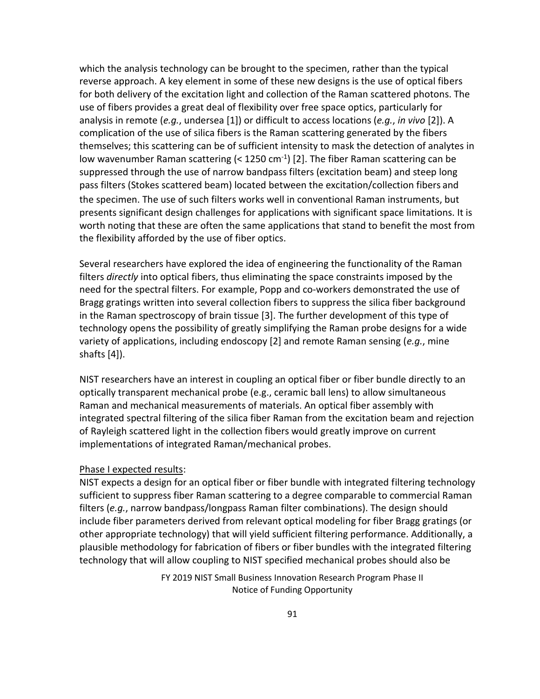which the analysis technology can be brought to the specimen, rather than the typical reverse approach. A key element in some of these new designs is the use of optical fibers for both delivery of the excitation light and collection of the Raman scattered photons. The use of fibers provides a great deal of flexibility over free space optics, particularly for analysis in remote (*e.g.*, undersea [1]) or difficult to access locations (*e.g.*, *in vivo* [2]). A complication of the use of silica fibers is the Raman scattering generated by the fibers themselves; this scattering can be of sufficient intensity to mask the detection of analytes in low wavenumber Raman scattering (< 1250 cm $^{-1}$ ) [2]. The fiber Raman scattering can be suppressed through the use of narrow bandpass filters (excitation beam) and steep long pass filters (Stokes scattered beam) located between the excitation/collection fibers and the specimen. The use of such filters works well in conventional Raman instruments, but presents significant design challenges for applications with significant space limitations. It is worth noting that these are often the same applications that stand to benefit the most from the flexibility afforded by the use of fiber optics.

Several researchers have explored the idea of engineering the functionality of the Raman filters *directly* into optical fibers, thus eliminating the space constraints imposed by the need for the spectral filters. For example, Popp and co-workers demonstrated the use of Bragg gratings written into several collection fibers to suppress the silica fiber background in the Raman spectroscopy of brain tissue [3]. The further development of this type of technology opens the possibility of greatly simplifying the Raman probe designs for a wide variety of applications, including endoscopy [2] and remote Raman sensing (*e.g.*, mine shafts [4]).

NIST researchers have an interest in coupling an optical fiber or fiber bundle directly to an optically transparent mechanical probe (e.g., ceramic ball lens) to allow simultaneous Raman and mechanical measurements of materials. An optical fiber assembly with integrated spectral filtering of the silica fiber Raman from the excitation beam and rejection of Rayleigh scattered light in the collection fibers would greatly improve on current implementations of integrated Raman/mechanical probes.

### Phase I expected results:

NIST expects a design for an optical fiber or fiber bundle with integrated filtering technology sufficient to suppress fiber Raman scattering to a degree comparable to commercial Raman filters (*e.g.*, narrow bandpass/longpass Raman filter combinations). The design should include fiber parameters derived from relevant optical modeling for fiber Bragg gratings (or other appropriate technology) that will yield sufficient filtering performance. Additionally, a plausible methodology for fabrication of fibers or fiber bundles with the integrated filtering technology that will allow coupling to NIST specified mechanical probes should also be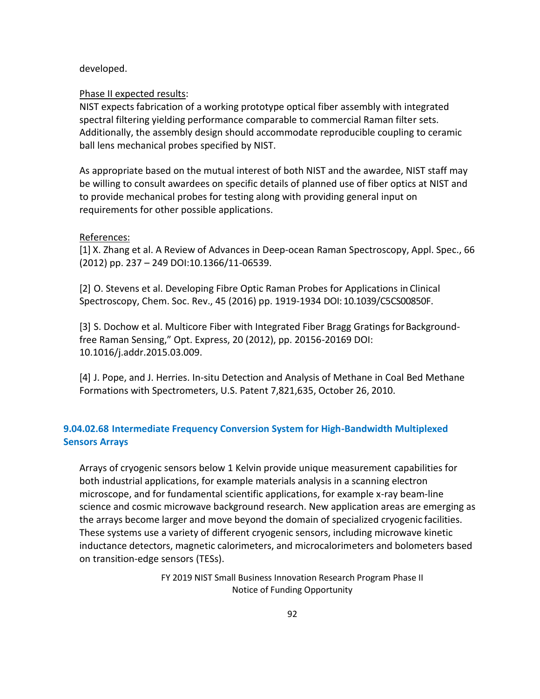#### developed.

#### Phase II expected results:

NIST expects fabrication of a working prototype optical fiber assembly with integrated spectral filtering yielding performance comparable to commercial Raman filter sets. Additionally, the assembly design should accommodate reproducible coupling to ceramic ball lens mechanical probes specified by NIST.

As appropriate based on the mutual interest of both NIST and the awardee, NIST staff may be willing to consult awardees on specific details of planned use of fiber optics at NIST and to provide mechanical probes for testing along with providing general input on requirements for other possible applications.

### References:

[1] X. Zhang et al. A Review of Advances in Deep-ocean Raman Spectroscopy, Appl. Spec., 66 (2012) pp. 237 – 249 DOI:10.1366/11-06539.

[2] O. Stevens et al. Developing Fibre Optic Raman Probes for Applications in Clinical Spectroscopy, Chem. Soc. Rev., 45 (2016) pp. 1919-1934 DOI: 10.1039/C5CS00850F.

[3] S. Dochow et al. Multicore Fiber with Integrated Fiber Bragg Gratings for Backgroundfree Raman Sensing," Opt. Express, 20 (2012), pp. 20156-20169 DOI: 10.1016/j.addr.2015.03.009.

[4] J. Pope, and J. Herries. In-situ Detection and Analysis of Methane in Coal Bed Methane Formations with Spectrometers, U.S. Patent 7,821,635, October 26, 2010.

## **9.04.02.68 Intermediate Frequency Conversion System for High-Bandwidth Multiplexed Sensors Arrays**

Arrays of cryogenic sensors below 1 Kelvin provide unique measurement capabilities for both industrial applications, for example materials analysis in a scanning electron microscope, and for fundamental scientific applications, for example x-ray beam-line science and cosmic microwave background research. New application areas are emerging as the arrays become larger and move beyond the domain of specialized cryogenic facilities. These systems use a variety of different cryogenic sensors, including microwave kinetic inductance detectors, magnetic calorimeters, and microcalorimeters and bolometers based on transition-edge sensors (TESs).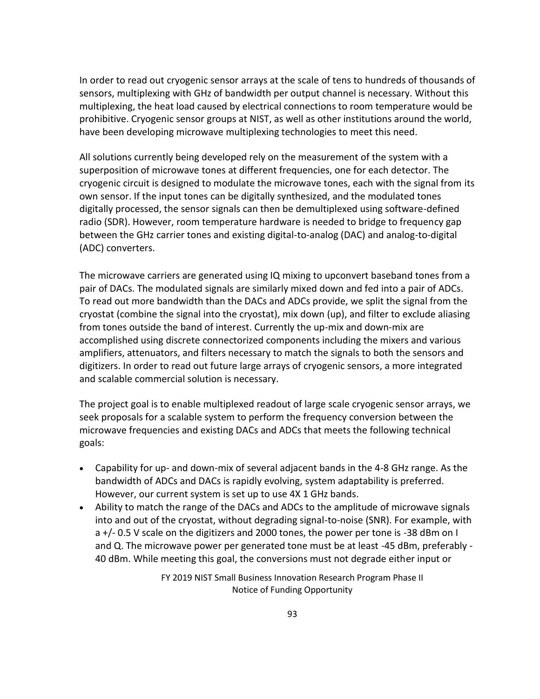In order to read out cryogenic sensor arrays at the scale of tens to hundreds of thousands of sensors, multiplexing with GHz of bandwidth per output channel is necessary. Without this multiplexing, the heat load caused by electrical connections to room temperature would be prohibitive. Cryogenic sensor groups at NIST, as well as other institutions around the world, have been developing microwave multiplexing technologies to meet this need.

All solutions currently being developed rely on the measurement of the system with a superposition of microwave tones at different frequencies, one for each detector. The cryogenic circuit is designed to modulate the microwave tones, each with the signal from its own sensor. If the input tones can be digitally synthesized, and the modulated tones digitally processed, the sensor signals can then be demultiplexed using software-defined radio (SDR). However, room temperature hardware is needed to bridge to frequency gap between the GHz carrier tones and existing digital-to-analog (DAC) and analog-to-digital (ADC) converters.

The microwave carriers are generated using IQ mixing to upconvert baseband tones from a pair of DACs. The modulated signals are similarly mixed down and fed into a pair of ADCs. To read out more bandwidth than the DACs and ADCs provide, we split the signal from the cryostat (combine the signal into the cryostat), mix down (up), and filter to exclude aliasing from tones outside the band of interest. Currently the up-mix and down-mix are accomplished using discrete connectorized components including the mixers and various amplifiers, attenuators, and filters necessary to match the signals to both the sensors and digitizers. In order to read out future large arrays of cryogenic sensors, a more integrated and scalable commercial solution is necessary.

The project goal is to enable multiplexed readout of large scale cryogenic sensor arrays, we seek proposals for a scalable system to perform the frequency conversion between the microwave frequencies and existing DACs and ADCs that meets the following technical goals:

- Capability for up- and down-mix of several adjacent bands in the 4-8 GHz range. As the bandwidth of ADCs and DACs is rapidly evolving, system adaptability is preferred. However, our current system is set up to use 4X 1 GHz bands.
- Ability to match the range of the DACs and ADCs to the amplitude of microwave signals into and out of the cryostat, without degrading signal-to-noise (SNR). For example, with a +/- 0.5 V scale on the digitizers and 2000 tones, the power per tone is -38 dBm on I and Q. The microwave power per generated tone must be at least -45 dBm, preferably - 40 dBm. While meeting this goal, the conversions must not degrade either input or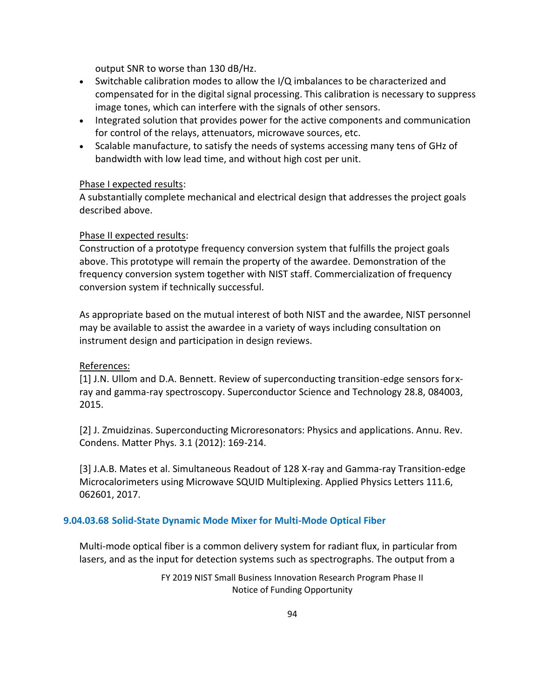output SNR to worse than 130 dB/Hz.

- Switchable calibration modes to allow the I/Q imbalances to be characterized and compensated for in the digital signal processing. This calibration is necessary to suppress image tones, which can interfere with the signals of other sensors.
- Integrated solution that provides power for the active components and communication for control of the relays, attenuators, microwave sources, etc.
- Scalable manufacture, to satisfy the needs of systems accessing many tens of GHz of bandwidth with low lead time, and without high cost per unit.

### Phase I expected results:

A substantially complete mechanical and electrical design that addresses the project goals described above.

### Phase II expected results:

Construction of a prototype frequency conversion system that fulfills the project goals above. This prototype will remain the property of the awardee. Demonstration of the frequency conversion system together with NIST staff. Commercialization of frequency conversion system if technically successful.

As appropriate based on the mutual interest of both NIST and the awardee, NIST personnel may be available to assist the awardee in a variety of ways including consultation on instrument design and participation in design reviews.

### References:

[1] J.N. Ullom and D.A. Bennett. Review of superconducting transition-edge sensors for xray and gamma-ray spectroscopy. Superconductor Science and Technology 28.8, 084003, 2015.

[2] J. Zmuidzinas. Superconducting Microresonators: Physics and applications. Annu. Rev. Condens. Matter Phys. 3.1 (2012): 169-214.

[3] J.A.B. Mates et al. Simultaneous Readout of 128 X-ray and Gamma-ray Transition-edge Microcalorimeters using Microwave SQUID Multiplexing. Applied Physics Letters 111.6, 062601, 2017.

### **9.04.03.68 Solid-State Dynamic Mode Mixer for Multi-Mode Optical Fiber**

Multi-mode optical fiber is a common delivery system for radiant flux, in particular from lasers, and as the input for detection systems such as spectrographs. The output from a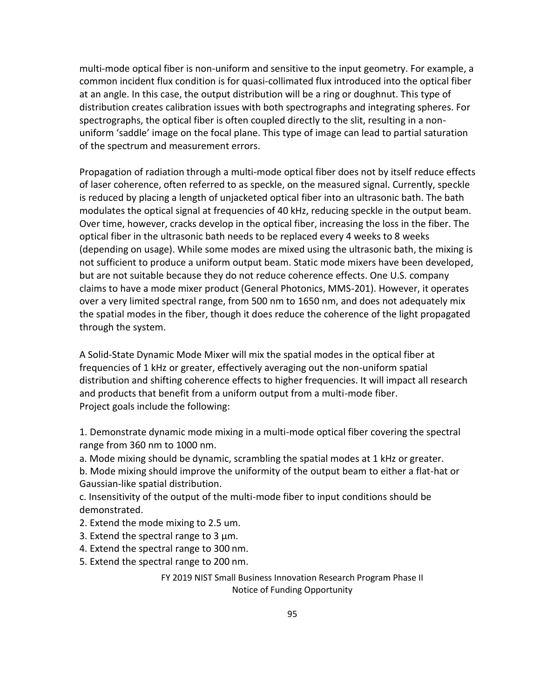multi-mode optical fiber is non-uniform and sensitive to the input geometry. For example, a common incident flux condition is for quasi-collimated flux introduced into the optical fiber at an angle. In this case, the output distribution will be a ring or doughnut. This type of distribution creates calibration issues with both spectrographs and integrating spheres. For spectrographs, the optical fiber is often coupled directly to the slit, resulting in a nonuniform 'saddle' image on the focal plane. This type of image can lead to partial saturation of the spectrum and measurement errors.

Propagation of radiation through a multi-mode optical fiber does not by itself reduce effects of laser coherence, often referred to as speckle, on the measured signal. Currently, speckle is reduced by placing a length of unjacketed optical fiber into an ultrasonic bath. The bath modulates the optical signal at frequencies of 40 kHz, reducing speckle in the output beam. Over time, however, cracks develop in the optical fiber, increasing the loss in the fiber. The optical fiber in the ultrasonic bath needs to be replaced every 4 weeks to 8 weeks (depending on usage). While some modes are mixed using the ultrasonic bath, the mixing is not sufficient to produce a uniform output beam. Static mode mixers have been developed, but are not suitable because they do not reduce coherence effects. One U.S. company claims to have a mode mixer product (General Photonics, MMS-201). However, it operates over a very limited spectral range, from 500 nm to 1650 nm, and does not adequately mix the spatial modes in the fiber, though it does reduce the coherence of the light propagated through the system.

A Solid-State Dynamic Mode Mixer will mix the spatial modes in the optical fiber at frequencies of 1 kHz or greater, effectively averaging out the non-uniform spatial distribution and shifting coherence effects to higher frequencies. It will impact all research and products that benefit from a uniform output from a multi-mode fiber. Project goals include the following:

1. Demonstrate dynamic mode mixing in a multi-mode optical fiber covering the spectral range from 360 nm to 1000 nm.

a. Mode mixing should be dynamic, scrambling the spatial modes at 1 kHz or greater.

b. Mode mixing should improve the uniformity of the output beam to either a flat-hat or Gaussian-like spatial distribution.

c. Insensitivity of the output of the multi-mode fiber to input conditions should be demonstrated.

- 2. Extend the mode mixing to 2.5 um.
- 3. Extend the spectral range to 3  $\mu$ m.
- 4. Extend the spectral range to 300 nm.
- 5. Extend the spectral range to 200 nm.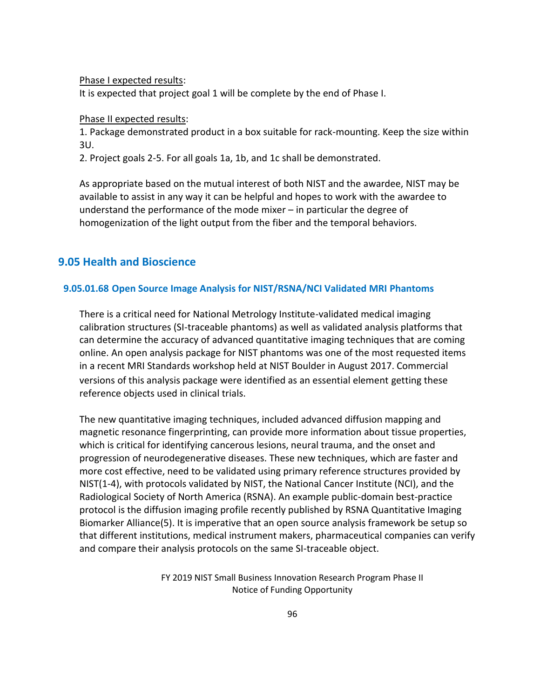Phase I expected results:

It is expected that project goal 1 will be complete by the end of Phase I.

#### Phase II expected results:

1. Package demonstrated product in a box suitable for rack-mounting. Keep the size within 3U.

2. Project goals 2-5. For all goals 1a, 1b, and 1c shall be demonstrated.

As appropriate based on the mutual interest of both NIST and the awardee, NIST may be available to assist in any way it can be helpful and hopes to work with the awardee to understand the performance of the mode mixer – in particular the degree of homogenization of the light output from the fiber and the temporal behaviors.

# **9.05 Health and Bioscience**

#### **9.05.01.68 Open Source Image Analysis for NIST/RSNA/NCI Validated MRI Phantoms**

There is a critical need for National Metrology Institute-validated medical imaging calibration structures (SI-traceable phantoms) as well as validated analysis platforms that can determine the accuracy of advanced quantitative imaging techniques that are coming online. An open analysis package for NIST phantoms was one of the most requested items in a recent MRI Standards workshop held at NIST Boulder in August 2017. Commercial versions of this analysis package were identified as an essential element getting these reference objects used in clinical trials.

The new quantitative imaging techniques, included advanced diffusion mapping and magnetic resonance fingerprinting, can provide more information about tissue properties, which is critical for identifying cancerous lesions, neural trauma, and the onset and progression of neurodegenerative diseases. These new techniques, which are faster and more cost effective, need to be validated using primary reference structures provided by NIST(1-4), with protocols validated by NIST, the National Cancer Institute (NCI), and the Radiological Society of North America (RSNA). An example public-domain best-practice protocol is the diffusion imaging profile recently published by RSNA Quantitative Imaging Biomarker Alliance(5). It is imperative that an open source analysis framework be setup so that different institutions, medical instrument makers, pharmaceutical companies can verify and compare their analysis protocols on the same SI-traceable object.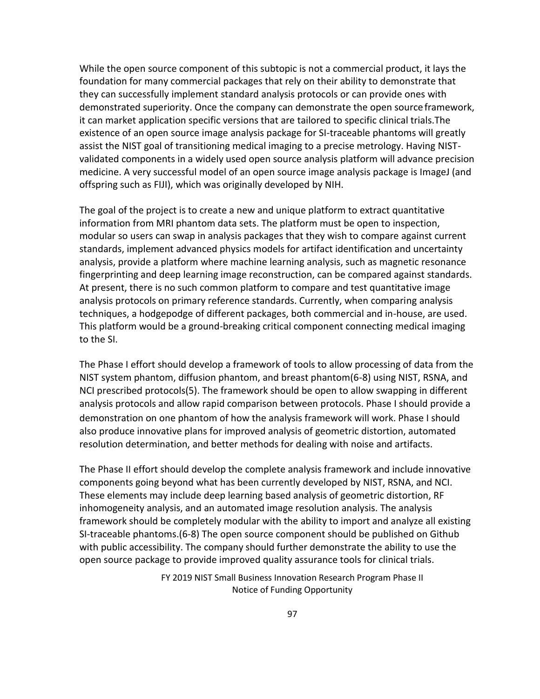While the open source component of this subtopic is not a commercial product, it lays the foundation for many commercial packages that rely on their ability to demonstrate that they can successfully implement standard analysis protocols or can provide ones with demonstrated superiority. Once the company can demonstrate the open sourceframework, it can market application specific versions that are tailored to specific clinical trials.The existence of an open source image analysis package for SI-traceable phantoms will greatly assist the NIST goal of transitioning medical imaging to a precise metrology. Having NISTvalidated components in a widely used open source analysis platform will advance precision medicine. A very successful model of an open source image analysis package is ImageJ (and offspring such as FIJI), which was originally developed by NIH.

The goal of the project is to create a new and unique platform to extract quantitative information from MRI phantom data sets. The platform must be open to inspection, modular so users can swap in analysis packages that they wish to compare against current standards, implement advanced physics models for artifact identification and uncertainty analysis, provide a platform where machine learning analysis, such as magnetic resonance fingerprinting and deep learning image reconstruction, can be compared against standards. At present, there is no such common platform to compare and test quantitative image analysis protocols on primary reference standards. Currently, when comparing analysis techniques, a hodgepodge of different packages, both commercial and in-house, are used. This platform would be a ground-breaking critical component connecting medical imaging to the SI.

The Phase I effort should develop a framework of tools to allow processing of data from the NIST system phantom, diffusion phantom, and breast phantom(6-8) using NIST, RSNA, and NCI prescribed protocols(5). The framework should be open to allow swapping in different analysis protocols and allow rapid comparison between protocols. Phase I should provide a demonstration on one phantom of how the analysis framework will work. Phase I should also produce innovative plans for improved analysis of geometric distortion, automated resolution determination, and better methods for dealing with noise and artifacts.

The Phase II effort should develop the complete analysis framework and include innovative components going beyond what has been currently developed by NIST, RSNA, and NCI. These elements may include deep learning based analysis of geometric distortion, RF inhomogeneity analysis, and an automated image resolution analysis. The analysis framework should be completely modular with the ability to import and analyze all existing SI-traceable phantoms.(6-8) The open source component should be published on Github with public accessibility. The company should further demonstrate the ability to use the open source package to provide improved quality assurance tools for clinical trials.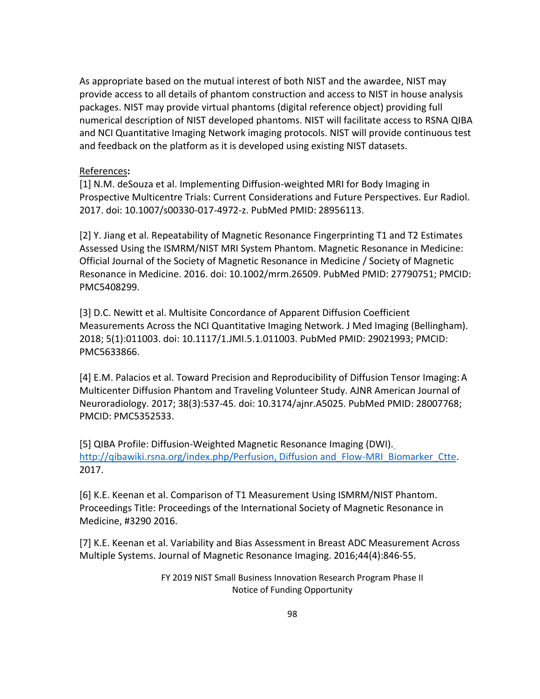As appropriate based on the mutual interest of both NIST and the awardee, NIST may provide access to all details of phantom construction and access to NIST in house analysis packages. NIST may provide virtual phantoms (digital reference object) providing full numerical description of NIST developed phantoms. NIST will facilitate access to RSNA QIBA and NCI Quantitative Imaging Network imaging protocols. NIST will provide continuous test and feedback on the platform as it is developed using existing NIST datasets.

### References**:**

[1] N.M. deSouza et al. Implementing Diffusion-weighted MRI for Body Imaging in Prospective Multicentre Trials: Current Considerations and Future Perspectives. Eur Radiol. 2017. doi: 10.1007/s00330-017-4972-z. PubMed PMID: 28956113.

[2] Y. Jiang et al. Repeatability of Magnetic Resonance Fingerprinting T1 and T2 Estimates Assessed Using the ISMRM/NIST MRI System Phantom. Magnetic Resonance in Medicine: Official Journal of the Society of Magnetic Resonance in Medicine / Society of Magnetic Resonance in Medicine. 2016. doi: 10.1002/mrm.26509. PubMed PMID: 27790751; PMCID: PMC5408299.

[3] D.C. Newitt et al. Multisite Concordance of Apparent Diffusion Coefficient Measurements Across the NCI Quantitative Imaging Network. J Med Imaging (Bellingham). 2018; 5(1):011003. doi: 10.1117/1.JMI.5.1.011003. PubMed PMID: 29021993; PMCID: PMC5633866.

[4] E.M. Palacios et al. Toward Precision and Reproducibility of Diffusion Tensor Imaging:A Multicenter Diffusion Phantom and Traveling Volunteer Study. AJNR American Journal of Neuroradiology. 2017; 38(3):537-45. doi: 10.3174/ajnr.A5025. PubMed PMID: 28007768; PMCID: PMC5352533.

[5] QIBA Profile: Diffusion-Weighted Magnetic Resonance Imaging (DWI). http://qibawiki.rsna.org/index.php/Perfusion, Diffusion and Flow-MRI Biomarker Ctte. 2017.

[6] K.E. Keenan et al. Comparison of T1 Measurement Using ISMRM/NIST Phantom. Proceedings Title: Proceedings of the International Society of Magnetic Resonance in Medicine, #3290 2016.

[7] K.E. Keenan et al. Variability and Bias Assessment in Breast ADC Measurement Across Multiple Systems. Journal of Magnetic Resonance Imaging. 2016;44(4):846-55.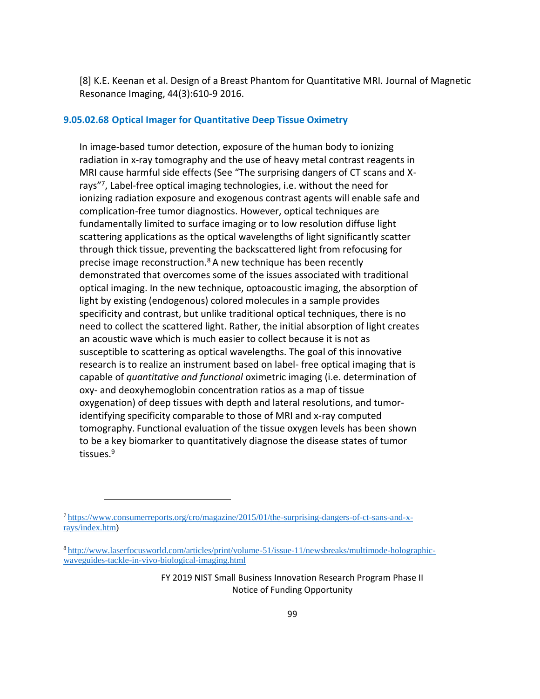[8] K.E. Keenan et al. Design of a Breast Phantom for Quantitative MRI. Journal of Magnetic Resonance Imaging, 44(3):610-9 2016.

### **9.05.02.68 Optical Imager for Quantitative Deep Tissue Oximetry**

In image-based tumor detection, exposure of the human body to ionizing radiation in x-ray tomography and the use of heavy metal contrast reagents in MRI cause harmful side effects (See "The surprising dangers of CT scans and Xrays"[7](#page-109-0) , Label-free optical imaging technologies, i.e. without the need for ionizing radiation exposure and exogenous contrast agents will enable safe and complication-free tumor diagnostics. However, optical techniques are fundamentally limited to surface imaging or to low resolution diffuse light scattering applications as the optical wavelengths of light significantly scatter through thick tissue, preventing the backscattered light from refocusing for precise image reconstruction.<sup>8</sup> A new technique has been recently demonstrated that overcomes some of the issues associated with traditional optical imaging. In the new technique, optoacoustic imaging, the absorption of light by existing (endogenous) colored molecules in a sample provides specificity and contrast, but unlike traditional optical techniques, there is no need to collect the scattered light. Rather, the initial absorption of light creates an acoustic wave which is much easier to collect because it is not as susceptible to scattering as optical wavelengths. The goal of this innovative research is to realize an instrument based on label- free optical imaging that is capable of *quantitative and functional* oximetric imaging (i.e. determination of oxy- and deoxyhemoglobin concentration ratios as a map of tissue oxygenation) of deep tissues with depth and lateral resolutions, and tumoridentifying specificity comparable to those of MRI and x-ray computed tomography. Functional evaluation of the tissue oxygen levels has been shown to be a key biomarker to quantitatively diagnose the disease states of tumor tissues.[9](#page-109-0)

<sup>7</sup> [https://www.consumerreports.org/cro/magazine/2015/01/the-surprising-dangers-of-ct-sans-and-x](https://www.consumerreports.org/cro/magazine/2015/01/the-surprising-dangers-of-ct-sans-and-x-rays/index.htm)[rays/index.htm\)](https://www.consumerreports.org/cro/magazine/2015/01/the-surprising-dangers-of-ct-sans-and-x-rays/index.htm)

<sup>8</sup> [http://www.laserfocusworld.com/articles/print/volume-51/issue-11/newsbreaks/multimode-holographic](http://www.laserfocusworld.com/articles/print/volume-51/issue-11/newsbreaks/multimode-holographic-waveguides-tackle-in-vivo-biological-imaging.html)[waveguides-tackle-in-vivo-biological-imaging.html](http://www.laserfocusworld.com/articles/print/volume-51/issue-11/newsbreaks/multimode-holographic-waveguides-tackle-in-vivo-biological-imaging.html)

FY 2019 NIST Small Business Innovation Research Program Phase II Notice of Funding Opportunity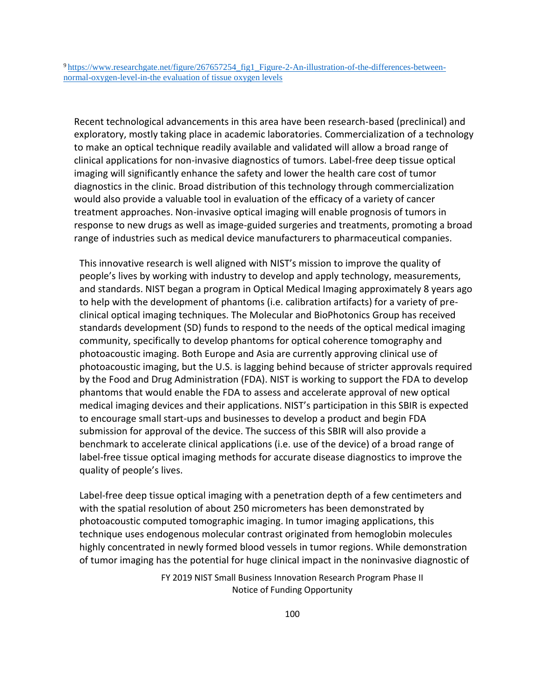9 [https://www.researchgate.net/figure/267657254\\_fig1\\_Figure-2-An-illustration-of-the-differences-between](https://www.researchgate.net/figure/267657254_fig1_Figure-2-An-illustration-of-the-differences-between-normal-oxygen-level-in-the)[normal-oxygen-level-in-the](https://www.researchgate.net/figure/267657254_fig1_Figure-2-An-illustration-of-the-differences-between-normal-oxygen-level-in-the) evaluation of tissue oxygen levels

Recent technological advancements in this area have been research-based (preclinical) and exploratory, mostly taking place in academic laboratories. Commercialization of a technology to make an optical technique readily available and validated will allow a broad range of clinical applications for non-invasive diagnostics of tumors. Label-free deep tissue optical imaging will significantly enhance the safety and lower the health care cost of tumor diagnostics in the clinic. Broad distribution of this technology through commercialization would also provide a valuable tool in evaluation of the efficacy of a variety of cancer treatment approaches. Non-invasive optical imaging will enable prognosis of tumors in response to new drugs as well as image-guided surgeries and treatments, promoting a broad range of industries such as medical device manufacturers to pharmaceutical companies.

This innovative research is well aligned with NIST's mission to improve the quality of people's lives by working with industry to develop and apply technology, measurements, and standards. NIST began a program in Optical Medical Imaging approximately 8 years ago to help with the development of phantoms (i.e. calibration artifacts) for a variety of preclinical optical imaging techniques. The Molecular and BioPhotonics Group has received standards development (SD) funds to respond to the needs of the optical medical imaging community, specifically to develop phantoms for optical coherence tomography and photoacoustic imaging. Both Europe and Asia are currently approving clinical use of photoacoustic imaging, but the U.S. is lagging behind because of stricter approvals required by the Food and Drug Administration (FDA). NIST is working to support the FDA to develop phantoms that would enable the FDA to assess and accelerate approval of new optical medical imaging devices and their applications. NIST's participation in this SBIR is expected to encourage small start-ups and businesses to develop a product and begin FDA submission for approval of the device. The success of this SBIR will also provide a benchmark to accelerate clinical applications (i.e. use of the device) of a broad range of label-free tissue optical imaging methods for accurate disease diagnostics to improve the quality of people's lives.

Label-free deep tissue optical imaging with a penetration depth of a few centimeters and with the spatial resolution of about 250 micrometers has been demonstrated by photoacoustic computed tomographic imaging. In tumor imaging applications, this technique uses endogenous molecular contrast originated from hemoglobin molecules highly concentrated in newly formed blood vessels in tumor regions. While demonstration of tumor imaging has the potential for huge clinical impact in the noninvasive diagnostic of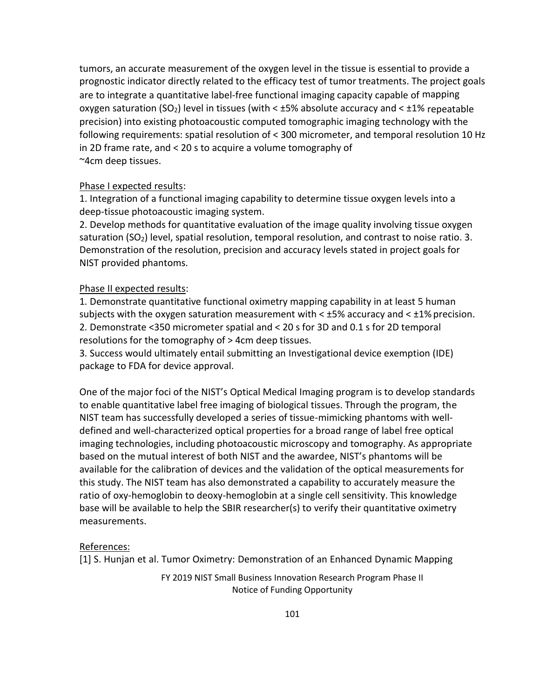tumors, an accurate measurement of the oxygen level in the tissue is essential to provide a prognostic indicator directly related to the efficacy test of tumor treatments. The project goals are to integrate a quantitative label-free functional imaging capacity capable of mapping oxygen saturation  $(SO_2)$  level in tissues (with <  $\pm$ 5% absolute accuracy and <  $\pm$ 1% repeatable precision) into existing photoacoustic computed tomographic imaging technology with the following requirements: spatial resolution of < 300 micrometer, and temporal resolution 10 Hz in 2D frame rate, and < 20 s to acquire a volume tomography of ~4cm deep tissues.

### Phase I expected results:

1. Integration of a functional imaging capability to determine tissue oxygen levels into a deep-tissue photoacoustic imaging system.

2. Develop methods for quantitative evaluation of the image quality involving tissue oxygen saturation (SO<sub>2</sub>) level, spatial resolution, temporal resolution, and contrast to noise ratio. 3. Demonstration of the resolution, precision and accuracy levels stated in project goals for NIST provided phantoms.

### Phase II expected results:

1. Demonstrate quantitative functional oximetry mapping capability in at least 5 human subjects with the oxygen saturation measurement with  $\lt$  ±5% accuracy and  $\lt$  ±1% precision. 2. Demonstrate <350 micrometer spatial and < 20 s for 3D and 0.1 s for 2D temporal resolutions for the tomography of > 4cm deep tissues.

3. Success would ultimately entail submitting an Investigational device exemption (IDE) package to FDA for device approval.

One of the major foci of the NIST's Optical Medical Imaging program is to develop standards to enable quantitative label free imaging of biological tissues. Through the program, the NIST team has successfully developed a series of tissue-mimicking phantoms with welldefined and well-characterized optical properties for a broad range of label free optical imaging technologies, including photoacoustic microscopy and tomography. As appropriate based on the mutual interest of both NIST and the awardee, NIST's phantoms will be available for the calibration of devices and the validation of the optical measurements for this study. The NIST team has also demonstrated a capability to accurately measure the ratio of oxy-hemoglobin to deoxy-hemoglobin at a single cell sensitivity. This knowledge base will be available to help the SBIR researcher(s) to verify their quantitative oximetry measurements.

#### References:

[1] S. Hunjan et al. Tumor Oximetry: Demonstration of an Enhanced Dynamic Mapping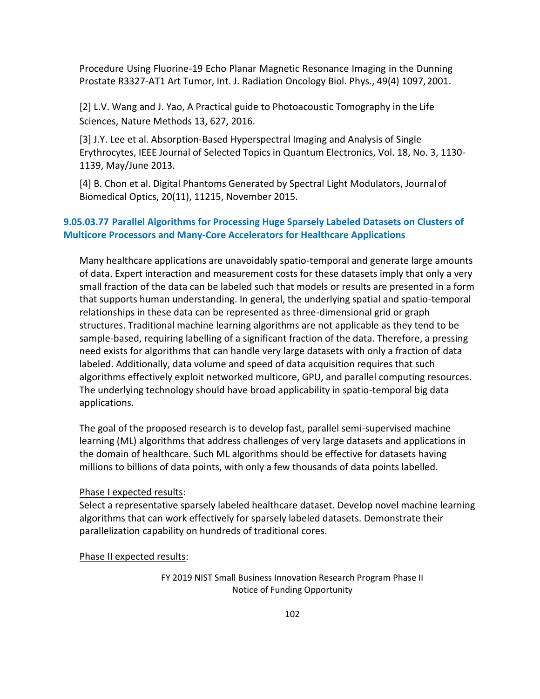Procedure Using Fluorine-19 Echo Planar Magnetic Resonance Imaging in the Dunning Prostate R3327-AT1 Art Tumor, Int. J. Radiation Oncology Biol. Phys., 49(4) 1097,2001.

[2] L.V. Wang and J. Yao, A Practical guide to Photoacoustic Tomography in the Life Sciences, Nature Methods 13, 627, 2016.

[3] J.Y. Lee et al. Absorption-Based Hyperspectral Imaging and Analysis of Single Erythrocytes, IEEE Journal of Selected Topics in Quantum Electronics, Vol. 18, No. 3, 1130- 1139, May/June 2013.

[4] B. Chon et al. Digital Phantoms Generated by Spectral Light Modulators, Journalof Biomedical Optics, 20(11), 11215, November 2015.

# **9.05.03.77 Parallel Algorithms for Processing Huge Sparsely Labeled Datasets on Clusters of Multicore Processors and Many-Core Accelerators for Healthcare Applications**

Many healthcare applications are unavoidably spatio-temporal and generate large amounts of data. Expert interaction and measurement costs for these datasets imply that only a very small fraction of the data can be labeled such that models or results are presented in a form that supports human understanding. In general, the underlying spatial and spatio-temporal relationships in these data can be represented as three-dimensional grid or graph structures. Traditional machine learning algorithms are not applicable as they tend to be sample-based, requiring labelling of a significant fraction of the data. Therefore, a pressing need exists for algorithms that can handle very large datasets with only a fraction of data labeled. Additionally, data volume and speed of data acquisition requires that such algorithms effectively exploit networked multicore, GPU, and parallel computing resources. The underlying technology should have broad applicability in spatio-temporal big data applications.

The goal of the proposed research is to develop fast, parallel semi-supervised machine learning (ML) algorithms that address challenges of very large datasets and applications in the domain of healthcare. Such ML algorithms should be effective for datasets having millions to billions of data points, with only a few thousands of data points labelled.

## Phase I expected results:

Select a representative sparsely labeled healthcare dataset. Develop novel machine learning algorithms that can work effectively for sparsely labeled datasets. Demonstrate their parallelization capability on hundreds of traditional cores.

Phase II expected results: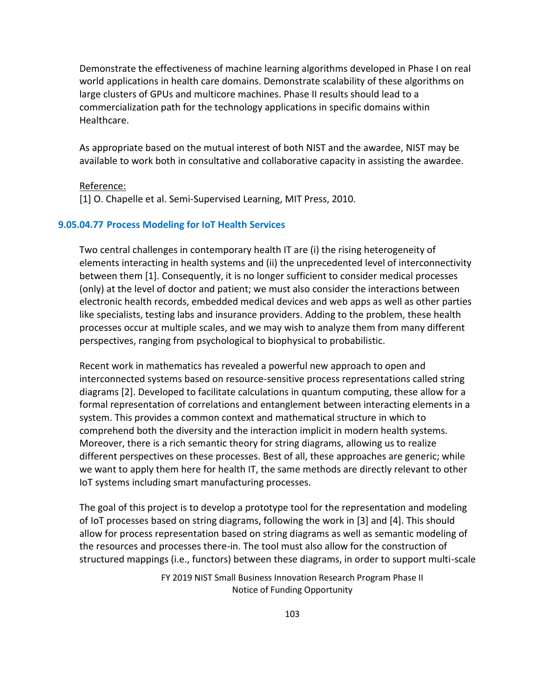Demonstrate the effectiveness of machine learning algorithms developed in Phase I on real world applications in health care domains. Demonstrate scalability of these algorithms on large clusters of GPUs and multicore machines. Phase II results should lead to a commercialization path for the technology applications in specific domains within Healthcare.

As appropriate based on the mutual interest of both NIST and the awardee, NIST may be available to work both in consultative and collaborative capacity in assisting the awardee.

### Reference:

[1] O. Chapelle et al. Semi-Supervised Learning, MIT Press, 2010.

### **9.05.04.77 Process Modeling for IoT Health Services**

Two central challenges in contemporary health IT are (i) the rising heterogeneity of elements interacting in health systems and (ii) the unprecedented level of interconnectivity between them [1]. Consequently, it is no longer sufficient to consider medical processes (only) at the level of doctor and patient; we must also consider the interactions between electronic health records, embedded medical devices and web apps as well as other parties like specialists, testing labs and insurance providers. Adding to the problem, these health processes occur at multiple scales, and we may wish to analyze them from many different perspectives, ranging from psychological to biophysical to probabilistic.

Recent work in mathematics has revealed a powerful new approach to open and interconnected systems based on resource-sensitive process representations called string diagrams [2]. Developed to facilitate calculations in quantum computing, these allow for a formal representation of correlations and entanglement between interacting elements in a system. This provides a common context and mathematical structure in which to comprehend both the diversity and the interaction implicit in modern health systems. Moreover, there is a rich semantic theory for string diagrams, allowing us to realize different perspectives on these processes. Best of all, these approaches are generic; while we want to apply them here for health IT, the same methods are directly relevant to other IoT systems including smart manufacturing processes.

The goal of this project is to develop a prototype tool for the representation and modeling of IoT processes based on string diagrams, following the work in [3] and [4]. This should allow for process representation based on string diagrams as well as semantic modeling of the resources and processes there-in. The tool must also allow for the construction of structured mappings (i.e., functors) between these diagrams, in order to support multi-scale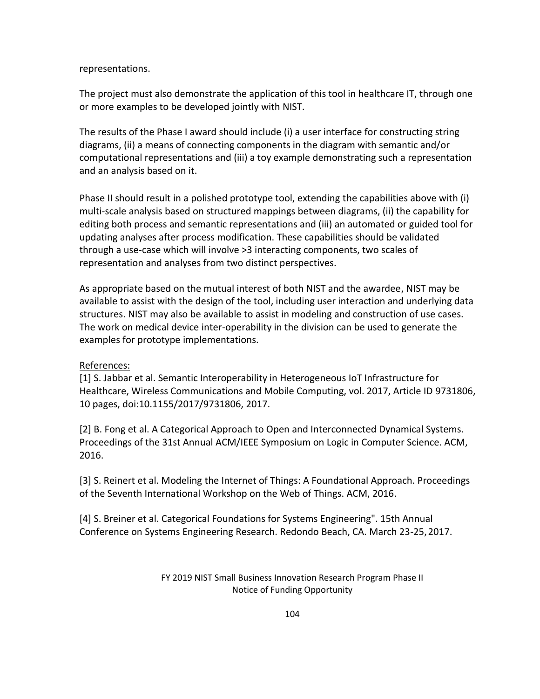#### representations.

The project must also demonstrate the application of this tool in healthcare IT, through one or more examples to be developed jointly with NIST.

The results of the Phase I award should include (i) a user interface for constructing string diagrams, (ii) a means of connecting components in the diagram with semantic and/or computational representations and (iii) a toy example demonstrating such a representation and an analysis based on it.

Phase II should result in a polished prototype tool, extending the capabilities above with (i) multi-scale analysis based on structured mappings between diagrams, (ii) the capability for editing both process and semantic representations and (iii) an automated or guided tool for updating analyses after process modification. These capabilities should be validated through a use-case which will involve >3 interacting components, two scales of representation and analyses from two distinct perspectives.

As appropriate based on the mutual interest of both NIST and the awardee, NIST may be available to assist with the design of the tool, including user interaction and underlying data structures. NIST may also be available to assist in modeling and construction of use cases. The work on medical device inter-operability in the division can be used to generate the examples for prototype implementations.

### References:

[1] S. Jabbar et al. Semantic Interoperability in Heterogeneous IoT Infrastructure for Healthcare, Wireless Communications and Mobile Computing, vol. 2017, Article ID 9731806, 10 pages, doi:10.1155/2017/9731806, 2017.

[2] B. Fong et al. A Categorical Approach to Open and Interconnected Dynamical Systems. Proceedings of the 31st Annual ACM/IEEE Symposium on Logic in Computer Science. ACM, 2016.

[3] S. Reinert et al. Modeling the Internet of Things: A Foundational Approach. Proceedings of the Seventh International Workshop on the Web of Things. ACM, 2016.

[4] S. Breiner et al. Categorical Foundations for Systems Engineering". 15th Annual Conference on Systems Engineering Research. Redondo Beach, CA. March 23-25,2017.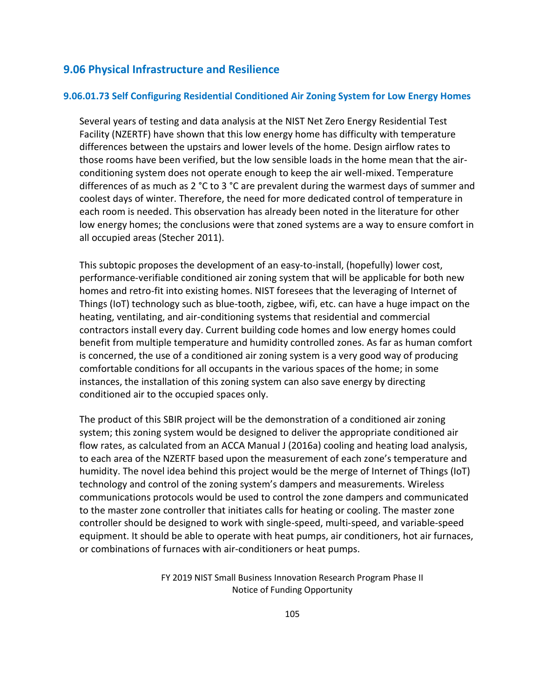## **9.06 Physical Infrastructure and Resilience**

#### **9.06.01.73 Self Configuring Residential Conditioned Air Zoning System for Low Energy Homes**

Several years of testing and data analysis at the NIST Net Zero Energy Residential Test Facility (NZERTF) have shown that this low energy home has difficulty with temperature differences between the upstairs and lower levels of the home. Design airflow rates to those rooms have been verified, but the low sensible loads in the home mean that the airconditioning system does not operate enough to keep the air well-mixed. Temperature differences of as much as 2 °C to 3 °C are prevalent during the warmest days of summer and coolest days of winter. Therefore, the need for more dedicated control of temperature in each room is needed. This observation has already been noted in the literature for other low energy homes; the conclusions were that zoned systems are a way to ensure comfort in all occupied areas (Stecher 2011).

This subtopic proposes the development of an easy-to-install, (hopefully) lower cost, performance-verifiable conditioned air zoning system that will be applicable for both new homes and retro-fit into existing homes. NIST foresees that the leveraging of Internet of Things (IoT) technology such as blue-tooth, zigbee, wifi, etc. can have a huge impact on the heating, ventilating, and air-conditioning systems that residential and commercial contractors install every day. Current building code homes and low energy homes could benefit from multiple temperature and humidity controlled zones. As far as human comfort is concerned, the use of a conditioned air zoning system is a very good way of producing comfortable conditions for all occupants in the various spaces of the home; in some instances, the installation of this zoning system can also save energy by directing conditioned air to the occupied spaces only.

The product of this SBIR project will be the demonstration of a conditioned air zoning system; this zoning system would be designed to deliver the appropriate conditioned air flow rates, as calculated from an ACCA Manual J (2016a) cooling and heating load analysis, to each area of the NZERTF based upon the measurement of each zone's temperature and humidity. The novel idea behind this project would be the merge of Internet of Things (IoT) technology and control of the zoning system's dampers and measurements. Wireless communications protocols would be used to control the zone dampers and communicated to the master zone controller that initiates calls for heating or cooling. The master zone controller should be designed to work with single-speed, multi-speed, and variable-speed equipment. It should be able to operate with heat pumps, air conditioners, hot air furnaces, or combinations of furnaces with air-conditioners or heat pumps.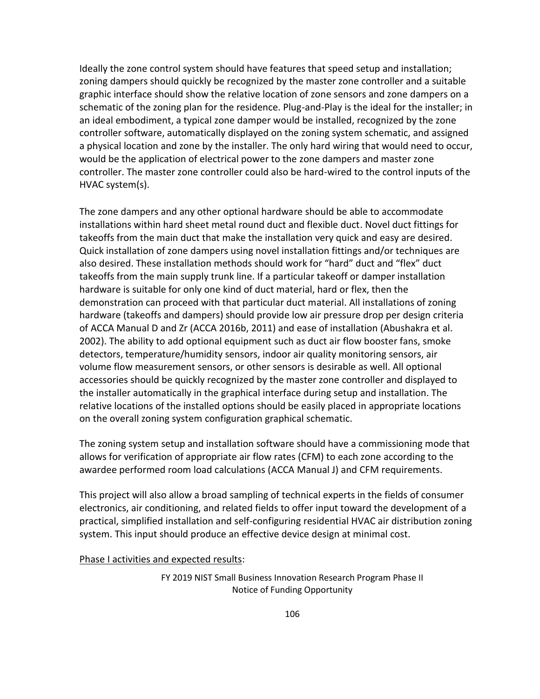Ideally the zone control system should have features that speed setup and installation; zoning dampers should quickly be recognized by the master zone controller and a suitable graphic interface should show the relative location of zone sensors and zone dampers on a schematic of the zoning plan for the residence. Plug-and-Play is the ideal for the installer; in an ideal embodiment, a typical zone damper would be installed, recognized by the zone controller software, automatically displayed on the zoning system schematic, and assigned a physical location and zone by the installer. The only hard wiring that would need to occur, would be the application of electrical power to the zone dampers and master zone controller. The master zone controller could also be hard-wired to the control inputs of the HVAC system(s).

The zone dampers and any other optional hardware should be able to accommodate installations within hard sheet metal round duct and flexible duct. Novel duct fittings for takeoffs from the main duct that make the installation very quick and easy are desired. Quick installation of zone dampers using novel installation fittings and/or techniques are also desired. These installation methods should work for "hard" duct and "flex" duct takeoffs from the main supply trunk line. If a particular takeoff or damper installation hardware is suitable for only one kind of duct material, hard or flex, then the demonstration can proceed with that particular duct material. All installations of zoning hardware (takeoffs and dampers) should provide low air pressure drop per design criteria of ACCA Manual D and Zr (ACCA 2016b, 2011) and ease of installation (Abushakra et al. 2002). The ability to add optional equipment such as duct air flow booster fans, smoke detectors, temperature/humidity sensors, indoor air quality monitoring sensors, air volume flow measurement sensors, or other sensors is desirable as well. All optional accessories should be quickly recognized by the master zone controller and displayed to the installer automatically in the graphical interface during setup and installation. The relative locations of the installed options should be easily placed in appropriate locations on the overall zoning system configuration graphical schematic.

The zoning system setup and installation software should have a commissioning mode that allows for verification of appropriate air flow rates (CFM) to each zone according to the awardee performed room load calculations (ACCA Manual J) and CFM requirements.

This project will also allow a broad sampling of technical experts in the fields of consumer electronics, air conditioning, and related fields to offer input toward the development of a practical, simplified installation and self-configuring residential HVAC air distribution zoning system. This input should produce an effective device design at minimal cost.

#### Phase I activities and expected results: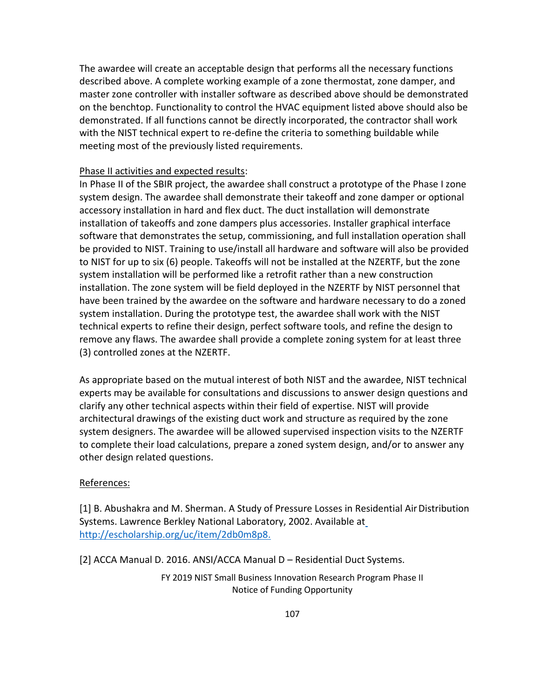The awardee will create an acceptable design that performs all the necessary functions described above. A complete working example of a zone thermostat, zone damper, and master zone controller with installer software as described above should be demonstrated on the benchtop. Functionality to control the HVAC equipment listed above should also be demonstrated. If all functions cannot be directly incorporated, the contractor shall work with the NIST technical expert to re-define the criteria to something buildable while meeting most of the previously listed requirements.

### Phase II activities and expected results:

In Phase II of the SBIR project, the awardee shall construct a prototype of the Phase I zone system design. The awardee shall demonstrate their takeoff and zone damper or optional accessory installation in hard and flex duct. The duct installation will demonstrate installation of takeoffs and zone dampers plus accessories. Installer graphical interface software that demonstrates the setup, commissioning, and full installation operation shall be provided to NIST. Training to use/install all hardware and software will also be provided to NIST for up to six (6) people. Takeoffs will not be installed at the NZERTF, but the zone system installation will be performed like a retrofit rather than a new construction installation. The zone system will be field deployed in the NZERTF by NIST personnel that have been trained by the awardee on the software and hardware necessary to do a zoned system installation. During the prototype test, the awardee shall work with the NIST technical experts to refine their design, perfect software tools, and refine the design to remove any flaws. The awardee shall provide a complete zoning system for at least three (3) controlled zones at the NZERTF.

As appropriate based on the mutual interest of both NIST and the awardee, NIST technical experts may be available for consultations and discussions to answer design questions and clarify any other technical aspects within their field of expertise. NIST will provide architectural drawings of the existing duct work and structure as required by the zone system designers. The awardee will be allowed supervised inspection visits to the NZERTF to complete their load calculations, prepare a zoned system design, and/or to answer any other design related questions.

### References:

[1] B. Abushakra and M. Sherman. A Study of Pressure Losses in Residential AirDistribution Systems. Lawrence Berkley National Laboratory, 2002. Available at [http://escholarship.org/uc/item/2db0m8p8.](http://escholarship.org/uc/item/2db0m8p8)

[2] ACCA Manual D. 2016. ANSI/ACCA Manual D – Residential Duct Systems.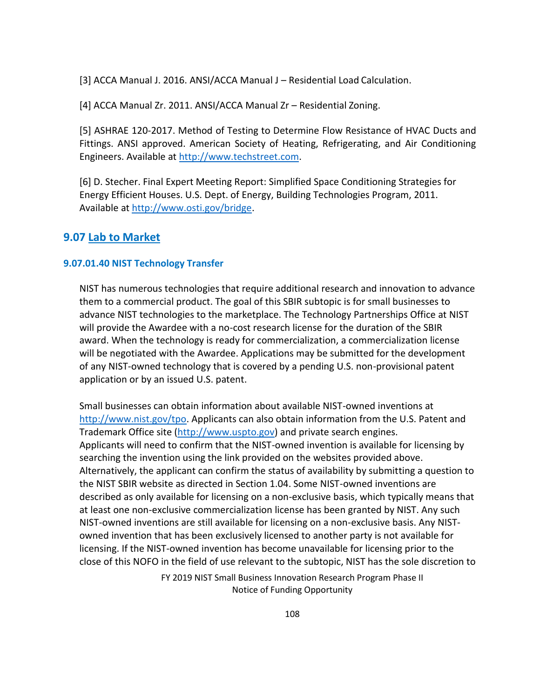[3] ACCA Manual J. 2016. ANSI/ACCA Manual J – Residential Load Calculation.

[4] ACCA Manual Zr. 2011. ANSI/ACCA Manual Zr – Residential Zoning.

[5] ASHRAE 120-2017. Method of Testing to Determine Flow Resistance of HVAC Ducts and Fittings. ANSI approved. American Society of Heating, Refrigerating, and Air Conditioning Engineers. Available at [http://www.techstreet.com.](http://www.techstreet.com/)

[6] D. Stecher. Final Expert Meeting Report: Simplified Space Conditioning Strategies for Energy Efficient Houses. U.S. Dept. of Energy, Building Technologies Program, 2011. Available at [http://www.osti.gov/bridge.](http://www.osti.gov/bridge)

# **9.07 Lab to Market**

### **9.07.01.40 NIST Technology Transfer**

NIST has numerous technologies that require additional research and innovation to advance them to a commercial product. The goal of this SBIR subtopic is for small businesses to advance NIST technologies to the marketplace. The Technology Partnerships Office at NIST will provide the Awardee with a no-cost research license for the duration of the SBIR award. When the technology is ready for commercialization, a commercialization license will be negotiated with the Awardee. Applications may be submitted for the development of any NIST-owned technology that is covered by a pending U.S. non-provisional patent application or by an issued U.S. patent.

Small businesses can obtain information about available NIST-owned inventions at [http://www.nist.gov/tpo.](http://www.nist.gov/tpo) Applicants can also obtain information from the U.S. Patent and Trademark Office site [\(http://www.uspto.gov\)](http://www.uspto.gov/) and private search engines. Applicants will need to confirm that the NIST-owned invention is available for licensing by searching the invention using the link provided on the websites provided above. Alternatively, the applicant can confirm the status of availability by submitting a question to the NIST SBIR website as directed in Section 1.04. Some NIST-owned inventions are described as only available for licensing on a non-exclusive basis, which typically means that at least one non-exclusive commercialization license has been granted by NIST. Any such NIST-owned inventions are still available for licensing on a non-exclusive basis. Any NISTowned invention that has been exclusively licensed to another party is not available for licensing. If the NIST-owned invention has become unavailable for licensing prior to the close of this NOFO in the field of use relevant to the subtopic, NIST has the sole discretion to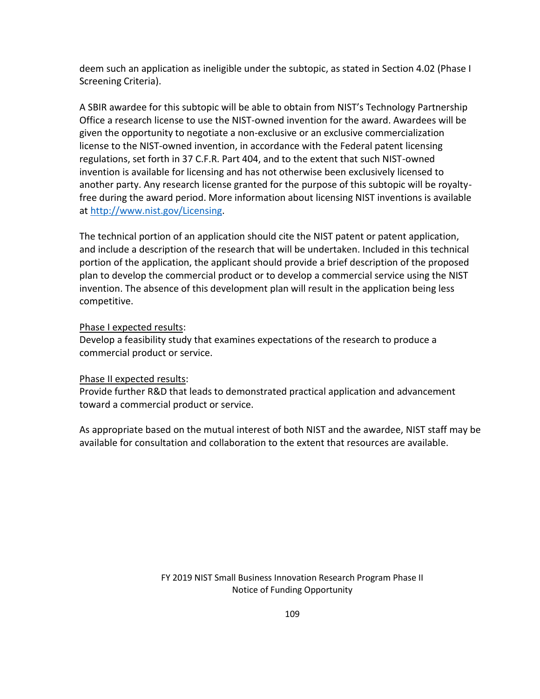deem such an application as ineligible under the subtopic, as stated in Section 4.02 (Phase I Screening Criteria).

A SBIR awardee for this subtopic will be able to obtain from NIST's Technology Partnership Office a research license to use the NIST-owned invention for the award. Awardees will be given the opportunity to negotiate a non-exclusive or an exclusive commercialization license to the NIST-owned invention, in accordance with the Federal patent licensing regulations, set forth in 37 C.F.R. Part 404, and to the extent that such NIST-owned invention is available for licensing and has not otherwise been exclusively licensed to another party. Any research license granted for the purpose of this subtopic will be royaltyfree during the award period. More information about licensing NIST inventions is available at [http://www.nist.gov/Licensing.](http://www.nist.gov/Licensing)

The technical portion of an application should cite the NIST patent or patent application, and include a description of the research that will be undertaken. Included in this technical portion of the application, the applicant should provide a brief description of the proposed plan to develop the commercial product or to develop a commercial service using the NIST invention. The absence of this development plan will result in the application being less competitive.

## Phase I expected results:

Develop a feasibility study that examines expectations of the research to produce a commercial product or service.

## Phase II expected results:

Provide further R&D that leads to demonstrated practical application and advancement toward a commercial product or service.

As appropriate based on the mutual interest of both NIST and the awardee, NIST staff may be available for consultation and collaboration to the extent that resources are available.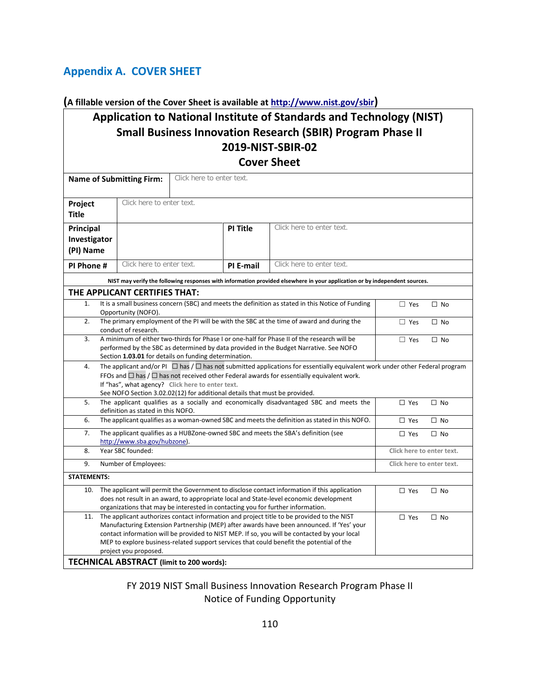# **Appendix A. COVER SHEET**

## **(A fillable version of the Cover Sheet is available at<http://www.nist.gov/sbir>)**

# **Application to National Institute of Standards and Technology (NIST) Small Business Innovation Research (SBIR) Program Phase II 2019-NIST-SBIR-02**

**Cover Sheet**

|                                                                                                                                                             | <b>Name of Submitting Firm:</b>                                                                                                        | Click here to enter text.                                                                                                                                                    |            |                                                                                          |                           |              |  |  |
|-------------------------------------------------------------------------------------------------------------------------------------------------------------|----------------------------------------------------------------------------------------------------------------------------------------|------------------------------------------------------------------------------------------------------------------------------------------------------------------------------|------------|------------------------------------------------------------------------------------------|---------------------------|--------------|--|--|
|                                                                                                                                                             |                                                                                                                                        |                                                                                                                                                                              |            |                                                                                          |                           |              |  |  |
| Project                                                                                                                                                     |                                                                                                                                        | Click here to enter text.                                                                                                                                                    |            |                                                                                          |                           |              |  |  |
| <b>Title</b>                                                                                                                                                |                                                                                                                                        |                                                                                                                                                                              |            |                                                                                          |                           |              |  |  |
| Principal                                                                                                                                                   |                                                                                                                                        |                                                                                                                                                                              | PI Title   | Click here to enter text.                                                                |                           |              |  |  |
| Investigator                                                                                                                                                |                                                                                                                                        |                                                                                                                                                                              |            |                                                                                          |                           |              |  |  |
| (PI) Name                                                                                                                                                   |                                                                                                                                        |                                                                                                                                                                              |            |                                                                                          |                           |              |  |  |
| PI Phone #                                                                                                                                                  |                                                                                                                                        | Click here to enter text.                                                                                                                                                    |            | Click here to enter text.                                                                |                           |              |  |  |
|                                                                                                                                                             |                                                                                                                                        | PI E-mail                                                                                                                                                                    |            |                                                                                          |                           |              |  |  |
| NIST may verify the following responses with information provided elsewhere in your application or by independent sources.<br>THE APPLICANT CERTIFIES THAT: |                                                                                                                                        |                                                                                                                                                                              |            |                                                                                          |                           |              |  |  |
| It is a small business concern (SBC) and meets the definition as stated in this Notice of Funding<br>1.                                                     |                                                                                                                                        |                                                                                                                                                                              |            |                                                                                          |                           |              |  |  |
|                                                                                                                                                             | Opportunity (NOFO).                                                                                                                    |                                                                                                                                                                              |            |                                                                                          | $\Box$ Yes                | $\Box$ No    |  |  |
| 2.                                                                                                                                                          |                                                                                                                                        | The primary employment of the PI will be with the SBC at the time of award and during the                                                                                    |            |                                                                                          |                           | $\Box$ No    |  |  |
| conduct of research.                                                                                                                                        |                                                                                                                                        |                                                                                                                                                                              |            |                                                                                          |                           |              |  |  |
|                                                                                                                                                             | A minimum of either two-thirds for Phase I or one-half for Phase II of the research will be<br>3.                                      |                                                                                                                                                                              |            |                                                                                          | $\Box$ Yes                | $\Box$ No    |  |  |
| performed by the SBC as determined by data provided in the Budget Narrative. See NOFO<br>Section 1.03.01 for details on funding determination.              |                                                                                                                                        |                                                                                                                                                                              |            |                                                                                          |                           |              |  |  |
| 4.                                                                                                                                                          | The applicant and/or PI $\Box$ has / $\Box$ has not submitted applications for essentially equivalent work under other Federal program |                                                                                                                                                                              |            |                                                                                          |                           |              |  |  |
|                                                                                                                                                             |                                                                                                                                        | FFOs and $\Box$ has $/\Box$ has not received other Federal awards for essentially equivalent work.                                                                           |            |                                                                                          |                           |              |  |  |
|                                                                                                                                                             |                                                                                                                                        | If "has", what agency? Click here to enter text.                                                                                                                             |            |                                                                                          |                           |              |  |  |
|                                                                                                                                                             | See NOFO Section 3.02.02(12) for additional details that must be provided.                                                             |                                                                                                                                                                              |            |                                                                                          |                           |              |  |  |
| 5.<br>The applicant qualifies as a socially and economically disadvantaged SBC and meets the                                                                |                                                                                                                                        |                                                                                                                                                                              | $\Box$ Yes | $\square$ No                                                                             |                           |              |  |  |
|                                                                                                                                                             |                                                                                                                                        | definition as stated in this NOFO.                                                                                                                                           |            |                                                                                          |                           |              |  |  |
| 6.                                                                                                                                                          |                                                                                                                                        | The applicant qualifies as a woman-owned SBC and meets the definition as stated in this NOFO.<br>$\Box$ Yes<br>$\Box$ No                                                     |            |                                                                                          |                           |              |  |  |
| 7.                                                                                                                                                          |                                                                                                                                        | The applicant qualifies as a HUBZone-owned SBC and meets the SBA's definition (see                                                                                           |            |                                                                                          | $\Box$ Yes                | $\square$ No |  |  |
| 8.                                                                                                                                                          | http://www.sba.gov/hubzone).<br>Year SBC founded:                                                                                      |                                                                                                                                                                              |            |                                                                                          | Click here to enter text. |              |  |  |
| 9.                                                                                                                                                          | Number of Employees:                                                                                                                   |                                                                                                                                                                              |            |                                                                                          | Click here to enter text. |              |  |  |
| <b>STATEMENTS:</b>                                                                                                                                          |                                                                                                                                        |                                                                                                                                                                              |            |                                                                                          |                           |              |  |  |
|                                                                                                                                                             |                                                                                                                                        |                                                                                                                                                                              |            |                                                                                          |                           |              |  |  |
|                                                                                                                                                             | The applicant will permit the Government to disclose contact information if this application<br>10.                                    |                                                                                                                                                                              |            | $\Box$ Yes                                                                               | $\Box$ No                 |              |  |  |
|                                                                                                                                                             |                                                                                                                                        | does not result in an award, to appropriate local and State-level economic development                                                                                       |            |                                                                                          |                           |              |  |  |
| 11.                                                                                                                                                         |                                                                                                                                        | organizations that may be interested in contacting you for further information.<br>The applicant authorizes contact information and project title to be provided to the NIST |            |                                                                                          |                           | $\Box$ No    |  |  |
|                                                                                                                                                             |                                                                                                                                        | Manufacturing Extension Partnership (MEP) after awards have been announced. If 'Yes' your                                                                                    |            |                                                                                          |                           |              |  |  |
| contact information will be provided to NIST MEP. If so, you will be contacted by your local                                                                |                                                                                                                                        |                                                                                                                                                                              |            |                                                                                          |                           |              |  |  |
|                                                                                                                                                             |                                                                                                                                        |                                                                                                                                                                              |            | MEP to explore business-related support services that could benefit the potential of the |                           |              |  |  |
|                                                                                                                                                             | project you proposed.                                                                                                                  |                                                                                                                                                                              |            |                                                                                          |                           |              |  |  |
| <b>TECHNICAL ABSTRACT (limit to 200 words):</b>                                                                                                             |                                                                                                                                        |                                                                                                                                                                              |            |                                                                                          |                           |              |  |  |
|                                                                                                                                                             |                                                                                                                                        |                                                                                                                                                                              |            |                                                                                          |                           |              |  |  |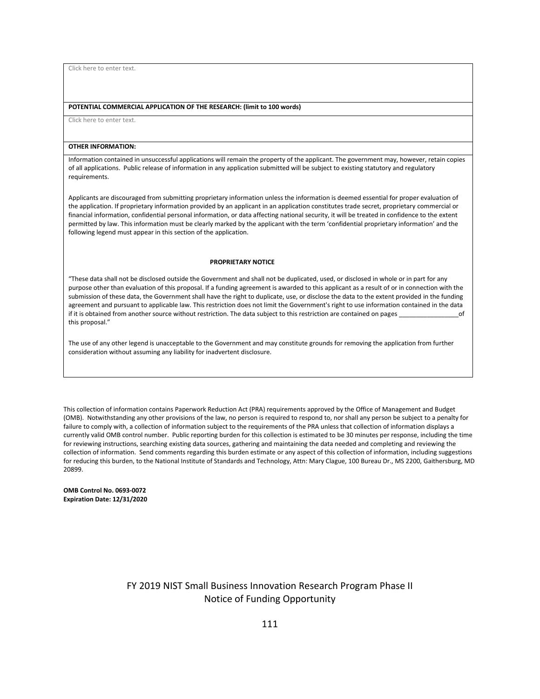Click here to enter text.

#### **POTENTIAL COMMERCIAL APPLICATION OF THE RESEARCH: (limit to 100 words)**

Click here to enter text.

#### **OTHER INFORMATION:**

Information contained in unsuccessful applications will remain the property of the applicant. The government may, however, retain copies of all applications. Public release of information in any application submitted will be subject to existing statutory and regulatory requirements.

Applicants are discouraged from submitting proprietary information unless the information is deemed essential for proper evaluation of the application. If proprietary information provided by an applicant in an application constitutes trade secret, proprietary commercial or financial information, confidential personal information, or data affecting national security, it will be treated in confidence to the extent permitted by law. This information must be clearly marked by the applicant with the term 'confidential proprietary information' and the following legend must appear in this section of the application.

#### **PROPRIETARY NOTICE**

"These data shall not be disclosed outside the Government and shall not be duplicated, used, or disclosed in whole or in part for any purpose other than evaluation of this proposal. If a funding agreement is awarded to this applicant as a result of or in connection with the submission of these data, the Government shall have the right to duplicate, use, or disclose the data to the extent provided in the funding agreement and pursuant to applicable law. This restriction does not limit the Government's right to use information contained in the data if it is obtained from another source without restriction. The data subject to this restriction are contained on pages \_\_\_\_\_\_\_\_\_\_\_\_\_\_\_\_\_of this proposal."

The use of any other legend is unacceptable to the Government and may constitute grounds for removing the application from further consideration without assuming any liability for inadvertent disclosure.

This collection of information contains Paperwork Reduction Act (PRA) requirements approved by the Office of Management and Budget (OMB). Notwithstanding any other provisions of the law, no person is required to respond to, nor shall any person be subject to a penalty for failure to comply with, a collection of information subject to the requirements of the PRA unless that collection of information displays a currently valid OMB control number. Public reporting burden for this collection is estimated to be 30 minutes per response, including the time for reviewing instructions, searching existing data sources, gathering and maintaining the data needed and completing and reviewing the collection of information. Send comments regarding this burden estimate or any aspect of this collection of information, including suggestions for reducing this burden, to the National Institute of Standards and Technology, Attn: Mary Clague, 100 Bureau Dr., MS 2200, Gaithersburg, MD 20899.

**OMB Control No. 0693-0072 Expiration Date: 12/31/2020**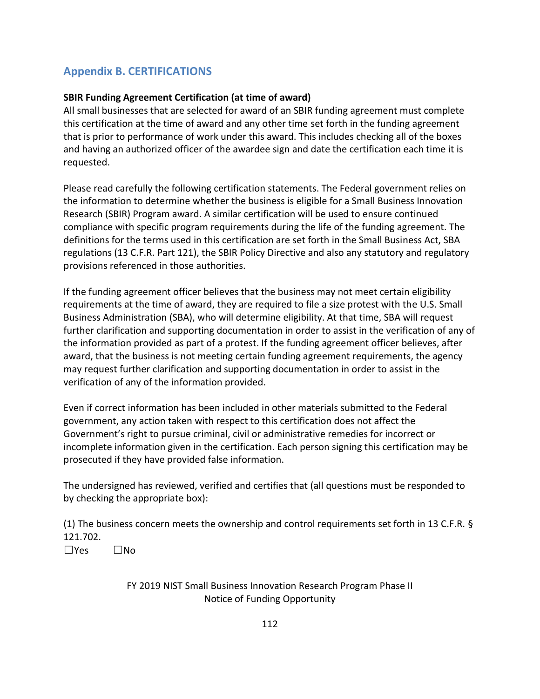# **Appendix B. CERTIFICATIONS**

## **SBIR Funding Agreement Certification (at time of award)**

All small businesses that are selected for award of an SBIR funding agreement must complete this certification at the time of award and any other time set forth in the funding agreement that is prior to performance of work under this award. This includes checking all of the boxes and having an authorized officer of the awardee sign and date the certification each time it is requested.

Please read carefully the following certification statements. The Federal government relies on the information to determine whether the business is eligible for a Small Business Innovation Research (SBIR) Program award. A similar certification will be used to ensure continued compliance with specific program requirements during the life of the funding agreement. The definitions for the terms used in this certification are set forth in the Small Business Act, SBA regulations (13 C.F.R. Part 121), the SBIR Policy Directive and also any statutory and regulatory provisions referenced in those authorities.

If the funding agreement officer believes that the business may not meet certain eligibility requirements at the time of award, they are required to file a size protest with the U.S. Small Business Administration (SBA), who will determine eligibility. At that time, SBA will request further clarification and supporting documentation in order to assist in the verification of any of the information provided as part of a protest. If the funding agreement officer believes, after award, that the business is not meeting certain funding agreement requirements, the agency may request further clarification and supporting documentation in order to assist in the verification of any of the information provided.

Even if correct information has been included in other materials submitted to the Federal government, any action taken with respect to this certification does not affect the Government's right to pursue criminal, civil or administrative remedies for incorrect or incomplete information given in the certification. Each person signing this certification may be prosecuted if they have provided false information.

The undersigned has reviewed, verified and certifies that (all questions must be responded to by checking the appropriate box):

(1) The business concern meets the ownership and control requirements set forth in 13 C.F.R. § 121.702. ☐Yes ☐No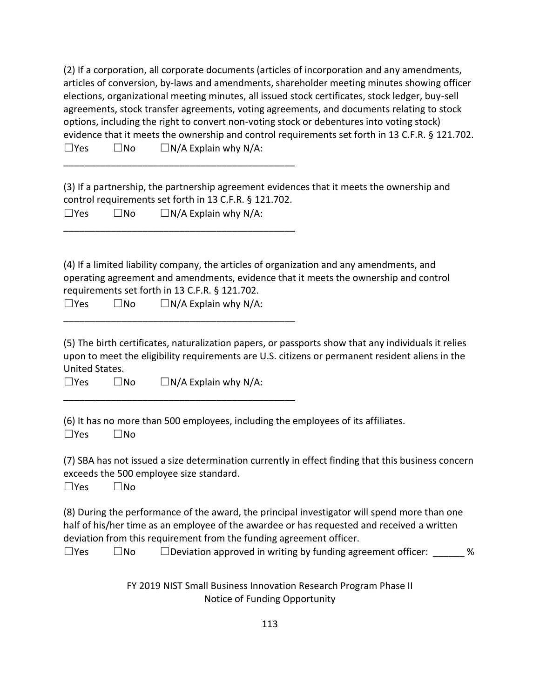|            |              | (2) If a corporation, all corporate documents (articles of incorporation and any amendments,     |
|------------|--------------|--------------------------------------------------------------------------------------------------|
|            |              | articles of conversion, by-laws and amendments, shareholder meeting minutes showing officer      |
|            |              | elections, organizational meeting minutes, all issued stock certificates, stock ledger, buy-sell |
|            |              | agreements, stock transfer agreements, voting agreements, and documents relating to stock        |
|            |              | options, including the right to convert non-voting stock or debentures into voting stock)        |
|            |              | evidence that it meets the ownership and control requirements set forth in 13 C.F.R. § 121.702.  |
| $\Box$ Yes | $\square$ No | $\Box$ N/A Explain why N/A:                                                                      |
|            |              |                                                                                                  |
|            |              |                                                                                                  |

(3) If a partnership, the partnership agreement evidences that it meets the ownership and control requirements set forth in 13 C.F.R. § 121.702. ☐Yes ☐No ☐N/A Explain why N/A:

(4) If a limited liability company, the articles of organization and any amendments, and operating agreement and amendments, evidence that it meets the ownership and control requirements set forth in 13 C.F.R. § 121.702.

☐Yes ☐No ☐N/A Explain why N/A:

\_\_\_\_\_\_\_\_\_\_\_\_\_\_\_\_\_\_\_\_\_\_\_\_\_\_\_\_\_\_\_\_\_\_\_\_\_\_\_\_\_\_\_\_

\_\_\_\_\_\_\_\_\_\_\_\_\_\_\_\_\_\_\_\_\_\_\_\_\_\_\_\_\_\_\_\_\_\_\_\_\_\_\_\_\_\_\_\_

\_\_\_\_\_\_\_\_\_\_\_\_\_\_\_\_\_\_\_\_\_\_\_\_\_\_\_\_\_\_\_\_\_\_\_\_\_\_\_\_\_\_\_\_

(5) The birth certificates, naturalization papers, or passports show that any individuals it relies upon to meet the eligibility requirements are U.S. citizens or permanent resident aliens in the United States.

☐Yes ☐No ☐N/A Explain why N/A:

(6) It has no more than 500 employees, including the employees of its affiliates.  $\Box$ Yes  $\Box$ No

(7) SBA has not issued a size determination currently in effect finding that this business concern exceeds the 500 employee size standard.

☐Yes ☐No

(8) During the performance of the award, the principal investigator will spend more than one half of his/her time as an employee of the awardee or has requested and received a written deviation from this requirement from the funding agreement officer.

 $\square$ Yes  $\square$ No  $\square$  Deviation approved in writing by funding agreement officer:  $\%$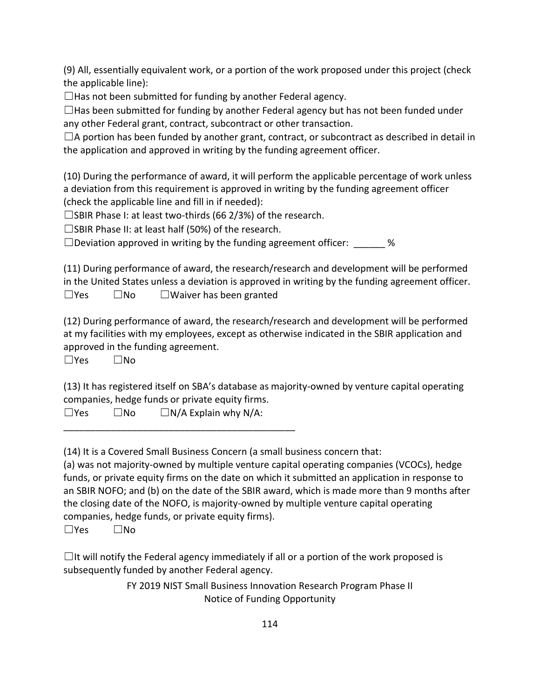(9) All, essentially equivalent work, or a portion of the work proposed under this project (check the applicable line):

 $\Box$  Has not been submitted for funding by another Federal agency.

 $\Box$ Has been submitted for funding by another Federal agency but has not been funded under any other Federal grant, contract, subcontract or other transaction.

 $\Box$ A portion has been funded by another grant, contract, or subcontract as described in detail in the application and approved in writing by the funding agreement officer.

(10) During the performance of award, it will perform the applicable percentage of work unless a deviation from this requirement is approved in writing by the funding agreement officer (check the applicable line and fill in if needed):

 $\square$ SBIR Phase I: at least two-thirds (66 2/3%) of the research.

☐SBIR Phase II: at least half (50%) of the research.

 $\square$  Deviation approved in writing by the funding agreement officer:  $\%$ 

(11) During performance of award, the research/research and development will be performed in the United States unless a deviation is approved in writing by the funding agreement officer.  $\Box$ Yes  $\Box$ No  $\Box$ Waiver has been granted

(12) During performance of award, the research/research and development will be performed at my facilities with my employees, except as otherwise indicated in the SBIR application and approved in the funding agreement.

☐Yes ☐No

(13) It has registered itself on SBA's database as majority-owned by venture capital operating companies, hedge funds or private equity firms.

 $\square$ Yes  $\square$ No  $\square$  N/A Explain why N/A:

\_\_\_\_\_\_\_\_\_\_\_\_\_\_\_\_\_\_\_\_\_\_\_\_\_\_\_\_\_\_\_\_\_\_\_\_\_\_\_\_\_\_\_\_

(14) It is a Covered Small Business Concern (a small business concern that:

(a) was not majority-owned by multiple venture capital operating companies (VCOCs), hedge funds, or private equity firms on the date on which it submitted an application in response to an SBIR NOFO; and (b) on the date of the SBIR award, which is made more than 9 months after the closing date of the NOFO, is majority-owned by multiple venture capital operating companies, hedge funds, or private equity firms).

☐Yes ☐No

 $\Box$ It will notify the Federal agency immediately if all or a portion of the work proposed is subsequently funded by another Federal agency.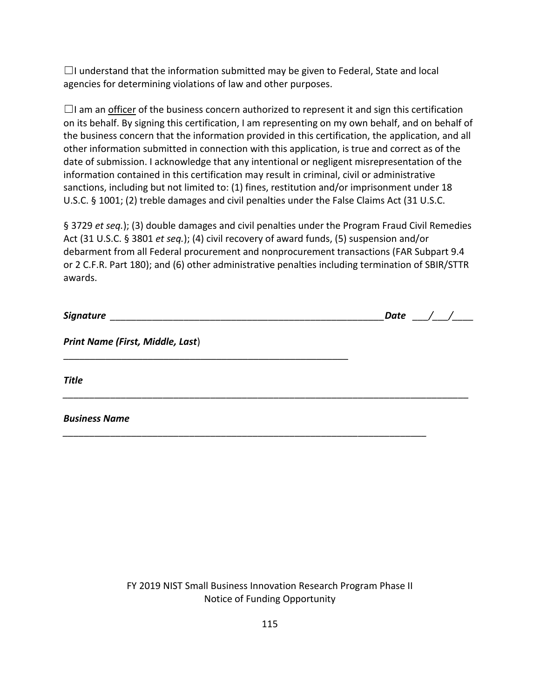$\Box$ I understand that the information submitted may be given to Federal, State and local agencies for determining violations of law and other purposes.

 $\Box$ I am an <u>officer</u> of the business concern authorized to represent it and sign this certification on its behalf. By signing this certification, I am representing on my own behalf, and on behalf of the business concern that the information provided in this certification, the application, and all other information submitted in connection with this application, is true and correct as of the date of submission. I acknowledge that any intentional or negligent misrepresentation of the information contained in this certification may result in criminal, civil or administrative sanctions, including but not limited to: (1) fines, restitution and/or imprisonment under 18 U.S.C. § 1001; (2) treble damages and civil penalties under the False Claims Act (31 U.S.C.

§ 3729 *et seq.*); (3) double damages and civil penalties under the Program Fraud Civil Remedies Act (31 U.S.C. § 3801 *et seq.*); (4) civil recovery of award funds, (5) suspension and/or debarment from all Federal procurement and nonprocurement transactions (FAR Subpart 9.4 or 2 C.F.R. Part 180); and (6) other administrative penalties including termination of SBIR/STTR awards.

| <b>Signature</b>                 | Date / $/$ |
|----------------------------------|------------|
| Print Name (First, Middle, Last) |            |
| <b>Title</b>                     |            |
| <b>Business Name</b>             |            |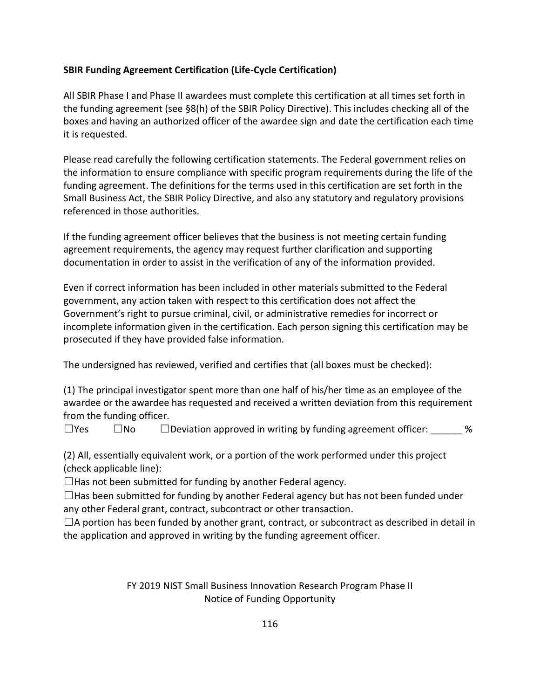## **SBIR Funding Agreement Certification (Life-Cycle Certification)**

All SBIR Phase I and Phase II awardees must complete this certification at all times set forth in the funding agreement (see §8(h) of the SBIR Policy Directive). This includes checking all of the boxes and having an authorized officer of the awardee sign and date the certification each time it is requested.

Please read carefully the following certification statements. The Federal government relies on the information to ensure compliance with specific program requirements during the life of the funding agreement. The definitions for the terms used in this certification are set forth in the Small Business Act, the SBIR Policy Directive, and also any statutory and regulatory provisions referenced in those authorities.

If the funding agreement officer believes that the business is not meeting certain funding agreement requirements, the agency may request further clarification and supporting documentation in order to assist in the verification of any of the information provided.

Even if correct information has been included in other materials submitted to the Federal government, any action taken with respect to this certification does not affect the Government's right to pursue criminal, civil, or administrative remedies for incorrect or incomplete information given in the certification. Each person signing this certification may be prosecuted if they have provided false information.

The undersigned has reviewed, verified and certifies that (all boxes must be checked):

(1) The principal investigator spent more than one half of his/her time as an employee of the awardee or the awardee has requested and received a written deviation from this requirement from the funding officer.

 $\square$ Yes  $\square$ No  $\square$ Deviation approved in writing by funding agreement officer:  $\%$ 

(2) All, essentially equivalent work, or a portion of the work performed under this project (check applicable line):

 $\Box$  Has not been submitted for funding by another Federal agency.

 $\Box$ Has been submitted for funding by another Federal agency but has not been funded under any other Federal grant, contract, subcontract or other transaction.

 $\Box$ A portion has been funded by another grant, contract, or subcontract as described in detail in the application and approved in writing by the funding agreement officer.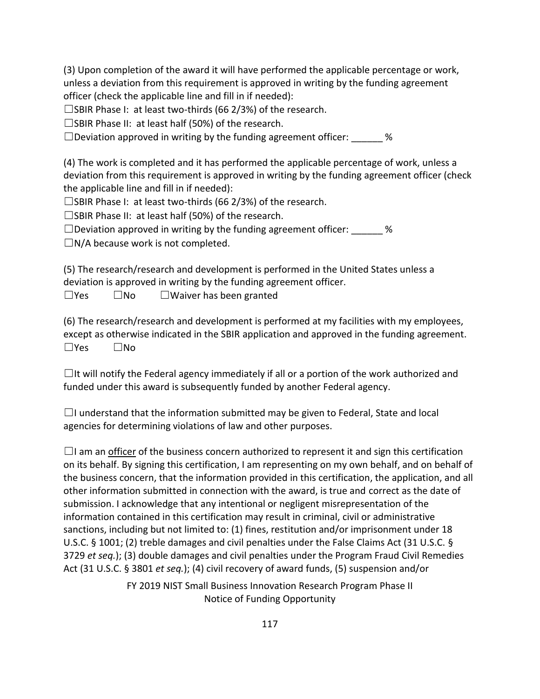(3) Upon completion of the award it will have performed the applicable percentage or work, unless a deviation from this requirement is approved in writing by the funding agreement officer (check the applicable line and fill in if needed):

 $\square$ SBIR Phase I: at least two-thirds (66 2/3%) of the research.

☐SBIR Phase II: at least half (50%) of the research.

 $\Box$ Deviation approved in writing by the funding agreement officer:  $\%$ 

(4) The work is completed and it has performed the applicable percentage of work, unless a deviation from this requirement is approved in writing by the funding agreement officer (check the applicable line and fill in if needed):

 $\square$ SBIR Phase I: at least two-thirds (66 2/3%) of the research.

☐SBIR Phase II: at least half (50%) of the research.

 $\square$  Deviation approved in writing by the funding agreement officer: \_\_\_\_\_\_ %

 $\square$ N/A because work is not completed.

(5) The research/research and development is performed in the United States unless a deviation is approved in writing by the funding agreement officer.

☐Yes ☐No ☐Waiver has been granted

(6) The research/research and development is performed at my facilities with my employees, except as otherwise indicated in the SBIR application and approved in the funding agreement. ☐Yes ☐No

 $\Box$ It will notify the Federal agency immediately if all or a portion of the work authorized and funded under this award is subsequently funded by another Federal agency.

 $\Box$ I understand that the information submitted may be given to Federal, State and local agencies for determining violations of law and other purposes.

 $\Box$ I am an officer of the business concern authorized to represent it and sign this certification on its behalf. By signing this certification, I am representing on my own behalf, and on behalf of the business concern, that the information provided in this certification, the application, and all other information submitted in connection with the award, is true and correct as the date of submission. I acknowledge that any intentional or negligent misrepresentation of the information contained in this certification may result in criminal, civil or administrative sanctions, including but not limited to: (1) fines, restitution and/or imprisonment under 18 U.S.C. § 1001; (2) treble damages and civil penalties under the False Claims Act (31 U.S.C. § 3729 *et seq.*); (3) double damages and civil penalties under the Program Fraud Civil Remedies Act (31 U.S.C. § 3801 *et seq.*); (4) civil recovery of award funds, (5) suspension and/or